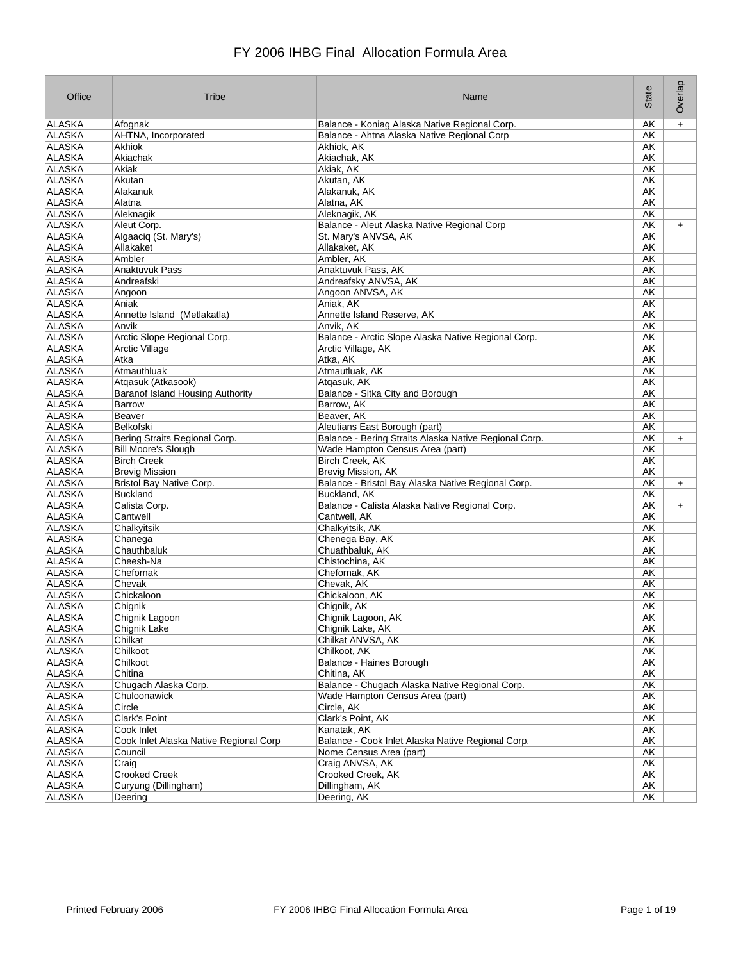| Office                         | Tribe                                   | Name                                                  | State     | Overlap   |
|--------------------------------|-----------------------------------------|-------------------------------------------------------|-----------|-----------|
| ALASKA                         | Afognak                                 | Balance - Koniag Alaska Native Regional Corp.         | АK        | $+$       |
| ALASKA                         | AHTNA, Incorporated                     | Balance - Ahtna Alaska Native Regional Corp           | АK        |           |
| <b>ALASKA</b>                  | <b>Akhiok</b>                           | Akhiok, AK                                            | АK        |           |
| ALASKA                         | Akiachak                                | Akiachak, AK                                          | АK        |           |
| ALASKA                         | Akiak                                   | Akiak, AK                                             | AK        |           |
| ALASKA                         | Akutan                                  | Akutan, AK                                            | AK        |           |
| <b>ALASKA</b>                  | Alakanuk                                | Alakanuk, AK                                          | <b>AK</b> |           |
| ALASKA                         | Alatna                                  | Alatna, AK                                            | АK        |           |
| ALASKA                         | Aleknagik                               | Aleknagik, AK                                         | AK        |           |
| <b>ALASKA</b>                  | Aleut Corp.                             | Balance - Aleut Alaska Native Regional Corp           | AK        | $\ddot{}$ |
| <b>ALASKA</b>                  | Algaaciq (St. Mary's)                   | St. Mary's ANVSA, AK                                  | AK        |           |
| <b>ALASKA</b>                  | Allakaket                               | Allakaket, AK                                         | AK        |           |
| ALASKA                         | Ambler                                  | Ambler, AK                                            | АK        |           |
| <b>ALASKA</b>                  | Anaktuvuk Pass                          | Anaktuvuk Pass, AK                                    | АK        |           |
| ALASKA                         | Andreafski                              | Andreafsky ANVSA, AK                                  | АK        |           |
| ALASKA                         |                                         | Angoon ANVSA, AK                                      | АK        |           |
|                                | Angoon<br>Aniak                         |                                                       |           |           |
| ALASKA                         |                                         | Aniak, AK                                             | АK        |           |
| <b>ALASKA</b><br><b>ALASKA</b> | Annette Island (Metlakatla)             | Annette Island Reserve, AK                            | AK        |           |
|                                | Anvik                                   | Anvik, AK                                             | AK        |           |
| ALASKA                         | Arctic Slope Regional Corp.             | Balance - Arctic Slope Alaska Native Regional Corp.   | AK        |           |
| <b>ALASKA</b>                  | <b>Arctic Village</b>                   | Arctic Village, AK                                    | АK        |           |
| ALASKA                         | Atka                                    | Atka, AK                                              | AK        |           |
| ALASKA                         | Atmauthluak                             | Atmautluak, AK                                        | AK        |           |
| <b>ALASKA</b>                  | Atgasuk (Atkasook)                      | Atgasuk, AK                                           | АK        |           |
| <b>ALASKA</b>                  | <b>Baranof Island Housing Authority</b> | Balance - Sitka City and Borough                      | AK        |           |
| ALASKA                         | <b>Barrow</b>                           | Barrow, AK                                            | AK        |           |
| ALASKA                         | Beaver                                  | Beaver, AK                                            | АK        |           |
| ALASKA                         | Belkofski                               | Aleutians East Borough (part)                         | АK        |           |
| <b>ALASKA</b>                  | Bering Straits Regional Corp.           | Balance - Bering Straits Alaska Native Regional Corp. | AK        | $\ddot{}$ |
| ALASKA                         | <b>Bill Moore's Slough</b>              | Wade Hampton Census Area (part)                       | АK        |           |
| ALASKA                         | <b>Birch Creek</b>                      | Birch Creek, AK                                       | AK        |           |
| <b>ALASKA</b>                  | <b>Brevig Mission</b>                   | <b>Brevig Mission, AK</b>                             | АK        |           |
| ALASKA                         | Bristol Bay Native Corp.                | Balance - Bristol Bay Alaska Native Regional Corp.    | АK        | $\ddot{}$ |
| ALASKA                         | <b>Buckland</b>                         | Buckland, AK                                          | АK        |           |
| <b>ALASKA</b>                  | Calista Corp.                           | Balance - Calista Alaska Native Regional Corp.        | АK        | $\ddot{}$ |
| ALASKA                         | Cantwell                                | Cantwell, AK                                          | AK        |           |
| ALASKA                         | Chalkyitsik                             | Chalkyitsik, AK                                       | АK        |           |
| <b>ALASKA</b>                  | Chanega                                 | Chenega Bay, AK                                       | АK        |           |
| ALASKA                         | Chauthbaluk                             | Chuathbaluk, AK                                       | АK        |           |
| <b>ALASKA</b>                  | Cheesh-Na                               | Chistochina, AK                                       | AK        |           |
| ALASKA                         | Chefornak                               | Chefornak, AK                                         | АK        |           |
| ALASKA                         | Chevak                                  | Chevak, AK                                            | АK        |           |
| ALASKA                         | Chickaloon                              | Chickaloon, AK                                        | AK        |           |
| ALASKA                         |                                         |                                                       | AK        |           |
|                                | Chignik                                 | Chignik, AK                                           |           |           |
| ALASKA                         | Chignik Lagoon                          | Chignik Lagoon, AK                                    | АK        |           |
| ALASKA                         | Chignik Lake                            | Chignik Lake, AK                                      | АK        |           |
| ALASKA                         | Chilkat                                 | Chilkat ANVSA, AK                                     | AK        |           |
| ALASKA                         | Chilkoot                                | Chilkoot, AK                                          | AK        |           |
| <b>ALASKA</b>                  | Chilkoot                                | Balance - Haines Borough                              | <b>AK</b> |           |
| ALASKA                         | Chitina                                 | Chitina, AK                                           | AK        |           |
| ALASKA                         | Chugach Alaska Corp.                    | Balance - Chugach Alaska Native Regional Corp.        | AK        |           |
| ALASKA                         | Chuloonawick                            | Wade Hampton Census Area (part)                       | AK        |           |
| ALASKA                         | Circle                                  | Circle, AK                                            | AK        |           |
| ALASKA                         | <b>Clark's Point</b>                    | Clark's Point, AK                                     | AK        |           |
| ALASKA                         | Cook Inlet                              | Kanatak, AK                                           | AK        |           |
| ALASKA                         | Cook Inlet Alaska Native Regional Corp  | Balance - Cook Inlet Alaska Native Regional Corp.     | AK        |           |
| <b>ALASKA</b>                  | Council                                 | Nome Census Area (part)                               | АK        |           |
| ALASKA                         | Craig                                   | Craig ANVSA, AK                                       | AK        |           |
| <b>ALASKA</b>                  | <b>Crooked Creek</b>                    | Crooked Creek, AK                                     | AK        |           |
| <b>ALASKA</b>                  | Curyung (Dillingham)                    | Dillingham, AK                                        | AK        |           |
| ALASKA                         | Deering                                 | Deering, AK                                           | AK        |           |
|                                |                                         |                                                       |           |           |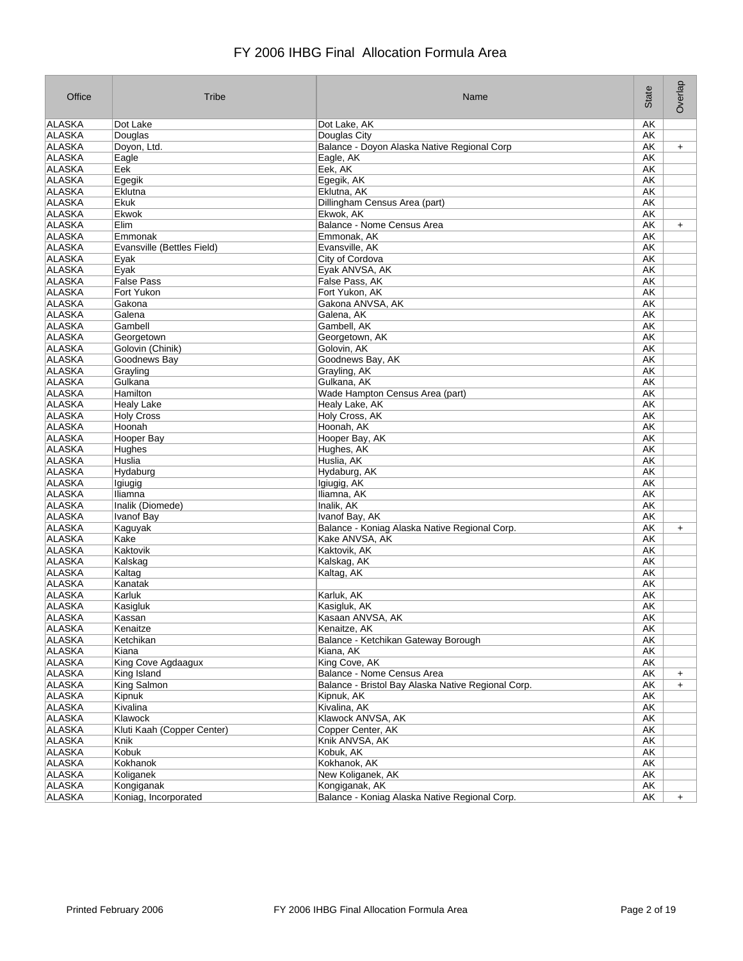| Office        | Tribe                      | Name                                               | State     | Overlap   |
|---------------|----------------------------|----------------------------------------------------|-----------|-----------|
| ALASKA        | Dot Lake                   | Dot Lake, AK                                       | AK        |           |
| <b>ALASKA</b> | Douglas                    | Douglas City                                       | AK        |           |
| <b>ALASKA</b> | Doyon, Ltd.                | Balance - Doyon Alaska Native Regional Corp        | AΚ        | $+$       |
| ALASKA        | Eagle                      | Eagle, AK                                          | AK        |           |
| ALASKA        | Eek                        | Eek, AK                                            | AK        |           |
| ALASKA        | Egegik                     | Egegik, AK                                         | AK        |           |
| <b>ALASKA</b> | Eklutna                    | Eklutna, AK                                        | AK        |           |
| <b>ALASKA</b> | Ekuk                       | Dillingham Census Area (part)                      | AK        |           |
| ALASKA        | Ekwok                      | Ekwok, AK                                          | AK        |           |
| <b>ALASKA</b> | Elim                       | <b>Balance - Nome Census Area</b>                  | AK        | $\ddot{}$ |
| ALASKA        | Emmonak                    | Emmonak, AK                                        | AK        |           |
| <b>ALASKA</b> | Evansville (Bettles Field) | Evansville, AK                                     | AK        |           |
| ALASKA        |                            |                                                    |           |           |
|               | Eyak                       | City of Cordova                                    | AK        |           |
| <b>ALASKA</b> | Eyak                       | Eyak ANVSA, AK                                     | AK        |           |
| ALASKA        | <b>False Pass</b>          | False Pass, AK                                     | AK        |           |
| ALASKA        | Fort Yukon                 | Fort Yukon, AK                                     | AΚ        |           |
| ALASKA        | Gakona                     | Gakona ANVSA, AK                                   | AK        |           |
| <b>ALASKA</b> | Galena                     | Galena, AK                                         | AK        |           |
| <b>ALASKA</b> | Gambell                    | Gambell, AK                                        | AK        |           |
| ALASKA        | Georgetown                 | Georgetown, AK                                     | AK        |           |
| <b>ALASKA</b> | Golovin (Chinik)           | Golovin, AK                                        | AK        |           |
| ALASKA        | Goodnews Bay               | Goodnews Bay, AK                                   | AK        |           |
| <b>ALASKA</b> | Grayling                   | Grayling, AK                                       | AK        |           |
| <b>ALASKA</b> | Gulkana                    | Gulkana, AK                                        | AK        |           |
| <b>ALASKA</b> | Hamilton                   | Wade Hampton Census Area (part)                    | AK        |           |
| <b>ALASKA</b> | <b>Healy Lake</b>          | Healy Lake, AK                                     | AK        |           |
| ALASKA        | <b>Holy Cross</b>          | Holy Cross, AK                                     | AK        |           |
| ALASKA        | Hoonah                     | Hoonah, AK                                         | AK        |           |
| <b>ALASKA</b> | Hooper Bay                 | Hooper Bay, AK                                     | AK        |           |
| ALASKA        | Hughes                     | Hughes, AK                                         | AK        |           |
| ALASKA        | Huslia                     | Huslia, AK                                         | AK        |           |
| <b>ALASKA</b> | Hydaburg                   | Hydaburg, AK                                       | AK        |           |
| ALASKA        |                            |                                                    | AK        |           |
| <b>ALASKA</b> | Igiugig                    | Igiugig, AK                                        |           |           |
|               | Iliamna                    | Iliamna, AK                                        | AK        |           |
| <b>ALASKA</b> | Inalik (Diomede)           | Inalik, AK                                         | AK        |           |
| <b>ALASKA</b> | <b>Ivanof Bay</b>          | Ivanof Bay, AK                                     | AK        |           |
| ALASKA        | Kaguyak                    | Balance - Koniag Alaska Native Regional Corp.      | AK        | $\ddot{}$ |
| <b>ALASKA</b> | Kake                       | Kake ANVSA, AK                                     | AΚ        |           |
| ALASKA        | Kaktovik                   | Kaktovik, AK                                       | AK        |           |
| <b>ALASKA</b> | Kalskag                    | Kalskag, AK                                        | AK        |           |
| <b>ALASKA</b> | Kaltag                     | Kaltag, AK                                         | AK        |           |
| <b>ALASKA</b> | Kanatak                    |                                                    | AK        |           |
| <b>ALASKA</b> | Karluk                     | Karluk, AK                                         | AK        |           |
| ALASKA        | Kasigluk                   | Kasigluk, AK                                       | AK        |           |
| <b>ALASKA</b> | Kassan                     | Kasaan ANVSA, AK                                   | AK        |           |
| <b>ALASKA</b> | Kenaitze                   | Kenaitze, AK                                       | AK        |           |
| ALASKA        | Ketchikan                  | Balance - Ketchikan Gateway Borough                | AK        |           |
| ALASKA        | Kiana                      | Kiana, AK                                          | AK        |           |
| <b>ALASKA</b> | King Cove Agdaagux         | King Cove, AK                                      | AK        |           |
| <b>ALASKA</b> | King Island                | Balance - Nome Census Area                         | AK        | $\ddot{}$ |
| <b>ALASKA</b> | King Salmon                | Balance - Bristol Bay Alaska Native Regional Corp. | AK        | $+$       |
| ALASKA        | Kipnuk                     | Kipnuk, AK                                         | AK        |           |
| ALASKA        | Kivalina                   | Kivalina, AK                                       | AK        |           |
| ALASKA        | Klawock                    | Klawock ANVSA, AK                                  | AK        |           |
|               | Kluti Kaah (Copper Center) | Copper Center, AK                                  |           |           |
| ALASKA        |                            |                                                    | AK        |           |
| ALASKA        | Knik                       | Knik ANVSA, AK                                     | AK        |           |
| ALASKA        | Kobuk                      | Kobuk, AK                                          | <b>AK</b> |           |
| ALASKA        | Kokhanok                   | Kokhanok, AK                                       | AK        |           |
| ALASKA        | Koliganek                  | New Koliganek, AK                                  | AK        |           |
| <b>ALASKA</b> | Kongiganak                 | Kongiganak, AK                                     | AK        |           |
| ALASKA        | Koniag, Incorporated       | Balance - Koniag Alaska Native Regional Corp.      | AK        | $\ddot{}$ |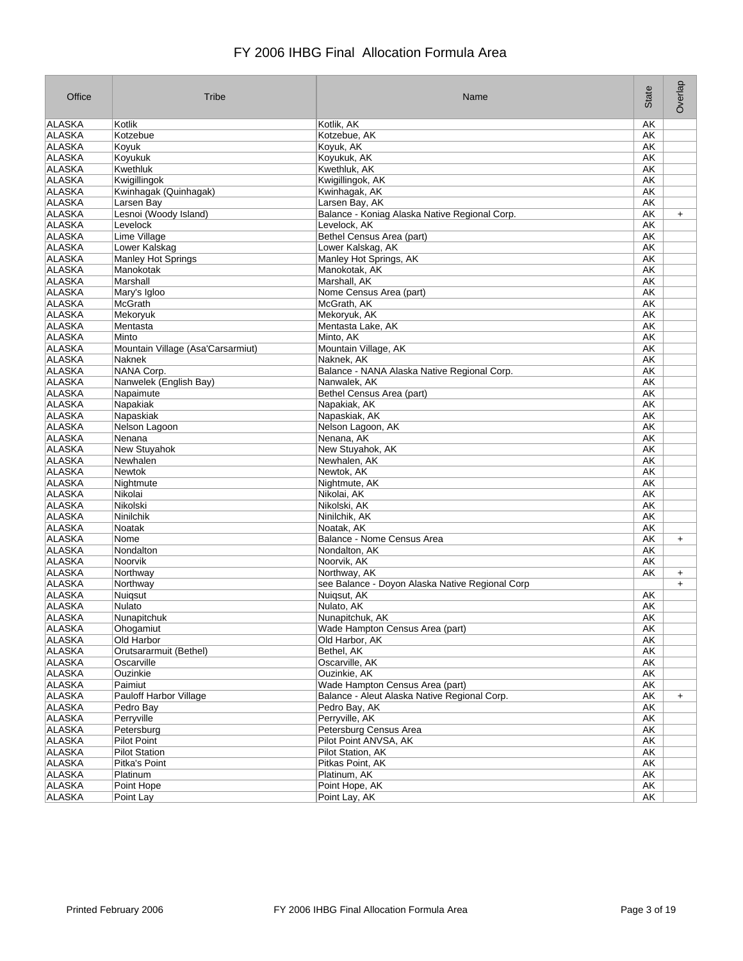| Kotlik<br>AΚ<br>Kotzebue, AK<br>ALASKA<br>Kotzebue<br>АK<br>ALASKA<br>AK<br>Koyuk, AK<br>Koyuk<br>ALASKA<br>Koyukuk<br>Koyukuk, AK<br>АK<br>ALASKA<br>Kwethluk<br>Kwethluk, AK<br>АK<br>ALASKA<br>Kwigillingok<br>Kwigillingok, AK<br>AK<br><b>ALASKA</b><br>Kwinhagak (Quinhagak)<br>Kwinhagak, AK<br>AK<br><b>ALASKA</b><br>AK<br>Larsen Bay<br>Larsen Bay, AK<br><b>ALASKA</b><br>Lesnoi (Woody Island)<br>Balance - Koniag Alaska Native Regional Corp.<br>AK<br>$+$<br><b>ALASKA</b><br>Levelock<br>Levelock, AK<br><b>AK</b><br>ALASKA<br>Bethel Census Area (part)<br>Lime Village<br>АK<br><b>ALASKA</b><br>AK<br>Lower Kalskag<br>Lower Kalskag, AK<br>ALASKA<br><b>Manley Hot Springs</b><br>Manley Hot Springs, AK<br>АK<br><b>ALASKA</b><br>Manokotak, AK<br>AK<br>Manokotak<br>ALASKA<br>AK<br>Marshall<br>Marshall, AK<br>ALASKA<br>AK<br>Mary's Igloo<br>Nome Census Area (part)<br>ALASKA<br><b>McGrath</b><br>McGrath, AK<br>AK<br>ALASKA<br>AK<br>Mekoryuk<br>Mekoryuk, AK<br>ALASKA<br>Mentasta<br>Mentasta Lake, AK<br>AK<br>ALASKA<br>AK<br>Minto<br>Minto, AK<br><b>ALASKA</b><br><b>AK</b><br>Mountain Village (Asa'Carsarmiut)<br>Mountain Village, AK<br>ALASKA<br>Naknek, AK<br>AK<br>Naknek<br><b>ALASKA</b><br>NANA Corp.<br>Balance - NANA Alaska Native Regional Corp.<br>AK<br><b>ALASKA</b><br>Nanwelek (English Bay)<br>Nanwalek, AK<br>АK<br><b>ALASKA</b><br>AK<br>Napaimute<br>Bethel Census Area (part)<br>ALASKA<br>AK<br>Napakiak<br>Napakiak, AK<br>AK<br>Napaskiak<br>Napaskiak, AK<br>ALASKA<br>AK<br>Nelson Lagoon<br>Nelson Lagoon, AK<br>AK<br>Nenana<br>Nenana, AK<br>New Stuyahok<br>New Stuyahok, AK<br>АK<br>Newhalen, AK<br>AK<br>Newhalen<br><b>Newtok</b><br>Newtok, AK<br>AK<br>ALASKA<br>AK<br>Nightmute<br>Nightmute, AK<br><b>ALASKA</b><br>Nikolai<br>Nikolai, AK<br>AK<br><b>ALASKA</b><br>Nikolski<br>Nikolski, AK<br>АK<br><b>ALASKA</b><br>Ninilchik<br>Ninilchik, AK<br>АK<br><b>ALASKA</b><br>Noatak<br>Noatak, AK<br>AK<br>ALASKA<br>Nome<br>Balance - Nome Census Area<br>АK<br>$+$<br>ALASKA<br>Nondalton<br>Nondalton, AK<br>АK<br><b>ALASKA</b><br>Noorvik, AK<br>AK<br>Noorvik<br>ALASKA<br>Northway<br>Northway, AK<br>AΚ<br>$\ddot{}$<br>ALASKA<br>Northway<br>see Balance - Doyon Alaska Native Regional Corp<br>$\ddot{}$<br><b>ALASKA</b><br>Nuigsut<br>Nuigsut, AK<br>AΚ<br>ALASKA<br>Nulato<br>Nulato, AK<br>AK<br>ALASKA<br>AK<br>Nunapitchuk<br>Nunapitchuk, AK<br><b>ALASKA</b><br>Wade Hampton Census Area (part)<br>AK<br>Ohogamiut<br>ALASKA<br>Old Harbor<br>Old Harbor, AK<br>AK<br>ALASKA<br>Bethel, AK<br>Orutsararmuit (Bethel)<br>AK<br><b>ALASKA</b><br>Oscarville<br>Oscarville, AK<br>AK<br>Ouzinkie, AK<br>ALASKA<br>Ouzinkie<br>AK<br>ALASKA<br>Wade Hampton Census Area (part)<br>AK<br>Paimiut<br>AK<br>ALASKA<br>Pauloff Harbor Village<br>Balance - Aleut Alaska Native Regional Corp.<br>$\ddot{}$<br>ALASKA<br>AK<br>Pedro Bay<br>Pedro Bay, AK<br>ALASKA<br>Perryville, AK<br>Perryville<br>AK<br>Petersburg<br>Petersburg Census Area<br>AK<br>ALASKA<br><b>Pilot Point</b><br>Pilot Point ANVSA, AK<br>AK<br><b>Pilot Station</b><br>Pilot Station, AK<br>AK<br>AK<br>Pitka's Point<br>Pitkas Point, AK<br>Platinum. AK<br>Platinum<br>AK<br>Point Hope, AK<br><b>AK</b><br>Point Hope<br>Point Lay, AK<br>AK<br>Point Lay | Office        | Tribe | Name       | State | Overlap |
|----------------------------------------------------------------------------------------------------------------------------------------------------------------------------------------------------------------------------------------------------------------------------------------------------------------------------------------------------------------------------------------------------------------------------------------------------------------------------------------------------------------------------------------------------------------------------------------------------------------------------------------------------------------------------------------------------------------------------------------------------------------------------------------------------------------------------------------------------------------------------------------------------------------------------------------------------------------------------------------------------------------------------------------------------------------------------------------------------------------------------------------------------------------------------------------------------------------------------------------------------------------------------------------------------------------------------------------------------------------------------------------------------------------------------------------------------------------------------------------------------------------------------------------------------------------------------------------------------------------------------------------------------------------------------------------------------------------------------------------------------------------------------------------------------------------------------------------------------------------------------------------------------------------------------------------------------------------------------------------------------------------------------------------------------------------------------------------------------------------------------------------------------------------------------------------------------------------------------------------------------------------------------------------------------------------------------------------------------------------------------------------------------------------------------------------------------------------------------------------------------------------------------------------------------------------------------------------------------------------------------------------------------------------------------------------------------------------------------------------------------------------------------------------------------------------------------------------------------------------------------------------------------------------------------------------------------------------------------------------------------------------------------------------------------------------------------------------------------------------------------------------------------------------------------------------------------------------------------------------------------------------------------------------------------------------------------------|---------------|-------|------------|-------|---------|
|                                                                                                                                                                                                                                                                                                                                                                                                                                                                                                                                                                                                                                                                                                                                                                                                                                                                                                                                                                                                                                                                                                                                                                                                                                                                                                                                                                                                                                                                                                                                                                                                                                                                                                                                                                                                                                                                                                                                                                                                                                                                                                                                                                                                                                                                                                                                                                                                                                                                                                                                                                                                                                                                                                                                                                                                                                                                                                                                                                                                                                                                                                                                                                                                                                                                                                                                  | ALASKA        |       | Kotlik, AK |       |         |
|                                                                                                                                                                                                                                                                                                                                                                                                                                                                                                                                                                                                                                                                                                                                                                                                                                                                                                                                                                                                                                                                                                                                                                                                                                                                                                                                                                                                                                                                                                                                                                                                                                                                                                                                                                                                                                                                                                                                                                                                                                                                                                                                                                                                                                                                                                                                                                                                                                                                                                                                                                                                                                                                                                                                                                                                                                                                                                                                                                                                                                                                                                                                                                                                                                                                                                                                  |               |       |            |       |         |
|                                                                                                                                                                                                                                                                                                                                                                                                                                                                                                                                                                                                                                                                                                                                                                                                                                                                                                                                                                                                                                                                                                                                                                                                                                                                                                                                                                                                                                                                                                                                                                                                                                                                                                                                                                                                                                                                                                                                                                                                                                                                                                                                                                                                                                                                                                                                                                                                                                                                                                                                                                                                                                                                                                                                                                                                                                                                                                                                                                                                                                                                                                                                                                                                                                                                                                                                  |               |       |            |       |         |
|                                                                                                                                                                                                                                                                                                                                                                                                                                                                                                                                                                                                                                                                                                                                                                                                                                                                                                                                                                                                                                                                                                                                                                                                                                                                                                                                                                                                                                                                                                                                                                                                                                                                                                                                                                                                                                                                                                                                                                                                                                                                                                                                                                                                                                                                                                                                                                                                                                                                                                                                                                                                                                                                                                                                                                                                                                                                                                                                                                                                                                                                                                                                                                                                                                                                                                                                  |               |       |            |       |         |
|                                                                                                                                                                                                                                                                                                                                                                                                                                                                                                                                                                                                                                                                                                                                                                                                                                                                                                                                                                                                                                                                                                                                                                                                                                                                                                                                                                                                                                                                                                                                                                                                                                                                                                                                                                                                                                                                                                                                                                                                                                                                                                                                                                                                                                                                                                                                                                                                                                                                                                                                                                                                                                                                                                                                                                                                                                                                                                                                                                                                                                                                                                                                                                                                                                                                                                                                  |               |       |            |       |         |
|                                                                                                                                                                                                                                                                                                                                                                                                                                                                                                                                                                                                                                                                                                                                                                                                                                                                                                                                                                                                                                                                                                                                                                                                                                                                                                                                                                                                                                                                                                                                                                                                                                                                                                                                                                                                                                                                                                                                                                                                                                                                                                                                                                                                                                                                                                                                                                                                                                                                                                                                                                                                                                                                                                                                                                                                                                                                                                                                                                                                                                                                                                                                                                                                                                                                                                                                  |               |       |            |       |         |
|                                                                                                                                                                                                                                                                                                                                                                                                                                                                                                                                                                                                                                                                                                                                                                                                                                                                                                                                                                                                                                                                                                                                                                                                                                                                                                                                                                                                                                                                                                                                                                                                                                                                                                                                                                                                                                                                                                                                                                                                                                                                                                                                                                                                                                                                                                                                                                                                                                                                                                                                                                                                                                                                                                                                                                                                                                                                                                                                                                                                                                                                                                                                                                                                                                                                                                                                  |               |       |            |       |         |
|                                                                                                                                                                                                                                                                                                                                                                                                                                                                                                                                                                                                                                                                                                                                                                                                                                                                                                                                                                                                                                                                                                                                                                                                                                                                                                                                                                                                                                                                                                                                                                                                                                                                                                                                                                                                                                                                                                                                                                                                                                                                                                                                                                                                                                                                                                                                                                                                                                                                                                                                                                                                                                                                                                                                                                                                                                                                                                                                                                                                                                                                                                                                                                                                                                                                                                                                  |               |       |            |       |         |
|                                                                                                                                                                                                                                                                                                                                                                                                                                                                                                                                                                                                                                                                                                                                                                                                                                                                                                                                                                                                                                                                                                                                                                                                                                                                                                                                                                                                                                                                                                                                                                                                                                                                                                                                                                                                                                                                                                                                                                                                                                                                                                                                                                                                                                                                                                                                                                                                                                                                                                                                                                                                                                                                                                                                                                                                                                                                                                                                                                                                                                                                                                                                                                                                                                                                                                                                  |               |       |            |       |         |
|                                                                                                                                                                                                                                                                                                                                                                                                                                                                                                                                                                                                                                                                                                                                                                                                                                                                                                                                                                                                                                                                                                                                                                                                                                                                                                                                                                                                                                                                                                                                                                                                                                                                                                                                                                                                                                                                                                                                                                                                                                                                                                                                                                                                                                                                                                                                                                                                                                                                                                                                                                                                                                                                                                                                                                                                                                                                                                                                                                                                                                                                                                                                                                                                                                                                                                                                  |               |       |            |       |         |
|                                                                                                                                                                                                                                                                                                                                                                                                                                                                                                                                                                                                                                                                                                                                                                                                                                                                                                                                                                                                                                                                                                                                                                                                                                                                                                                                                                                                                                                                                                                                                                                                                                                                                                                                                                                                                                                                                                                                                                                                                                                                                                                                                                                                                                                                                                                                                                                                                                                                                                                                                                                                                                                                                                                                                                                                                                                                                                                                                                                                                                                                                                                                                                                                                                                                                                                                  |               |       |            |       |         |
|                                                                                                                                                                                                                                                                                                                                                                                                                                                                                                                                                                                                                                                                                                                                                                                                                                                                                                                                                                                                                                                                                                                                                                                                                                                                                                                                                                                                                                                                                                                                                                                                                                                                                                                                                                                                                                                                                                                                                                                                                                                                                                                                                                                                                                                                                                                                                                                                                                                                                                                                                                                                                                                                                                                                                                                                                                                                                                                                                                                                                                                                                                                                                                                                                                                                                                                                  |               |       |            |       |         |
|                                                                                                                                                                                                                                                                                                                                                                                                                                                                                                                                                                                                                                                                                                                                                                                                                                                                                                                                                                                                                                                                                                                                                                                                                                                                                                                                                                                                                                                                                                                                                                                                                                                                                                                                                                                                                                                                                                                                                                                                                                                                                                                                                                                                                                                                                                                                                                                                                                                                                                                                                                                                                                                                                                                                                                                                                                                                                                                                                                                                                                                                                                                                                                                                                                                                                                                                  |               |       |            |       |         |
|                                                                                                                                                                                                                                                                                                                                                                                                                                                                                                                                                                                                                                                                                                                                                                                                                                                                                                                                                                                                                                                                                                                                                                                                                                                                                                                                                                                                                                                                                                                                                                                                                                                                                                                                                                                                                                                                                                                                                                                                                                                                                                                                                                                                                                                                                                                                                                                                                                                                                                                                                                                                                                                                                                                                                                                                                                                                                                                                                                                                                                                                                                                                                                                                                                                                                                                                  |               |       |            |       |         |
|                                                                                                                                                                                                                                                                                                                                                                                                                                                                                                                                                                                                                                                                                                                                                                                                                                                                                                                                                                                                                                                                                                                                                                                                                                                                                                                                                                                                                                                                                                                                                                                                                                                                                                                                                                                                                                                                                                                                                                                                                                                                                                                                                                                                                                                                                                                                                                                                                                                                                                                                                                                                                                                                                                                                                                                                                                                                                                                                                                                                                                                                                                                                                                                                                                                                                                                                  |               |       |            |       |         |
|                                                                                                                                                                                                                                                                                                                                                                                                                                                                                                                                                                                                                                                                                                                                                                                                                                                                                                                                                                                                                                                                                                                                                                                                                                                                                                                                                                                                                                                                                                                                                                                                                                                                                                                                                                                                                                                                                                                                                                                                                                                                                                                                                                                                                                                                                                                                                                                                                                                                                                                                                                                                                                                                                                                                                                                                                                                                                                                                                                                                                                                                                                                                                                                                                                                                                                                                  |               |       |            |       |         |
|                                                                                                                                                                                                                                                                                                                                                                                                                                                                                                                                                                                                                                                                                                                                                                                                                                                                                                                                                                                                                                                                                                                                                                                                                                                                                                                                                                                                                                                                                                                                                                                                                                                                                                                                                                                                                                                                                                                                                                                                                                                                                                                                                                                                                                                                                                                                                                                                                                                                                                                                                                                                                                                                                                                                                                                                                                                                                                                                                                                                                                                                                                                                                                                                                                                                                                                                  |               |       |            |       |         |
|                                                                                                                                                                                                                                                                                                                                                                                                                                                                                                                                                                                                                                                                                                                                                                                                                                                                                                                                                                                                                                                                                                                                                                                                                                                                                                                                                                                                                                                                                                                                                                                                                                                                                                                                                                                                                                                                                                                                                                                                                                                                                                                                                                                                                                                                                                                                                                                                                                                                                                                                                                                                                                                                                                                                                                                                                                                                                                                                                                                                                                                                                                                                                                                                                                                                                                                                  |               |       |            |       |         |
|                                                                                                                                                                                                                                                                                                                                                                                                                                                                                                                                                                                                                                                                                                                                                                                                                                                                                                                                                                                                                                                                                                                                                                                                                                                                                                                                                                                                                                                                                                                                                                                                                                                                                                                                                                                                                                                                                                                                                                                                                                                                                                                                                                                                                                                                                                                                                                                                                                                                                                                                                                                                                                                                                                                                                                                                                                                                                                                                                                                                                                                                                                                                                                                                                                                                                                                                  |               |       |            |       |         |
|                                                                                                                                                                                                                                                                                                                                                                                                                                                                                                                                                                                                                                                                                                                                                                                                                                                                                                                                                                                                                                                                                                                                                                                                                                                                                                                                                                                                                                                                                                                                                                                                                                                                                                                                                                                                                                                                                                                                                                                                                                                                                                                                                                                                                                                                                                                                                                                                                                                                                                                                                                                                                                                                                                                                                                                                                                                                                                                                                                                                                                                                                                                                                                                                                                                                                                                                  |               |       |            |       |         |
|                                                                                                                                                                                                                                                                                                                                                                                                                                                                                                                                                                                                                                                                                                                                                                                                                                                                                                                                                                                                                                                                                                                                                                                                                                                                                                                                                                                                                                                                                                                                                                                                                                                                                                                                                                                                                                                                                                                                                                                                                                                                                                                                                                                                                                                                                                                                                                                                                                                                                                                                                                                                                                                                                                                                                                                                                                                                                                                                                                                                                                                                                                                                                                                                                                                                                                                                  |               |       |            |       |         |
|                                                                                                                                                                                                                                                                                                                                                                                                                                                                                                                                                                                                                                                                                                                                                                                                                                                                                                                                                                                                                                                                                                                                                                                                                                                                                                                                                                                                                                                                                                                                                                                                                                                                                                                                                                                                                                                                                                                                                                                                                                                                                                                                                                                                                                                                                                                                                                                                                                                                                                                                                                                                                                                                                                                                                                                                                                                                                                                                                                                                                                                                                                                                                                                                                                                                                                                                  |               |       |            |       |         |
|                                                                                                                                                                                                                                                                                                                                                                                                                                                                                                                                                                                                                                                                                                                                                                                                                                                                                                                                                                                                                                                                                                                                                                                                                                                                                                                                                                                                                                                                                                                                                                                                                                                                                                                                                                                                                                                                                                                                                                                                                                                                                                                                                                                                                                                                                                                                                                                                                                                                                                                                                                                                                                                                                                                                                                                                                                                                                                                                                                                                                                                                                                                                                                                                                                                                                                                                  |               |       |            |       |         |
|                                                                                                                                                                                                                                                                                                                                                                                                                                                                                                                                                                                                                                                                                                                                                                                                                                                                                                                                                                                                                                                                                                                                                                                                                                                                                                                                                                                                                                                                                                                                                                                                                                                                                                                                                                                                                                                                                                                                                                                                                                                                                                                                                                                                                                                                                                                                                                                                                                                                                                                                                                                                                                                                                                                                                                                                                                                                                                                                                                                                                                                                                                                                                                                                                                                                                                                                  |               |       |            |       |         |
|                                                                                                                                                                                                                                                                                                                                                                                                                                                                                                                                                                                                                                                                                                                                                                                                                                                                                                                                                                                                                                                                                                                                                                                                                                                                                                                                                                                                                                                                                                                                                                                                                                                                                                                                                                                                                                                                                                                                                                                                                                                                                                                                                                                                                                                                                                                                                                                                                                                                                                                                                                                                                                                                                                                                                                                                                                                                                                                                                                                                                                                                                                                                                                                                                                                                                                                                  |               |       |            |       |         |
|                                                                                                                                                                                                                                                                                                                                                                                                                                                                                                                                                                                                                                                                                                                                                                                                                                                                                                                                                                                                                                                                                                                                                                                                                                                                                                                                                                                                                                                                                                                                                                                                                                                                                                                                                                                                                                                                                                                                                                                                                                                                                                                                                                                                                                                                                                                                                                                                                                                                                                                                                                                                                                                                                                                                                                                                                                                                                                                                                                                                                                                                                                                                                                                                                                                                                                                                  | ALASKA        |       |            |       |         |
|                                                                                                                                                                                                                                                                                                                                                                                                                                                                                                                                                                                                                                                                                                                                                                                                                                                                                                                                                                                                                                                                                                                                                                                                                                                                                                                                                                                                                                                                                                                                                                                                                                                                                                                                                                                                                                                                                                                                                                                                                                                                                                                                                                                                                                                                                                                                                                                                                                                                                                                                                                                                                                                                                                                                                                                                                                                                                                                                                                                                                                                                                                                                                                                                                                                                                                                                  |               |       |            |       |         |
|                                                                                                                                                                                                                                                                                                                                                                                                                                                                                                                                                                                                                                                                                                                                                                                                                                                                                                                                                                                                                                                                                                                                                                                                                                                                                                                                                                                                                                                                                                                                                                                                                                                                                                                                                                                                                                                                                                                                                                                                                                                                                                                                                                                                                                                                                                                                                                                                                                                                                                                                                                                                                                                                                                                                                                                                                                                                                                                                                                                                                                                                                                                                                                                                                                                                                                                                  | ALASKA        |       |            |       |         |
|                                                                                                                                                                                                                                                                                                                                                                                                                                                                                                                                                                                                                                                                                                                                                                                                                                                                                                                                                                                                                                                                                                                                                                                                                                                                                                                                                                                                                                                                                                                                                                                                                                                                                                                                                                                                                                                                                                                                                                                                                                                                                                                                                                                                                                                                                                                                                                                                                                                                                                                                                                                                                                                                                                                                                                                                                                                                                                                                                                                                                                                                                                                                                                                                                                                                                                                                  | ALASKA        |       |            |       |         |
|                                                                                                                                                                                                                                                                                                                                                                                                                                                                                                                                                                                                                                                                                                                                                                                                                                                                                                                                                                                                                                                                                                                                                                                                                                                                                                                                                                                                                                                                                                                                                                                                                                                                                                                                                                                                                                                                                                                                                                                                                                                                                                                                                                                                                                                                                                                                                                                                                                                                                                                                                                                                                                                                                                                                                                                                                                                                                                                                                                                                                                                                                                                                                                                                                                                                                                                                  | ALASKA        |       |            |       |         |
|                                                                                                                                                                                                                                                                                                                                                                                                                                                                                                                                                                                                                                                                                                                                                                                                                                                                                                                                                                                                                                                                                                                                                                                                                                                                                                                                                                                                                                                                                                                                                                                                                                                                                                                                                                                                                                                                                                                                                                                                                                                                                                                                                                                                                                                                                                                                                                                                                                                                                                                                                                                                                                                                                                                                                                                                                                                                                                                                                                                                                                                                                                                                                                                                                                                                                                                                  | <b>ALASKA</b> |       |            |       |         |
|                                                                                                                                                                                                                                                                                                                                                                                                                                                                                                                                                                                                                                                                                                                                                                                                                                                                                                                                                                                                                                                                                                                                                                                                                                                                                                                                                                                                                                                                                                                                                                                                                                                                                                                                                                                                                                                                                                                                                                                                                                                                                                                                                                                                                                                                                                                                                                                                                                                                                                                                                                                                                                                                                                                                                                                                                                                                                                                                                                                                                                                                                                                                                                                                                                                                                                                                  |               |       |            |       |         |
|                                                                                                                                                                                                                                                                                                                                                                                                                                                                                                                                                                                                                                                                                                                                                                                                                                                                                                                                                                                                                                                                                                                                                                                                                                                                                                                                                                                                                                                                                                                                                                                                                                                                                                                                                                                                                                                                                                                                                                                                                                                                                                                                                                                                                                                                                                                                                                                                                                                                                                                                                                                                                                                                                                                                                                                                                                                                                                                                                                                                                                                                                                                                                                                                                                                                                                                                  |               |       |            |       |         |
|                                                                                                                                                                                                                                                                                                                                                                                                                                                                                                                                                                                                                                                                                                                                                                                                                                                                                                                                                                                                                                                                                                                                                                                                                                                                                                                                                                                                                                                                                                                                                                                                                                                                                                                                                                                                                                                                                                                                                                                                                                                                                                                                                                                                                                                                                                                                                                                                                                                                                                                                                                                                                                                                                                                                                                                                                                                                                                                                                                                                                                                                                                                                                                                                                                                                                                                                  |               |       |            |       |         |
|                                                                                                                                                                                                                                                                                                                                                                                                                                                                                                                                                                                                                                                                                                                                                                                                                                                                                                                                                                                                                                                                                                                                                                                                                                                                                                                                                                                                                                                                                                                                                                                                                                                                                                                                                                                                                                                                                                                                                                                                                                                                                                                                                                                                                                                                                                                                                                                                                                                                                                                                                                                                                                                                                                                                                                                                                                                                                                                                                                                                                                                                                                                                                                                                                                                                                                                                  |               |       |            |       |         |
|                                                                                                                                                                                                                                                                                                                                                                                                                                                                                                                                                                                                                                                                                                                                                                                                                                                                                                                                                                                                                                                                                                                                                                                                                                                                                                                                                                                                                                                                                                                                                                                                                                                                                                                                                                                                                                                                                                                                                                                                                                                                                                                                                                                                                                                                                                                                                                                                                                                                                                                                                                                                                                                                                                                                                                                                                                                                                                                                                                                                                                                                                                                                                                                                                                                                                                                                  |               |       |            |       |         |
|                                                                                                                                                                                                                                                                                                                                                                                                                                                                                                                                                                                                                                                                                                                                                                                                                                                                                                                                                                                                                                                                                                                                                                                                                                                                                                                                                                                                                                                                                                                                                                                                                                                                                                                                                                                                                                                                                                                                                                                                                                                                                                                                                                                                                                                                                                                                                                                                                                                                                                                                                                                                                                                                                                                                                                                                                                                                                                                                                                                                                                                                                                                                                                                                                                                                                                                                  |               |       |            |       |         |
|                                                                                                                                                                                                                                                                                                                                                                                                                                                                                                                                                                                                                                                                                                                                                                                                                                                                                                                                                                                                                                                                                                                                                                                                                                                                                                                                                                                                                                                                                                                                                                                                                                                                                                                                                                                                                                                                                                                                                                                                                                                                                                                                                                                                                                                                                                                                                                                                                                                                                                                                                                                                                                                                                                                                                                                                                                                                                                                                                                                                                                                                                                                                                                                                                                                                                                                                  |               |       |            |       |         |
|                                                                                                                                                                                                                                                                                                                                                                                                                                                                                                                                                                                                                                                                                                                                                                                                                                                                                                                                                                                                                                                                                                                                                                                                                                                                                                                                                                                                                                                                                                                                                                                                                                                                                                                                                                                                                                                                                                                                                                                                                                                                                                                                                                                                                                                                                                                                                                                                                                                                                                                                                                                                                                                                                                                                                                                                                                                                                                                                                                                                                                                                                                                                                                                                                                                                                                                                  |               |       |            |       |         |
|                                                                                                                                                                                                                                                                                                                                                                                                                                                                                                                                                                                                                                                                                                                                                                                                                                                                                                                                                                                                                                                                                                                                                                                                                                                                                                                                                                                                                                                                                                                                                                                                                                                                                                                                                                                                                                                                                                                                                                                                                                                                                                                                                                                                                                                                                                                                                                                                                                                                                                                                                                                                                                                                                                                                                                                                                                                                                                                                                                                                                                                                                                                                                                                                                                                                                                                                  |               |       |            |       |         |
|                                                                                                                                                                                                                                                                                                                                                                                                                                                                                                                                                                                                                                                                                                                                                                                                                                                                                                                                                                                                                                                                                                                                                                                                                                                                                                                                                                                                                                                                                                                                                                                                                                                                                                                                                                                                                                                                                                                                                                                                                                                                                                                                                                                                                                                                                                                                                                                                                                                                                                                                                                                                                                                                                                                                                                                                                                                                                                                                                                                                                                                                                                                                                                                                                                                                                                                                  |               |       |            |       |         |
|                                                                                                                                                                                                                                                                                                                                                                                                                                                                                                                                                                                                                                                                                                                                                                                                                                                                                                                                                                                                                                                                                                                                                                                                                                                                                                                                                                                                                                                                                                                                                                                                                                                                                                                                                                                                                                                                                                                                                                                                                                                                                                                                                                                                                                                                                                                                                                                                                                                                                                                                                                                                                                                                                                                                                                                                                                                                                                                                                                                                                                                                                                                                                                                                                                                                                                                                  |               |       |            |       |         |
|                                                                                                                                                                                                                                                                                                                                                                                                                                                                                                                                                                                                                                                                                                                                                                                                                                                                                                                                                                                                                                                                                                                                                                                                                                                                                                                                                                                                                                                                                                                                                                                                                                                                                                                                                                                                                                                                                                                                                                                                                                                                                                                                                                                                                                                                                                                                                                                                                                                                                                                                                                                                                                                                                                                                                                                                                                                                                                                                                                                                                                                                                                                                                                                                                                                                                                                                  |               |       |            |       |         |
|                                                                                                                                                                                                                                                                                                                                                                                                                                                                                                                                                                                                                                                                                                                                                                                                                                                                                                                                                                                                                                                                                                                                                                                                                                                                                                                                                                                                                                                                                                                                                                                                                                                                                                                                                                                                                                                                                                                                                                                                                                                                                                                                                                                                                                                                                                                                                                                                                                                                                                                                                                                                                                                                                                                                                                                                                                                                                                                                                                                                                                                                                                                                                                                                                                                                                                                                  |               |       |            |       |         |
|                                                                                                                                                                                                                                                                                                                                                                                                                                                                                                                                                                                                                                                                                                                                                                                                                                                                                                                                                                                                                                                                                                                                                                                                                                                                                                                                                                                                                                                                                                                                                                                                                                                                                                                                                                                                                                                                                                                                                                                                                                                                                                                                                                                                                                                                                                                                                                                                                                                                                                                                                                                                                                                                                                                                                                                                                                                                                                                                                                                                                                                                                                                                                                                                                                                                                                                                  |               |       |            |       |         |
|                                                                                                                                                                                                                                                                                                                                                                                                                                                                                                                                                                                                                                                                                                                                                                                                                                                                                                                                                                                                                                                                                                                                                                                                                                                                                                                                                                                                                                                                                                                                                                                                                                                                                                                                                                                                                                                                                                                                                                                                                                                                                                                                                                                                                                                                                                                                                                                                                                                                                                                                                                                                                                                                                                                                                                                                                                                                                                                                                                                                                                                                                                                                                                                                                                                                                                                                  |               |       |            |       |         |
|                                                                                                                                                                                                                                                                                                                                                                                                                                                                                                                                                                                                                                                                                                                                                                                                                                                                                                                                                                                                                                                                                                                                                                                                                                                                                                                                                                                                                                                                                                                                                                                                                                                                                                                                                                                                                                                                                                                                                                                                                                                                                                                                                                                                                                                                                                                                                                                                                                                                                                                                                                                                                                                                                                                                                                                                                                                                                                                                                                                                                                                                                                                                                                                                                                                                                                                                  |               |       |            |       |         |
|                                                                                                                                                                                                                                                                                                                                                                                                                                                                                                                                                                                                                                                                                                                                                                                                                                                                                                                                                                                                                                                                                                                                                                                                                                                                                                                                                                                                                                                                                                                                                                                                                                                                                                                                                                                                                                                                                                                                                                                                                                                                                                                                                                                                                                                                                                                                                                                                                                                                                                                                                                                                                                                                                                                                                                                                                                                                                                                                                                                                                                                                                                                                                                                                                                                                                                                                  |               |       |            |       |         |
|                                                                                                                                                                                                                                                                                                                                                                                                                                                                                                                                                                                                                                                                                                                                                                                                                                                                                                                                                                                                                                                                                                                                                                                                                                                                                                                                                                                                                                                                                                                                                                                                                                                                                                                                                                                                                                                                                                                                                                                                                                                                                                                                                                                                                                                                                                                                                                                                                                                                                                                                                                                                                                                                                                                                                                                                                                                                                                                                                                                                                                                                                                                                                                                                                                                                                                                                  |               |       |            |       |         |
|                                                                                                                                                                                                                                                                                                                                                                                                                                                                                                                                                                                                                                                                                                                                                                                                                                                                                                                                                                                                                                                                                                                                                                                                                                                                                                                                                                                                                                                                                                                                                                                                                                                                                                                                                                                                                                                                                                                                                                                                                                                                                                                                                                                                                                                                                                                                                                                                                                                                                                                                                                                                                                                                                                                                                                                                                                                                                                                                                                                                                                                                                                                                                                                                                                                                                                                                  |               |       |            |       |         |
|                                                                                                                                                                                                                                                                                                                                                                                                                                                                                                                                                                                                                                                                                                                                                                                                                                                                                                                                                                                                                                                                                                                                                                                                                                                                                                                                                                                                                                                                                                                                                                                                                                                                                                                                                                                                                                                                                                                                                                                                                                                                                                                                                                                                                                                                                                                                                                                                                                                                                                                                                                                                                                                                                                                                                                                                                                                                                                                                                                                                                                                                                                                                                                                                                                                                                                                                  |               |       |            |       |         |
|                                                                                                                                                                                                                                                                                                                                                                                                                                                                                                                                                                                                                                                                                                                                                                                                                                                                                                                                                                                                                                                                                                                                                                                                                                                                                                                                                                                                                                                                                                                                                                                                                                                                                                                                                                                                                                                                                                                                                                                                                                                                                                                                                                                                                                                                                                                                                                                                                                                                                                                                                                                                                                                                                                                                                                                                                                                                                                                                                                                                                                                                                                                                                                                                                                                                                                                                  |               |       |            |       |         |
|                                                                                                                                                                                                                                                                                                                                                                                                                                                                                                                                                                                                                                                                                                                                                                                                                                                                                                                                                                                                                                                                                                                                                                                                                                                                                                                                                                                                                                                                                                                                                                                                                                                                                                                                                                                                                                                                                                                                                                                                                                                                                                                                                                                                                                                                                                                                                                                                                                                                                                                                                                                                                                                                                                                                                                                                                                                                                                                                                                                                                                                                                                                                                                                                                                                                                                                                  | ALASKA        |       |            |       |         |
|                                                                                                                                                                                                                                                                                                                                                                                                                                                                                                                                                                                                                                                                                                                                                                                                                                                                                                                                                                                                                                                                                                                                                                                                                                                                                                                                                                                                                                                                                                                                                                                                                                                                                                                                                                                                                                                                                                                                                                                                                                                                                                                                                                                                                                                                                                                                                                                                                                                                                                                                                                                                                                                                                                                                                                                                                                                                                                                                                                                                                                                                                                                                                                                                                                                                                                                                  |               |       |            |       |         |
|                                                                                                                                                                                                                                                                                                                                                                                                                                                                                                                                                                                                                                                                                                                                                                                                                                                                                                                                                                                                                                                                                                                                                                                                                                                                                                                                                                                                                                                                                                                                                                                                                                                                                                                                                                                                                                                                                                                                                                                                                                                                                                                                                                                                                                                                                                                                                                                                                                                                                                                                                                                                                                                                                                                                                                                                                                                                                                                                                                                                                                                                                                                                                                                                                                                                                                                                  | <b>ALASKA</b> |       |            |       |         |
|                                                                                                                                                                                                                                                                                                                                                                                                                                                                                                                                                                                                                                                                                                                                                                                                                                                                                                                                                                                                                                                                                                                                                                                                                                                                                                                                                                                                                                                                                                                                                                                                                                                                                                                                                                                                                                                                                                                                                                                                                                                                                                                                                                                                                                                                                                                                                                                                                                                                                                                                                                                                                                                                                                                                                                                                                                                                                                                                                                                                                                                                                                                                                                                                                                                                                                                                  | ALASKA        |       |            |       |         |
|                                                                                                                                                                                                                                                                                                                                                                                                                                                                                                                                                                                                                                                                                                                                                                                                                                                                                                                                                                                                                                                                                                                                                                                                                                                                                                                                                                                                                                                                                                                                                                                                                                                                                                                                                                                                                                                                                                                                                                                                                                                                                                                                                                                                                                                                                                                                                                                                                                                                                                                                                                                                                                                                                                                                                                                                                                                                                                                                                                                                                                                                                                                                                                                                                                                                                                                                  | ALASKA        |       |            |       |         |
|                                                                                                                                                                                                                                                                                                                                                                                                                                                                                                                                                                                                                                                                                                                                                                                                                                                                                                                                                                                                                                                                                                                                                                                                                                                                                                                                                                                                                                                                                                                                                                                                                                                                                                                                                                                                                                                                                                                                                                                                                                                                                                                                                                                                                                                                                                                                                                                                                                                                                                                                                                                                                                                                                                                                                                                                                                                                                                                                                                                                                                                                                                                                                                                                                                                                                                                                  | <b>ALASKA</b> |       |            |       |         |
|                                                                                                                                                                                                                                                                                                                                                                                                                                                                                                                                                                                                                                                                                                                                                                                                                                                                                                                                                                                                                                                                                                                                                                                                                                                                                                                                                                                                                                                                                                                                                                                                                                                                                                                                                                                                                                                                                                                                                                                                                                                                                                                                                                                                                                                                                                                                                                                                                                                                                                                                                                                                                                                                                                                                                                                                                                                                                                                                                                                                                                                                                                                                                                                                                                                                                                                                  | ALASKA        |       |            |       |         |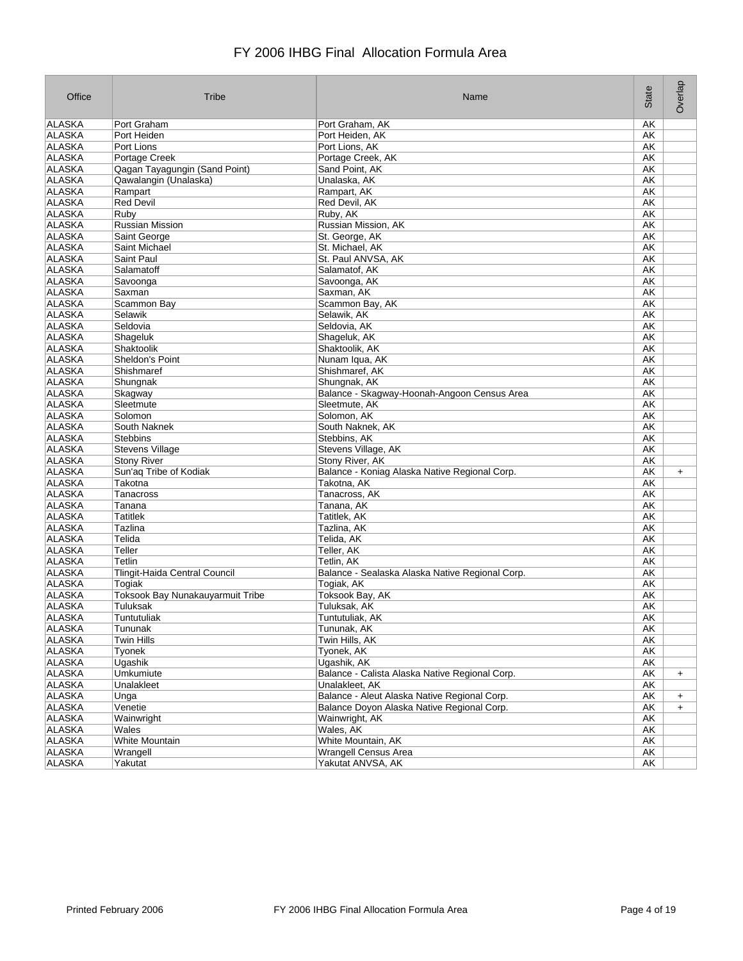| Office        | Tribe                            | Name                                            | State     | Overlap   |
|---------------|----------------------------------|-------------------------------------------------|-----------|-----------|
| ALASKA        | Port Graham                      | Port Graham, AK                                 | AΚ        |           |
| ALASKA        | Port Heiden                      | Port Heiden, AK                                 | АK        |           |
| <b>ALASKA</b> | Port Lions                       | Port Lions, AK                                  | АK        |           |
| ALASKA        | Portage Creek                    | Portage Creek, AK                               | АK        |           |
| ALASKA        | Qagan Tayagungin (Sand Point)    | Sand Point, AK                                  | АK        |           |
| ALASKA        | Qawalangin (Unalaska)            | Unalaska, AK                                    | AK        |           |
| <b>ALASKA</b> | Rampart                          | Rampart, AK                                     | AK        |           |
| <b>ALASKA</b> | <b>Red Devil</b>                 | Red Devil, AK                                   | AK        |           |
| <b>ALASKA</b> | Ruby                             | Ruby, AK                                        | AK        |           |
| <b>ALASKA</b> | <b>Russian Mission</b>           | Russian Mission, AK                             | <b>AK</b> |           |
| ALASKA        | Saint George                     | St. George, AK                                  | AK        |           |
| <b>ALASKA</b> | Saint Michael                    | St. Michael, AK                                 | AK        |           |
| ALASKA        | Saint Paul                       | St. Paul ANVSA, AK                              | AK        |           |
| <b>ALASKA</b> | Salamatoff                       | Salamatof, AK                                   | AK        |           |
| ALASKA        | Savoonga                         | Savoonga, AK                                    | AK        |           |
| ALASKA        | Saxman                           | Saxman, AK                                      | AK        |           |
| ALASKA        | Scammon Bay                      | Scammon Bay, AK                                 | АK        |           |
| ALASKA        | Selawik                          | Selawik, AK                                     | AK        |           |
| ALASKA        | Seldovia                         | Seldovia, AK                                    | AK        |           |
| ALASKA        | Shageluk                         | Shaqeluk, AK                                    | AK        |           |
| <b>ALASKA</b> | Shaktoolik                       | Shaktoolik, AK                                  | <b>AK</b> |           |
| <b>ALASKA</b> | Sheldon's Point                  | Nunam Iqua, AK                                  | АK        |           |
| <b>ALASKA</b> | Shishmaref                       | Shishmaref, AK                                  | AK        |           |
| <b>ALASKA</b> | Shungnak                         | Shungnak, AK                                    | АK        |           |
| <b>ALASKA</b> | Skagway                          | Balance - Skagway-Hoonah-Angoon Census Area     | AK        |           |
| ALASKA        | Sleetmute                        | Sleetmute, AK                                   | AK        |           |
| <b>ALASKA</b> | Solomon                          | Solomon, AK                                     | AK        |           |
| ALASKA        | South Naknek                     | South Naknek, AK                                | AK        |           |
| ALASKA        | <b>Stebbins</b>                  | Stebbins, AK                                    | АK        |           |
| ALASKA        | <b>Stevens Village</b>           | Stevens Village, AK                             | АK        |           |
| ALASKA        | <b>Stony River</b>               | Stony River, AK                                 | AK        |           |
| <b>ALASKA</b> | Sun'aq Tribe of Kodiak           | Balance - Koniag Alaska Native Regional Corp.   | AK        | $\ddot{}$ |
| ALASKA        | Takotna                          | Takotna, AK                                     | AK        |           |
| <b>ALASKA</b> | <b>Tanacross</b>                 | Tanacross, AK                                   | AK        |           |
| <b>ALASKA</b> | Tanana                           | Tanana, AK                                      | АK        |           |
| <b>ALASKA</b> | <b>Tatitlek</b>                  | Tatitlek, AK                                    | AK        |           |
| ALASKA        | Tazlina                          | Tazlina, AK                                     | АK        |           |
| ALASKA        | Telida                           | Telida, AK                                      | AΚ        |           |
| ALASKA        | Teller                           | Teller, AK                                      | AΚ        |           |
| <b>ALASKA</b> | Tetlin                           | Tetlin, AK                                      | AK        |           |
| ALASKA        | Tlingit-Haida Central Council    | Balance - Sealaska Alaska Native Regional Corp. | АK        |           |
| <b>ALASKA</b> | Togiak                           | Togiak, AK                                      | АK        |           |
| ALASKA        | Toksook Bay Nunakauyarmuit Tribe | Toksook Bay, AK                                 | AΚ        |           |
| ALASKA        | Tuluksak                         | Tuluksak, AK                                    | AΚ        |           |
| ALASKA        | Tuntutuliak                      | Tuntutuliak, AK                                 | AK        |           |
| <b>ALASKA</b> | Tununak                          | Tununak, AK                                     | AK        |           |
| <b>ALASKA</b> | Twin Hills                       | Twin Hills, AK                                  | AK        |           |
| ALASKA        | Tyonek                           | Tyonek, AK                                      | AK        |           |
| <b>ALASKA</b> | Ugashik                          | Ugashik, AK                                     | AK        |           |
| <b>ALASKA</b> | Umkumiute                        | Balance - Calista Alaska Native Regional Corp.  | AK        | $+$       |
| ALASKA        | Unalakleet                       | Unalakleet, AK                                  | AK        |           |
| ALASKA        | Unga                             | Balance - Aleut Alaska Native Regional Corp.    | AK        | $\ddot{}$ |
| ALASKA        | Venetie                          | Balance Doyon Alaska Native Regional Corp.      | AK        | $\ddot{}$ |
| ALASKA        | Wainwright                       | Wainwright, AK                                  | AK        |           |
| ALASKA        | Wales                            | Wales, AK                                       | АK        |           |
| ALASKA        | White Mountain                   | White Mountain, AK                              | AK        |           |
| <b>ALASKA</b> | Wrangell                         | Wrangell Census Area                            | AK        |           |
| ALASKA        | Yakutat                          | Yakutat ANVSA, AK                               | AK        |           |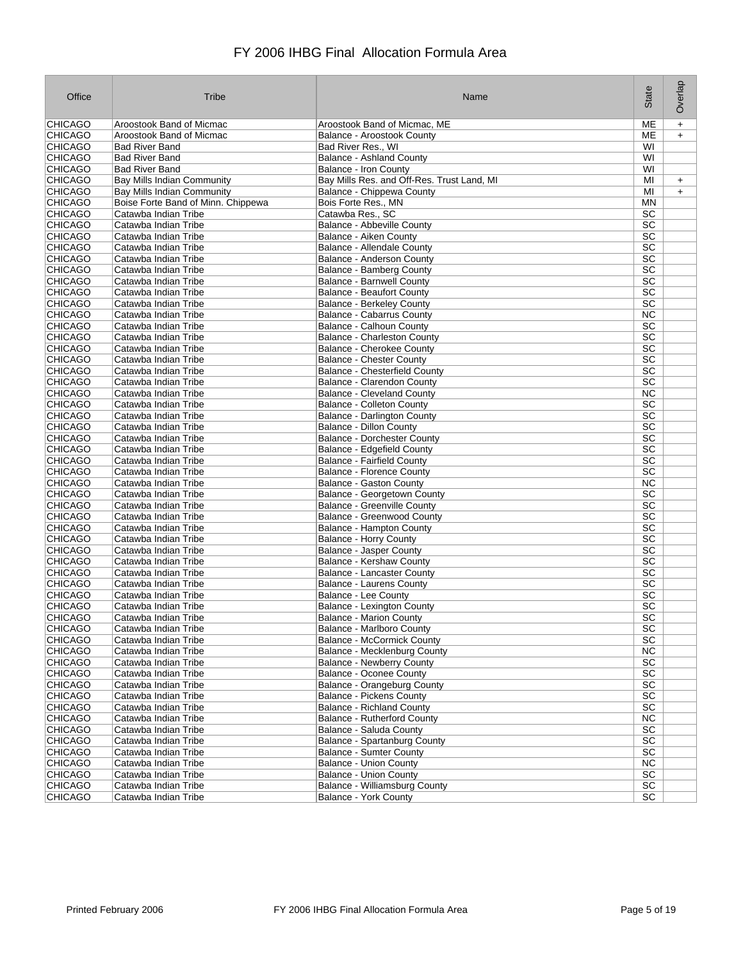| Office         | Tribe                              | Name                                                     | State           | Overlap   |
|----------------|------------------------------------|----------------------------------------------------------|-----------------|-----------|
| CHICAGO        | Aroostook Band of Micmac           | Aroostook Band of Micmac, ME                             | ME              | $\ddot{}$ |
| CHICAGO        | Aroostook Band of Micmac           | <b>Balance - Aroostook County</b>                        | MЕ              | $\ddot{}$ |
| <b>CHICAGO</b> | <b>Bad River Band</b>              | Bad River Res., WI                                       | WI              |           |
| <b>CHICAGO</b> | <b>Bad River Band</b>              | <b>Balance - Ashland County</b>                          | WI              |           |
| <b>CHICAGO</b> | <b>Bad River Band</b>              | <b>Balance - Iron County</b>                             | WI              |           |
| <b>CHICAGO</b> | <b>Bay Mills Indian Community</b>  | Bay Mills Res. and Off-Res. Trust Land, MI               | MI              | $\ddot{}$ |
| <b>CHICAGO</b> | Bay Mills Indian Community         | Balance - Chippewa County                                | MI              | $\ddot{}$ |
| <b>CHICAGO</b> | Boise Forte Band of Minn. Chippewa | Bois Forte Res., MN                                      | MN              |           |
| <b>CHICAGO</b> | Catawba Indian Tribe               | Catawba Res., SC                                         | <b>SC</b>       |           |
| <b>CHICAGO</b> | Catawba Indian Tribe               | <b>Balance - Abbeville County</b>                        | $\overline{SC}$ |           |
| <b>CHICAGO</b> | Catawba Indian Tribe               | Balance - Aiken County                                   | SC              |           |
| CHICAGO        | Catawba Indian Tribe               | Balance - Allendale County                               | $\overline{SC}$ |           |
| <b>CHICAGO</b> | Catawba Indian Tribe               | Balance - Anderson County                                | <b>SC</b>       |           |
| <b>CHICAGO</b> | Catawba Indian Tribe               | <b>Balance - Bamberg County</b>                          | SC              |           |
| <b>CHICAGO</b> | Catawba Indian Tribe               | <b>Balance - Barnwell County</b>                         | <b>SC</b>       |           |
| <b>CHICAGO</b> | Catawba Indian Tribe               | <b>Balance - Beaufort County</b>                         | <b>SC</b>       |           |
| <b>CHICAGO</b> | Catawba Indian Tribe               | <b>Balance - Berkeley County</b>                         | SC              |           |
| <b>CHICAGO</b> | Catawba Indian Tribe               | <b>Balance - Cabarrus County</b>                         | <b>NC</b>       |           |
| <b>CHICAGO</b> | Catawba Indian Tribe               | Balance - Calhoun County                                 | <b>SC</b>       |           |
| <b>CHICAGO</b> | Catawba Indian Tribe               | <b>Balance - Charleston County</b>                       | <b>SC</b>       |           |
| <b>CHICAGO</b> | Catawba Indian Tribe               | <b>Balance - Cherokee County</b>                         | $\overline{SC}$ |           |
| <b>CHICAGO</b> | Catawba Indian Tribe               | <b>Balance - Chester County</b>                          | <b>SC</b>       |           |
| <b>CHICAGO</b> | Catawba Indian Tribe               | <b>Balance - Chesterfield County</b>                     | SC              |           |
| <b>CHICAGO</b> | Catawba Indian Tribe               | <b>Balance - Clarendon County</b>                        | SC              |           |
| CHICAGO        | Catawba Indian Tribe               | <b>Balance - Cleveland County</b>                        | <b>NC</b>       |           |
| <b>CHICAGO</b> | Catawba Indian Tribe               | <b>Balance - Colleton County</b>                         | <b>SC</b>       |           |
| <b>CHICAGO</b> | Catawba Indian Tribe               | <b>Balance - Darlington County</b>                       | SC              |           |
| <b>CHICAGO</b> | Catawba Indian Tribe               | <b>Balance - Dillon County</b>                           | <b>SC</b>       |           |
| <b>CHICAGO</b> | Catawba Indian Tribe               | <b>Balance - Dorchester County</b>                       | $\overline{SC}$ |           |
| <b>CHICAGO</b> | Catawba Indian Tribe               | Balance - Edgefield County                               | SC              |           |
| <b>CHICAGO</b> | Catawba Indian Tribe               | <b>Balance - Fairfield County</b>                        | $\overline{SC}$ |           |
| <b>CHICAGO</b> | Catawba Indian Tribe               | <b>Balance - Florence County</b>                         | $\overline{SC}$ |           |
| <b>CHICAGO</b> | Catawba Indian Tribe               | <b>Balance - Gaston County</b>                           | NC              |           |
| <b>CHICAGO</b> | Catawba Indian Tribe               | Balance - Georgetown County                              | <b>SC</b>       |           |
| <b>CHICAGO</b> | Catawba Indian Tribe               | <b>Balance - Greenville County</b>                       | $\overline{SC}$ |           |
| <b>CHICAGO</b> | Catawba Indian Tribe               | <b>Balance - Greenwood County</b>                        | SC              |           |
| <b>CHICAGO</b> |                                    |                                                          | <b>SC</b>       |           |
| <b>CHICAGO</b> | Catawba Indian Tribe               | <b>Balance - Hampton County</b>                          | SC              |           |
|                | Catawba Indian Tribe               | Balance - Horry County<br><b>Balance - Jasper County</b> | <b>SC</b>       |           |
| <b>CHICAGO</b> | Catawba Indian Tribe               |                                                          |                 |           |
| <b>CHICAGO</b> | Catawba Indian Tribe               | <b>Balance - Kershaw County</b>                          | $\overline{SC}$ |           |
| <b>CHICAGO</b> | Catawba Indian Tribe               | <b>Balance - Lancaster County</b>                        | SC              |           |
| <b>CHICAGO</b> | Catawba Indian Tribe               | <b>Balance - Laurens County</b>                          | SC              |           |
| <b>CHICAGO</b> | Catawba Indian Tribe               | <b>Balance - Lee County</b>                              | <b>SC</b>       |           |
| <b>CHICAGO</b> | Catawba Indian Tribe               | Balance - Lexington County                               | SC              |           |
| <b>CHICAGO</b> | Catawba Indian Tribe               | <b>Balance - Marion County</b>                           | SC              |           |
| <b>CHICAGO</b> | Catawba Indian Tribe               | Balance - Marlboro County                                | SC              |           |
| CHICAGO        | Catawba Indian Tribe               | <b>Balance - McCormick County</b>                        | <b>SC</b>       |           |
| <b>CHICAGO</b> | Catawba Indian Tribe               | Balance - Mecklenburg County                             | NC              |           |
| <b>CHICAGO</b> | Catawba Indian Tribe               | <b>Balance - Newberry County</b>                         | $\overline{SC}$ |           |
| <b>CHICAGO</b> | Catawba Indian Tribe               | <b>Balance - Oconee County</b>                           | SC              |           |
| <b>CHICAGO</b> | Catawba Indian Tribe               | Balance - Orangeburg County                              | $\overline{SC}$ |           |
| <b>CHICAGO</b> | Catawba Indian Tribe               | Balance - Pickens County                                 | SC              |           |
| <b>CHICAGO</b> | Catawba Indian Tribe               | <b>Balance - Richland County</b>                         | SC              |           |
| <b>CHICAGO</b> | Catawba Indian Tribe               | <b>Balance - Rutherford County</b>                       | <b>NC</b>       |           |
| <b>CHICAGO</b> | Catawba Indian Tribe               | Balance - Saluda County                                  | <b>SC</b>       |           |
| <b>CHICAGO</b> | Catawba Indian Tribe               | <b>Balance - Spartanburg County</b>                      | SC              |           |
| <b>CHICAGO</b> | Catawba Indian Tribe               | <b>Balance - Sumter County</b>                           | SC              |           |
| <b>CHICAGO</b> | Catawba Indian Tribe               | <b>Balance - Union County</b>                            | NC              |           |
| <b>CHICAGO</b> | Catawba Indian Tribe               | <b>Balance - Union County</b>                            | <b>SC</b>       |           |
| <b>CHICAGO</b> | Catawba Indian Tribe               | Balance - Williamsburg County                            | SC              |           |
| <b>CHICAGO</b> | Catawba Indian Tribe               | <b>Balance - York County</b>                             | <b>SC</b>       |           |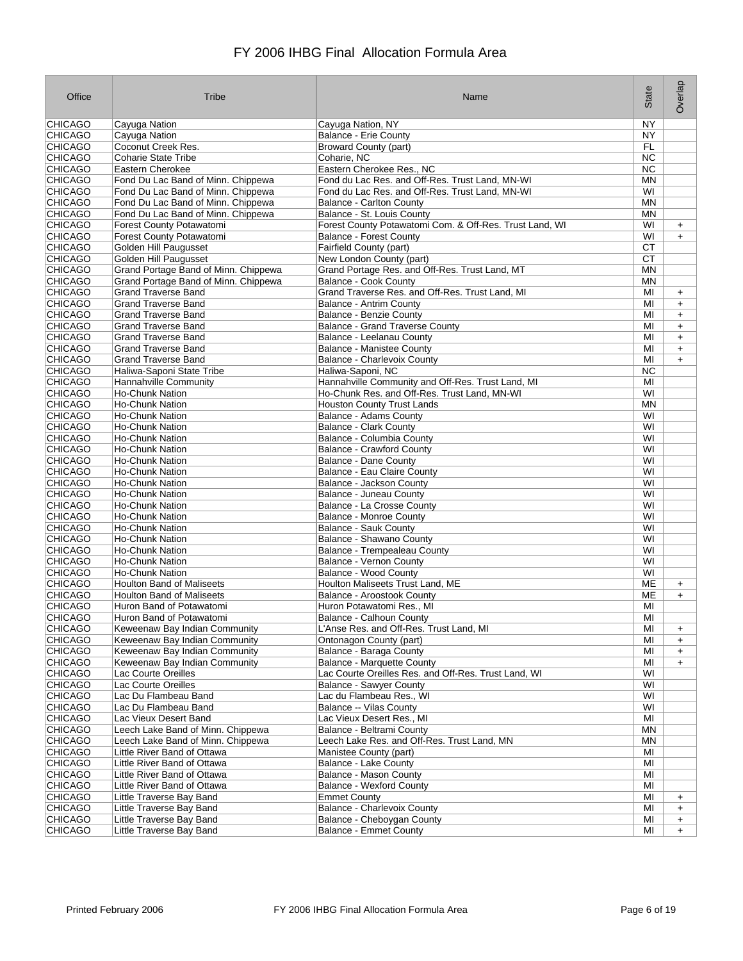| Office                           | Tribe                                                          | Name                                                                     | State           | Overlap   |
|----------------------------------|----------------------------------------------------------------|--------------------------------------------------------------------------|-----------------|-----------|
| CHICAGO                          | Cayuga Nation                                                  | Cayuga Nation, NY                                                        | NY              |           |
| <b>CHICAGO</b>                   | Cayuga Nation                                                  | <b>Balance - Erie County</b>                                             | <b>NY</b>       |           |
| <b>CHICAGO</b>                   | Coconut Creek Res.                                             | <b>Broward County (part)</b>                                             | <b>FL</b>       |           |
| <b>CHICAGO</b>                   | <b>Coharie State Tribe</b>                                     | Coharie, NC                                                              | NC.             |           |
| <b>CHICAGO</b>                   | Eastern Cherokee                                               | Eastern Cherokee Res., NC                                                | NC              |           |
| <b>CHICAGO</b>                   | Fond Du Lac Band of Minn. Chippewa                             | Fond du Lac Res. and Off-Res. Trust Land, MN-WI                          | MN              |           |
| <b>CHICAGO</b>                   | Fond Du Lac Band of Minn. Chippewa                             | Fond du Lac Res. and Off-Res. Trust Land, MN-WI                          | WI              |           |
| <b>CHICAGO</b>                   | Fond Du Lac Band of Minn. Chippewa                             | <b>Balance - Carlton County</b>                                          | <b>MN</b>       |           |
| <b>CHICAGO</b>                   | Fond Du Lac Band of Minn. Chippewa<br>Forest County Potawatomi | Balance - St. Louis County                                               | ΜN<br>WI        |           |
| <b>CHICAGO</b><br><b>CHICAGO</b> |                                                                | Forest County Potawatomi Com. & Off-Res. Trust Land, WI                  |                 | $\ddot{}$ |
| <b>CHICAGO</b>                   | Forest County Potawatomi<br>Golden Hill Paugusset              | <b>Balance - Forest County</b><br>Fairfield County (part)                | WI<br><b>CT</b> | $+$       |
| <b>CHICAGO</b>                   | Golden Hill Paugusset                                          | New London County (part)                                                 | <b>CT</b>       |           |
| <b>CHICAGO</b>                   | Grand Portage Band of Minn. Chippewa                           | Grand Portage Res. and Off-Res. Trust Land, MT                           | <b>MN</b>       |           |
| <b>CHICAGO</b>                   | Grand Portage Band of Minn. Chippewa                           | <b>Balance - Cook County</b>                                             | MN              |           |
| <b>CHICAGO</b>                   | <b>Grand Traverse Band</b>                                     | Grand Traverse Res. and Off-Res. Trust Land, MI                          | MI              | $\ddot{}$ |
| <b>CHICAGO</b>                   | <b>Grand Traverse Band</b>                                     | Balance - Antrim County                                                  | MI              | $+$       |
| <b>CHICAGO</b>                   | <b>Grand Traverse Band</b>                                     | <b>Balance - Benzie County</b>                                           | MI              | $\ddot{}$ |
| <b>CHICAGO</b>                   | <b>Grand Traverse Band</b>                                     | <b>Balance - Grand Traverse County</b>                                   | MI              | $\ddot{}$ |
| <b>CHICAGO</b>                   | <b>Grand Traverse Band</b>                                     | Balance - Leelanau County                                                | MI              | $\ddot{}$ |
| <b>CHICAGO</b>                   | <b>Grand Traverse Band</b>                                     | <b>Balance - Manistee County</b>                                         | MI              | $\ddot{}$ |
| <b>CHICAGO</b>                   | <b>Grand Traverse Band</b>                                     | <b>Balance - Charlevoix County</b>                                       | MI              | $\ddot{}$ |
| <b>CHICAGO</b>                   | Haliwa-Saponi State Tribe                                      | Haliwa-Saponi, NC                                                        | <b>NC</b>       |           |
| <b>CHICAGO</b>                   | <b>Hannahville Community</b>                                   | Hannahville Community and Off-Res. Trust Land, MI                        | MI              |           |
| <b>CHICAGO</b>                   | <b>Ho-Chunk Nation</b>                                         | Ho-Chunk Res. and Off-Res. Trust Land, MN-WI                             | WI              |           |
| <b>CHICAGO</b>                   | <b>Ho-Chunk Nation</b>                                         | <b>Houston County Trust Lands</b>                                        | <b>MN</b>       |           |
| <b>CHICAGO</b>                   | <b>Ho-Chunk Nation</b>                                         | <b>Balance - Adams County</b>                                            | WI              |           |
| <b>CHICAGO</b>                   | <b>Ho-Chunk Nation</b>                                         | <b>Balance - Clark County</b>                                            | WI              |           |
| <b>CHICAGO</b>                   | <b>Ho-Chunk Nation</b>                                         | Balance - Columbia County                                                | WI              |           |
| <b>CHICAGO</b>                   | <b>Ho-Chunk Nation</b>                                         | <b>Balance - Crawford County</b>                                         | WI              |           |
| <b>CHICAGO</b>                   | <b>Ho-Chunk Nation</b>                                         | <b>Balance - Dane County</b>                                             | WI              |           |
| <b>CHICAGO</b>                   | <b>Ho-Chunk Nation</b>                                         | Balance - Eau Claire County                                              | WI              |           |
| <b>CHICAGO</b>                   | <b>Ho-Chunk Nation</b>                                         | Balance - Jackson County                                                 | WI              |           |
| <b>CHICAGO</b><br><b>CHICAGO</b> | <b>Ho-Chunk Nation</b><br><b>Ho-Chunk Nation</b>               | Balance - Juneau County<br>Balance - La Crosse County                    | WI<br>WI        |           |
| <b>CHICAGO</b>                   | <b>Ho-Chunk Nation</b>                                         | <b>Balance - Monroe County</b>                                           | WI              |           |
| <b>CHICAGO</b>                   | <b>Ho-Chunk Nation</b>                                         | <b>Balance - Sauk County</b>                                             | WI              |           |
| <b>CHICAGO</b>                   | <b>Ho-Chunk Nation</b>                                         | Balance - Shawano County                                                 | WI              |           |
| <b>CHICAGO</b>                   | <b>Ho-Chunk Nation</b>                                         | Balance - Trempealeau County                                             | WI              |           |
| <b>CHICAGO</b>                   | <b>Ho-Chunk Nation</b>                                         | Balance - Vernon County                                                  | WI              |           |
| <b>CHICAGO</b>                   | <b>Ho-Chunk Nation</b>                                         | Balance - Wood County                                                    | WI              |           |
| <b>CHICAGO</b>                   | <b>Houlton Band of Maliseets</b>                               | Houlton Maliseets Trust Land, ME                                         | ME              | $\ddot{}$ |
| <b>CHICAGO</b>                   | <b>Houlton Band of Maliseets</b>                               | Balance - Aroostook County                                               | ME              | $\ddot{}$ |
| <b>CHICAGO</b>                   | Huron Band of Potawatomi                                       | Huron Potawatomi Res., MI                                                | MI              |           |
| <b>CHICAGO</b>                   | Huron Band of Potawatomi                                       | Balance - Calhoun County                                                 | MI              |           |
| <b>CHICAGO</b>                   | Keweenaw Bay Indian Community                                  | L'Anse Res. and Off-Res. Trust Land, MI                                  | MI              | $\ddot{}$ |
| <b>CHICAGO</b>                   | Keweenaw Bay Indian Community                                  | Ontonagon County (part)                                                  | MI              | $+$       |
| <b>CHICAGO</b>                   | Keweenaw Bay Indian Community                                  | Balance - Baraga County                                                  | MI              | $\ddot{}$ |
| <b>CHICAGO</b>                   | Keweenaw Bay Indian Community                                  | <b>Balance - Marquette County</b>                                        | MI              | $+$       |
| <b>CHICAGO</b>                   | Lac Courte Oreilles                                            | Lac Courte Oreilles Res. and Off-Res. Trust Land, WI                     | WI              |           |
| <b>CHICAGO</b>                   | Lac Courte Oreilles                                            | <b>Balance - Sawyer County</b>                                           | WI              |           |
| <b>CHICAGO</b>                   | Lac Du Flambeau Band                                           | Lac du Flambeau Res., WI                                                 | WI              |           |
| <b>CHICAGO</b>                   | Lac Du Flambeau Band                                           | Balance -- Vilas County                                                  | WI              |           |
| <b>CHICAGO</b>                   | Lac Vieux Desert Band<br>Leech Lake Band of Minn. Chippewa     | Lac Vieux Desert Res., MI                                                | MI              |           |
| <b>CHICAGO</b><br><b>CHICAGO</b> | Leech Lake Band of Minn. Chippewa                              | Balance - Beltrami County<br>Leech Lake Res. and Off-Res. Trust Land. MN | ΜN<br>ΜN        |           |
| <b>CHICAGO</b>                   | Little River Band of Ottawa                                    | Manistee County (part)                                                   | MI              |           |
| <b>CHICAGO</b>                   | Little River Band of Ottawa                                    | <b>Balance - Lake County</b>                                             | MI              |           |
| <b>CHICAGO</b>                   | Little River Band of Ottawa                                    | Balance - Mason County                                                   | MI              |           |
| <b>CHICAGO</b>                   | Little River Band of Ottawa                                    | <b>Balance - Wexford County</b>                                          | MI              |           |
| <b>CHICAGO</b>                   | Little Traverse Bay Band                                       | <b>Emmet County</b>                                                      | MI              | $\ddot{}$ |
| <b>CHICAGO</b>                   | Little Traverse Bay Band                                       | <b>Balance - Charlevoix County</b>                                       | MI              | $\ddot{}$ |
| <b>CHICAGO</b>                   | Little Traverse Bay Band                                       | Balance - Cheboygan County                                               | ΜI              | $\ddot{}$ |
| <b>CHICAGO</b>                   | Little Traverse Bay Band                                       | <b>Balance - Emmet County</b>                                            | MI              | $+$       |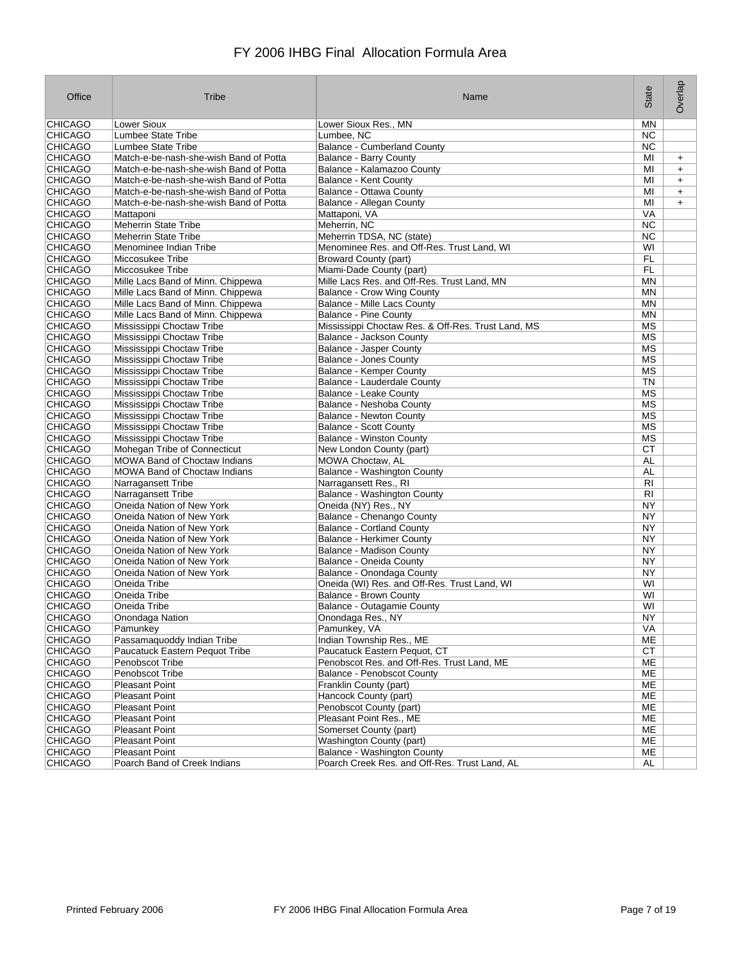| <b>CHICAGO</b><br><b>Lower Sioux</b><br>Lower Sioux Res., MN<br>ΜN<br>CHICAGO<br>Lumbee State Tribe<br>Lumbee, NC<br>NC.<br><b>CHICAGO</b><br>Lumbee State Tribe<br><b>Balance - Cumberland County</b><br><b>NC</b><br><b>CHICAGO</b><br><b>Balance - Barry County</b><br>MI<br>Match-e-be-nash-she-wish Band of Potta<br>$+$<br><b>CHICAGO</b><br>Match-e-be-nash-she-wish Band of Potta<br>Balance - Kalamazoo County<br>MI<br>$\ddot{}$<br><b>CHICAGO</b><br>Match-e-be-nash-she-wish Band of Potta<br>Balance - Kent County<br>MI<br>$\ddot{}$<br><b>CHICAGO</b><br>Match-e-be-nash-she-wish Band of Potta<br>Balance - Ottawa County<br>MI<br>$\ddot{}$<br><b>CHICAGO</b><br>Match-e-be-nash-she-wish Band of Potta<br>Balance - Allegan County<br>MI<br>$+$<br><b>CHICAGO</b><br>Mattaponi<br>Mattaponi, VA<br><b>VA</b><br><b>CHICAGO</b><br><b>NC</b><br><b>Meherrin State Tribe</b><br>Meherrin, NC<br><b>CHICAGO</b><br><b>NC</b><br><b>Meherrin State Tribe</b><br>Meherrin TDSA, NC (state)<br><b>CHICAGO</b><br>WI<br>Menominee Indian Tribe<br>Menominee Res. and Off-Res. Trust Land, WI<br><b>CHICAGO</b><br>Miccosukee Tribe<br><b>Broward County (part)</b><br>FL<br><b>CHICAGO</b><br><b>FL</b><br>Miccosukee Tribe<br>Miami-Dade County (part)<br><b>CHICAGO</b><br>Mille Lacs Band of Minn. Chippewa<br>Mille Lacs Res. and Off-Res. Trust Land, MN<br>MN<br><b>CHICAGO</b><br><b>Balance - Crow Wing County</b><br>MN<br>Mille Lacs Band of Minn. Chippewa<br><b>CHICAGO</b><br>Mille Lacs Band of Minn. Chippewa<br>Balance - Mille Lacs County<br>ΜN<br><b>CHICAGO</b><br>Mille Lacs Band of Minn. Chippewa<br><b>Balance - Pine County</b><br>ΜN<br><b>CHICAGO</b><br><b>MS</b><br>Mississippi Choctaw Tribe<br>Mississippi Choctaw Res. & Off-Res. Trust Land, MS<br><b>CHICAGO</b><br>Mississippi Choctaw Tribe<br><b>MS</b><br>Balance - Jackson County<br><b>CHICAGO</b><br>Mississippi Choctaw Tribe<br><b>Balance - Jasper County</b><br>МS<br><b>CHICAGO</b><br><b>MS</b><br>Mississippi Choctaw Tribe<br><b>Balance - Jones County</b><br>CHICAGO<br><b>MS</b><br>Mississippi Choctaw Tribe<br><b>Balance - Kemper County</b><br><b>CHICAGO</b><br>Mississippi Choctaw Tribe<br>Balance - Lauderdale County<br>TN<br><b>CHICAGO</b><br><b>MS</b><br>Mississippi Choctaw Tribe<br><b>Balance - Leake County</b><br><b>CHICAGO</b><br>Mississippi Choctaw Tribe<br>Balance - Neshoba County<br>МS<br><b>MS</b><br><b>CHICAGO</b><br>Mississippi Choctaw Tribe<br><b>Balance - Newton County</b><br><b>CHICAGO</b><br><b>MS</b><br>Mississippi Choctaw Tribe<br><b>Balance - Scott County</b><br><b>CHICAGO</b><br><b>MS</b><br>Mississippi Choctaw Tribe<br><b>Balance - Winston County</b><br><b>CHICAGO</b><br>Mohegan Tribe of Connecticut<br>New London County (part)<br>СT<br><b>CHICAGO</b><br><b>MOWA Band of Choctaw Indians</b><br>MOWA Choctaw, AL<br>AL<br><b>CHICAGO</b><br><b>MOWA Band of Choctaw Indians</b><br>Balance - Washington County<br>AL<br><b>CHICAGO</b><br>R <sub>l</sub><br>Narragansett Tribe<br>Narragansett Res., RI<br><b>CHICAGO</b><br>R <sub>1</sub><br>Narragansett Tribe<br>Balance - Washington County<br>Oneida Nation of New York<br><b>CHICAGO</b><br>Oneida (NY) Res., NY<br>ΝY<br>CHICAGO<br><b>NY</b><br>Oneida Nation of New York<br>Balance - Chenango County<br><b>CHICAGO</b><br>Oneida Nation of New York<br><b>Balance - Cortland County</b><br>NY.<br><b>CHICAGO</b><br><b>Balance - Herkimer County</b><br>ΝY<br>Oneida Nation of New York<br><b>CHICAGO</b><br>Oneida Nation of New York<br><b>Balance - Madison County</b><br>NY.<br><b>CHICAGO</b><br>Oneida Nation of New York<br>Balance - Oneida County<br>NY<br><b>CHICAGO</b><br>Oneida Nation of New York<br>Balance - Onondaga County<br>NY.<br><b>CHICAGO</b><br>WI<br>Oneida Tribe<br>Oneida (WI) Res. and Off-Res. Trust Land, WI<br><b>CHICAGO</b><br>WI<br>Oneida Tribe<br><b>Balance - Brown County</b><br><b>CHICAGO</b><br>WI<br>Oneida Tribe<br>Balance - Outagamie County<br><b>CHICAGO</b><br><b>NY</b><br>Onondaga Nation<br>Onondaga Res., NY<br><b>VA</b><br><b>CHICAGO</b><br>Pamunkey, VA<br>Pamunkey<br><b>CHICAGO</b><br>ME<br>Passamaquoddy Indian Tribe<br>Indian Township Res., ME<br><b>CHICAGO</b><br><b>CT</b><br>Paucatuck Eastern Pequot Tribe<br>Paucatuck Eastern Pequot, CT<br><b>CHICAGO</b><br><b>ME</b><br>Penobscot Res. and Off-Res. Trust Land, ME<br>Penobscot Tribe<br><b>CHICAGO</b><br>Penobscot Tribe<br><b>Balance - Penobscot County</b><br>ME<br><b>CHICAGO</b><br>ME<br><b>Pleasant Point</b><br>Franklin County (part)<br>ME<br><b>CHICAGO</b><br><b>Pleasant Point</b><br>Hancock County (part)<br>ME<br><b>CHICAGO</b><br><b>Pleasant Point</b><br>Penobscot County (part)<br><b>CHICAGO</b><br>ME<br><b>Pleasant Point</b><br>Pleasant Point Res., ME<br>CHICAGO<br><b>Pleasant Point</b><br>Somerset County (part)<br>ME<br><b>CHICAGO</b><br>ME<br><b>Pleasant Point</b><br>Washington County (part)<br><b>CHICAGO</b><br><b>Pleasant Point</b><br>Balance - Washington County<br>ME<br><b>CHICAGO</b><br>Poarch Band of Creek Indians<br>Poarch Creek Res. and Off-Res. Trust Land. AL<br>AL | Office | Tribe | Name | State | Overlap |
|----------------------------------------------------------------------------------------------------------------------------------------------------------------------------------------------------------------------------------------------------------------------------------------------------------------------------------------------------------------------------------------------------------------------------------------------------------------------------------------------------------------------------------------------------------------------------------------------------------------------------------------------------------------------------------------------------------------------------------------------------------------------------------------------------------------------------------------------------------------------------------------------------------------------------------------------------------------------------------------------------------------------------------------------------------------------------------------------------------------------------------------------------------------------------------------------------------------------------------------------------------------------------------------------------------------------------------------------------------------------------------------------------------------------------------------------------------------------------------------------------------------------------------------------------------------------------------------------------------------------------------------------------------------------------------------------------------------------------------------------------------------------------------------------------------------------------------------------------------------------------------------------------------------------------------------------------------------------------------------------------------------------------------------------------------------------------------------------------------------------------------------------------------------------------------------------------------------------------------------------------------------------------------------------------------------------------------------------------------------------------------------------------------------------------------------------------------------------------------------------------------------------------------------------------------------------------------------------------------------------------------------------------------------------------------------------------------------------------------------------------------------------------------------------------------------------------------------------------------------------------------------------------------------------------------------------------------------------------------------------------------------------------------------------------------------------------------------------------------------------------------------------------------------------------------------------------------------------------------------------------------------------------------------------------------------------------------------------------------------------------------------------------------------------------------------------------------------------------------------------------------------------------------------------------------------------------------------------------------------------------------------------------------------------------------------------------------------------------------------------------------------------------------------------------------------------------------------------------------------------------------------------------------------------------------------------------------------------------------------------------------------------------------------------------------------------------------------------------------------------------------------------------------------------------------------------------------------------------------------------------------------------------------------------------------------------------------------------------------------------------------------------------------------------------------------------------------------------------------------------------------------------------------------------------------------------------------------------------------------------------------------------------------------------------------------------------------------------------------------------------------------------------------------------------------------------------------------------------------------------------------------------------------------------------------------------------------------------------------------------------------------------------------------------------------------------------------------------------------------------------------------------------------------------------------------------|--------|-------|------|-------|---------|
|                                                                                                                                                                                                                                                                                                                                                                                                                                                                                                                                                                                                                                                                                                                                                                                                                                                                                                                                                                                                                                                                                                                                                                                                                                                                                                                                                                                                                                                                                                                                                                                                                                                                                                                                                                                                                                                                                                                                                                                                                                                                                                                                                                                                                                                                                                                                                                                                                                                                                                                                                                                                                                                                                                                                                                                                                                                                                                                                                                                                                                                                                                                                                                                                                                                                                                                                                                                                                                                                                                                                                                                                                                                                                                                                                                                                                                                                                                                                                                                                                                                                                                                                                                                                                                                                                                                                                                                                                                                                                                                                                                                                                                                                                                                                                                                                                                                                                                                                                                                                                                                                                                                                                                                              |        |       |      |       |         |
|                                                                                                                                                                                                                                                                                                                                                                                                                                                                                                                                                                                                                                                                                                                                                                                                                                                                                                                                                                                                                                                                                                                                                                                                                                                                                                                                                                                                                                                                                                                                                                                                                                                                                                                                                                                                                                                                                                                                                                                                                                                                                                                                                                                                                                                                                                                                                                                                                                                                                                                                                                                                                                                                                                                                                                                                                                                                                                                                                                                                                                                                                                                                                                                                                                                                                                                                                                                                                                                                                                                                                                                                                                                                                                                                                                                                                                                                                                                                                                                                                                                                                                                                                                                                                                                                                                                                                                                                                                                                                                                                                                                                                                                                                                                                                                                                                                                                                                                                                                                                                                                                                                                                                                                              |        |       |      |       |         |
|                                                                                                                                                                                                                                                                                                                                                                                                                                                                                                                                                                                                                                                                                                                                                                                                                                                                                                                                                                                                                                                                                                                                                                                                                                                                                                                                                                                                                                                                                                                                                                                                                                                                                                                                                                                                                                                                                                                                                                                                                                                                                                                                                                                                                                                                                                                                                                                                                                                                                                                                                                                                                                                                                                                                                                                                                                                                                                                                                                                                                                                                                                                                                                                                                                                                                                                                                                                                                                                                                                                                                                                                                                                                                                                                                                                                                                                                                                                                                                                                                                                                                                                                                                                                                                                                                                                                                                                                                                                                                                                                                                                                                                                                                                                                                                                                                                                                                                                                                                                                                                                                                                                                                                                              |        |       |      |       |         |
|                                                                                                                                                                                                                                                                                                                                                                                                                                                                                                                                                                                                                                                                                                                                                                                                                                                                                                                                                                                                                                                                                                                                                                                                                                                                                                                                                                                                                                                                                                                                                                                                                                                                                                                                                                                                                                                                                                                                                                                                                                                                                                                                                                                                                                                                                                                                                                                                                                                                                                                                                                                                                                                                                                                                                                                                                                                                                                                                                                                                                                                                                                                                                                                                                                                                                                                                                                                                                                                                                                                                                                                                                                                                                                                                                                                                                                                                                                                                                                                                                                                                                                                                                                                                                                                                                                                                                                                                                                                                                                                                                                                                                                                                                                                                                                                                                                                                                                                                                                                                                                                                                                                                                                                              |        |       |      |       |         |
|                                                                                                                                                                                                                                                                                                                                                                                                                                                                                                                                                                                                                                                                                                                                                                                                                                                                                                                                                                                                                                                                                                                                                                                                                                                                                                                                                                                                                                                                                                                                                                                                                                                                                                                                                                                                                                                                                                                                                                                                                                                                                                                                                                                                                                                                                                                                                                                                                                                                                                                                                                                                                                                                                                                                                                                                                                                                                                                                                                                                                                                                                                                                                                                                                                                                                                                                                                                                                                                                                                                                                                                                                                                                                                                                                                                                                                                                                                                                                                                                                                                                                                                                                                                                                                                                                                                                                                                                                                                                                                                                                                                                                                                                                                                                                                                                                                                                                                                                                                                                                                                                                                                                                                                              |        |       |      |       |         |
|                                                                                                                                                                                                                                                                                                                                                                                                                                                                                                                                                                                                                                                                                                                                                                                                                                                                                                                                                                                                                                                                                                                                                                                                                                                                                                                                                                                                                                                                                                                                                                                                                                                                                                                                                                                                                                                                                                                                                                                                                                                                                                                                                                                                                                                                                                                                                                                                                                                                                                                                                                                                                                                                                                                                                                                                                                                                                                                                                                                                                                                                                                                                                                                                                                                                                                                                                                                                                                                                                                                                                                                                                                                                                                                                                                                                                                                                                                                                                                                                                                                                                                                                                                                                                                                                                                                                                                                                                                                                                                                                                                                                                                                                                                                                                                                                                                                                                                                                                                                                                                                                                                                                                                                              |        |       |      |       |         |
|                                                                                                                                                                                                                                                                                                                                                                                                                                                                                                                                                                                                                                                                                                                                                                                                                                                                                                                                                                                                                                                                                                                                                                                                                                                                                                                                                                                                                                                                                                                                                                                                                                                                                                                                                                                                                                                                                                                                                                                                                                                                                                                                                                                                                                                                                                                                                                                                                                                                                                                                                                                                                                                                                                                                                                                                                                                                                                                                                                                                                                                                                                                                                                                                                                                                                                                                                                                                                                                                                                                                                                                                                                                                                                                                                                                                                                                                                                                                                                                                                                                                                                                                                                                                                                                                                                                                                                                                                                                                                                                                                                                                                                                                                                                                                                                                                                                                                                                                                                                                                                                                                                                                                                                              |        |       |      |       |         |
|                                                                                                                                                                                                                                                                                                                                                                                                                                                                                                                                                                                                                                                                                                                                                                                                                                                                                                                                                                                                                                                                                                                                                                                                                                                                                                                                                                                                                                                                                                                                                                                                                                                                                                                                                                                                                                                                                                                                                                                                                                                                                                                                                                                                                                                                                                                                                                                                                                                                                                                                                                                                                                                                                                                                                                                                                                                                                                                                                                                                                                                                                                                                                                                                                                                                                                                                                                                                                                                                                                                                                                                                                                                                                                                                                                                                                                                                                                                                                                                                                                                                                                                                                                                                                                                                                                                                                                                                                                                                                                                                                                                                                                                                                                                                                                                                                                                                                                                                                                                                                                                                                                                                                                                              |        |       |      |       |         |
|                                                                                                                                                                                                                                                                                                                                                                                                                                                                                                                                                                                                                                                                                                                                                                                                                                                                                                                                                                                                                                                                                                                                                                                                                                                                                                                                                                                                                                                                                                                                                                                                                                                                                                                                                                                                                                                                                                                                                                                                                                                                                                                                                                                                                                                                                                                                                                                                                                                                                                                                                                                                                                                                                                                                                                                                                                                                                                                                                                                                                                                                                                                                                                                                                                                                                                                                                                                                                                                                                                                                                                                                                                                                                                                                                                                                                                                                                                                                                                                                                                                                                                                                                                                                                                                                                                                                                                                                                                                                                                                                                                                                                                                                                                                                                                                                                                                                                                                                                                                                                                                                                                                                                                                              |        |       |      |       |         |
|                                                                                                                                                                                                                                                                                                                                                                                                                                                                                                                                                                                                                                                                                                                                                                                                                                                                                                                                                                                                                                                                                                                                                                                                                                                                                                                                                                                                                                                                                                                                                                                                                                                                                                                                                                                                                                                                                                                                                                                                                                                                                                                                                                                                                                                                                                                                                                                                                                                                                                                                                                                                                                                                                                                                                                                                                                                                                                                                                                                                                                                                                                                                                                                                                                                                                                                                                                                                                                                                                                                                                                                                                                                                                                                                                                                                                                                                                                                                                                                                                                                                                                                                                                                                                                                                                                                                                                                                                                                                                                                                                                                                                                                                                                                                                                                                                                                                                                                                                                                                                                                                                                                                                                                              |        |       |      |       |         |
|                                                                                                                                                                                                                                                                                                                                                                                                                                                                                                                                                                                                                                                                                                                                                                                                                                                                                                                                                                                                                                                                                                                                                                                                                                                                                                                                                                                                                                                                                                                                                                                                                                                                                                                                                                                                                                                                                                                                                                                                                                                                                                                                                                                                                                                                                                                                                                                                                                                                                                                                                                                                                                                                                                                                                                                                                                                                                                                                                                                                                                                                                                                                                                                                                                                                                                                                                                                                                                                                                                                                                                                                                                                                                                                                                                                                                                                                                                                                                                                                                                                                                                                                                                                                                                                                                                                                                                                                                                                                                                                                                                                                                                                                                                                                                                                                                                                                                                                                                                                                                                                                                                                                                                                              |        |       |      |       |         |
|                                                                                                                                                                                                                                                                                                                                                                                                                                                                                                                                                                                                                                                                                                                                                                                                                                                                                                                                                                                                                                                                                                                                                                                                                                                                                                                                                                                                                                                                                                                                                                                                                                                                                                                                                                                                                                                                                                                                                                                                                                                                                                                                                                                                                                                                                                                                                                                                                                                                                                                                                                                                                                                                                                                                                                                                                                                                                                                                                                                                                                                                                                                                                                                                                                                                                                                                                                                                                                                                                                                                                                                                                                                                                                                                                                                                                                                                                                                                                                                                                                                                                                                                                                                                                                                                                                                                                                                                                                                                                                                                                                                                                                                                                                                                                                                                                                                                                                                                                                                                                                                                                                                                                                                              |        |       |      |       |         |
|                                                                                                                                                                                                                                                                                                                                                                                                                                                                                                                                                                                                                                                                                                                                                                                                                                                                                                                                                                                                                                                                                                                                                                                                                                                                                                                                                                                                                                                                                                                                                                                                                                                                                                                                                                                                                                                                                                                                                                                                                                                                                                                                                                                                                                                                                                                                                                                                                                                                                                                                                                                                                                                                                                                                                                                                                                                                                                                                                                                                                                                                                                                                                                                                                                                                                                                                                                                                                                                                                                                                                                                                                                                                                                                                                                                                                                                                                                                                                                                                                                                                                                                                                                                                                                                                                                                                                                                                                                                                                                                                                                                                                                                                                                                                                                                                                                                                                                                                                                                                                                                                                                                                                                                              |        |       |      |       |         |
|                                                                                                                                                                                                                                                                                                                                                                                                                                                                                                                                                                                                                                                                                                                                                                                                                                                                                                                                                                                                                                                                                                                                                                                                                                                                                                                                                                                                                                                                                                                                                                                                                                                                                                                                                                                                                                                                                                                                                                                                                                                                                                                                                                                                                                                                                                                                                                                                                                                                                                                                                                                                                                                                                                                                                                                                                                                                                                                                                                                                                                                                                                                                                                                                                                                                                                                                                                                                                                                                                                                                                                                                                                                                                                                                                                                                                                                                                                                                                                                                                                                                                                                                                                                                                                                                                                                                                                                                                                                                                                                                                                                                                                                                                                                                                                                                                                                                                                                                                                                                                                                                                                                                                                                              |        |       |      |       |         |
|                                                                                                                                                                                                                                                                                                                                                                                                                                                                                                                                                                                                                                                                                                                                                                                                                                                                                                                                                                                                                                                                                                                                                                                                                                                                                                                                                                                                                                                                                                                                                                                                                                                                                                                                                                                                                                                                                                                                                                                                                                                                                                                                                                                                                                                                                                                                                                                                                                                                                                                                                                                                                                                                                                                                                                                                                                                                                                                                                                                                                                                                                                                                                                                                                                                                                                                                                                                                                                                                                                                                                                                                                                                                                                                                                                                                                                                                                                                                                                                                                                                                                                                                                                                                                                                                                                                                                                                                                                                                                                                                                                                                                                                                                                                                                                                                                                                                                                                                                                                                                                                                                                                                                                                              |        |       |      |       |         |
|                                                                                                                                                                                                                                                                                                                                                                                                                                                                                                                                                                                                                                                                                                                                                                                                                                                                                                                                                                                                                                                                                                                                                                                                                                                                                                                                                                                                                                                                                                                                                                                                                                                                                                                                                                                                                                                                                                                                                                                                                                                                                                                                                                                                                                                                                                                                                                                                                                                                                                                                                                                                                                                                                                                                                                                                                                                                                                                                                                                                                                                                                                                                                                                                                                                                                                                                                                                                                                                                                                                                                                                                                                                                                                                                                                                                                                                                                                                                                                                                                                                                                                                                                                                                                                                                                                                                                                                                                                                                                                                                                                                                                                                                                                                                                                                                                                                                                                                                                                                                                                                                                                                                                                                              |        |       |      |       |         |
|                                                                                                                                                                                                                                                                                                                                                                                                                                                                                                                                                                                                                                                                                                                                                                                                                                                                                                                                                                                                                                                                                                                                                                                                                                                                                                                                                                                                                                                                                                                                                                                                                                                                                                                                                                                                                                                                                                                                                                                                                                                                                                                                                                                                                                                                                                                                                                                                                                                                                                                                                                                                                                                                                                                                                                                                                                                                                                                                                                                                                                                                                                                                                                                                                                                                                                                                                                                                                                                                                                                                                                                                                                                                                                                                                                                                                                                                                                                                                                                                                                                                                                                                                                                                                                                                                                                                                                                                                                                                                                                                                                                                                                                                                                                                                                                                                                                                                                                                                                                                                                                                                                                                                                                              |        |       |      |       |         |
|                                                                                                                                                                                                                                                                                                                                                                                                                                                                                                                                                                                                                                                                                                                                                                                                                                                                                                                                                                                                                                                                                                                                                                                                                                                                                                                                                                                                                                                                                                                                                                                                                                                                                                                                                                                                                                                                                                                                                                                                                                                                                                                                                                                                                                                                                                                                                                                                                                                                                                                                                                                                                                                                                                                                                                                                                                                                                                                                                                                                                                                                                                                                                                                                                                                                                                                                                                                                                                                                                                                                                                                                                                                                                                                                                                                                                                                                                                                                                                                                                                                                                                                                                                                                                                                                                                                                                                                                                                                                                                                                                                                                                                                                                                                                                                                                                                                                                                                                                                                                                                                                                                                                                                                              |        |       |      |       |         |
|                                                                                                                                                                                                                                                                                                                                                                                                                                                                                                                                                                                                                                                                                                                                                                                                                                                                                                                                                                                                                                                                                                                                                                                                                                                                                                                                                                                                                                                                                                                                                                                                                                                                                                                                                                                                                                                                                                                                                                                                                                                                                                                                                                                                                                                                                                                                                                                                                                                                                                                                                                                                                                                                                                                                                                                                                                                                                                                                                                                                                                                                                                                                                                                                                                                                                                                                                                                                                                                                                                                                                                                                                                                                                                                                                                                                                                                                                                                                                                                                                                                                                                                                                                                                                                                                                                                                                                                                                                                                                                                                                                                                                                                                                                                                                                                                                                                                                                                                                                                                                                                                                                                                                                                              |        |       |      |       |         |
|                                                                                                                                                                                                                                                                                                                                                                                                                                                                                                                                                                                                                                                                                                                                                                                                                                                                                                                                                                                                                                                                                                                                                                                                                                                                                                                                                                                                                                                                                                                                                                                                                                                                                                                                                                                                                                                                                                                                                                                                                                                                                                                                                                                                                                                                                                                                                                                                                                                                                                                                                                                                                                                                                                                                                                                                                                                                                                                                                                                                                                                                                                                                                                                                                                                                                                                                                                                                                                                                                                                                                                                                                                                                                                                                                                                                                                                                                                                                                                                                                                                                                                                                                                                                                                                                                                                                                                                                                                                                                                                                                                                                                                                                                                                                                                                                                                                                                                                                                                                                                                                                                                                                                                                              |        |       |      |       |         |
|                                                                                                                                                                                                                                                                                                                                                                                                                                                                                                                                                                                                                                                                                                                                                                                                                                                                                                                                                                                                                                                                                                                                                                                                                                                                                                                                                                                                                                                                                                                                                                                                                                                                                                                                                                                                                                                                                                                                                                                                                                                                                                                                                                                                                                                                                                                                                                                                                                                                                                                                                                                                                                                                                                                                                                                                                                                                                                                                                                                                                                                                                                                                                                                                                                                                                                                                                                                                                                                                                                                                                                                                                                                                                                                                                                                                                                                                                                                                                                                                                                                                                                                                                                                                                                                                                                                                                                                                                                                                                                                                                                                                                                                                                                                                                                                                                                                                                                                                                                                                                                                                                                                                                                                              |        |       |      |       |         |
|                                                                                                                                                                                                                                                                                                                                                                                                                                                                                                                                                                                                                                                                                                                                                                                                                                                                                                                                                                                                                                                                                                                                                                                                                                                                                                                                                                                                                                                                                                                                                                                                                                                                                                                                                                                                                                                                                                                                                                                                                                                                                                                                                                                                                                                                                                                                                                                                                                                                                                                                                                                                                                                                                                                                                                                                                                                                                                                                                                                                                                                                                                                                                                                                                                                                                                                                                                                                                                                                                                                                                                                                                                                                                                                                                                                                                                                                                                                                                                                                                                                                                                                                                                                                                                                                                                                                                                                                                                                                                                                                                                                                                                                                                                                                                                                                                                                                                                                                                                                                                                                                                                                                                                                              |        |       |      |       |         |
|                                                                                                                                                                                                                                                                                                                                                                                                                                                                                                                                                                                                                                                                                                                                                                                                                                                                                                                                                                                                                                                                                                                                                                                                                                                                                                                                                                                                                                                                                                                                                                                                                                                                                                                                                                                                                                                                                                                                                                                                                                                                                                                                                                                                                                                                                                                                                                                                                                                                                                                                                                                                                                                                                                                                                                                                                                                                                                                                                                                                                                                                                                                                                                                                                                                                                                                                                                                                                                                                                                                                                                                                                                                                                                                                                                                                                                                                                                                                                                                                                                                                                                                                                                                                                                                                                                                                                                                                                                                                                                                                                                                                                                                                                                                                                                                                                                                                                                                                                                                                                                                                                                                                                                                              |        |       |      |       |         |
|                                                                                                                                                                                                                                                                                                                                                                                                                                                                                                                                                                                                                                                                                                                                                                                                                                                                                                                                                                                                                                                                                                                                                                                                                                                                                                                                                                                                                                                                                                                                                                                                                                                                                                                                                                                                                                                                                                                                                                                                                                                                                                                                                                                                                                                                                                                                                                                                                                                                                                                                                                                                                                                                                                                                                                                                                                                                                                                                                                                                                                                                                                                                                                                                                                                                                                                                                                                                                                                                                                                                                                                                                                                                                                                                                                                                                                                                                                                                                                                                                                                                                                                                                                                                                                                                                                                                                                                                                                                                                                                                                                                                                                                                                                                                                                                                                                                                                                                                                                                                                                                                                                                                                                                              |        |       |      |       |         |
|                                                                                                                                                                                                                                                                                                                                                                                                                                                                                                                                                                                                                                                                                                                                                                                                                                                                                                                                                                                                                                                                                                                                                                                                                                                                                                                                                                                                                                                                                                                                                                                                                                                                                                                                                                                                                                                                                                                                                                                                                                                                                                                                                                                                                                                                                                                                                                                                                                                                                                                                                                                                                                                                                                                                                                                                                                                                                                                                                                                                                                                                                                                                                                                                                                                                                                                                                                                                                                                                                                                                                                                                                                                                                                                                                                                                                                                                                                                                                                                                                                                                                                                                                                                                                                                                                                                                                                                                                                                                                                                                                                                                                                                                                                                                                                                                                                                                                                                                                                                                                                                                                                                                                                                              |        |       |      |       |         |
|                                                                                                                                                                                                                                                                                                                                                                                                                                                                                                                                                                                                                                                                                                                                                                                                                                                                                                                                                                                                                                                                                                                                                                                                                                                                                                                                                                                                                                                                                                                                                                                                                                                                                                                                                                                                                                                                                                                                                                                                                                                                                                                                                                                                                                                                                                                                                                                                                                                                                                                                                                                                                                                                                                                                                                                                                                                                                                                                                                                                                                                                                                                                                                                                                                                                                                                                                                                                                                                                                                                                                                                                                                                                                                                                                                                                                                                                                                                                                                                                                                                                                                                                                                                                                                                                                                                                                                                                                                                                                                                                                                                                                                                                                                                                                                                                                                                                                                                                                                                                                                                                                                                                                                                              |        |       |      |       |         |
|                                                                                                                                                                                                                                                                                                                                                                                                                                                                                                                                                                                                                                                                                                                                                                                                                                                                                                                                                                                                                                                                                                                                                                                                                                                                                                                                                                                                                                                                                                                                                                                                                                                                                                                                                                                                                                                                                                                                                                                                                                                                                                                                                                                                                                                                                                                                                                                                                                                                                                                                                                                                                                                                                                                                                                                                                                                                                                                                                                                                                                                                                                                                                                                                                                                                                                                                                                                                                                                                                                                                                                                                                                                                                                                                                                                                                                                                                                                                                                                                                                                                                                                                                                                                                                                                                                                                                                                                                                                                                                                                                                                                                                                                                                                                                                                                                                                                                                                                                                                                                                                                                                                                                                                              |        |       |      |       |         |
|                                                                                                                                                                                                                                                                                                                                                                                                                                                                                                                                                                                                                                                                                                                                                                                                                                                                                                                                                                                                                                                                                                                                                                                                                                                                                                                                                                                                                                                                                                                                                                                                                                                                                                                                                                                                                                                                                                                                                                                                                                                                                                                                                                                                                                                                                                                                                                                                                                                                                                                                                                                                                                                                                                                                                                                                                                                                                                                                                                                                                                                                                                                                                                                                                                                                                                                                                                                                                                                                                                                                                                                                                                                                                                                                                                                                                                                                                                                                                                                                                                                                                                                                                                                                                                                                                                                                                                                                                                                                                                                                                                                                                                                                                                                                                                                                                                                                                                                                                                                                                                                                                                                                                                                              |        |       |      |       |         |
|                                                                                                                                                                                                                                                                                                                                                                                                                                                                                                                                                                                                                                                                                                                                                                                                                                                                                                                                                                                                                                                                                                                                                                                                                                                                                                                                                                                                                                                                                                                                                                                                                                                                                                                                                                                                                                                                                                                                                                                                                                                                                                                                                                                                                                                                                                                                                                                                                                                                                                                                                                                                                                                                                                                                                                                                                                                                                                                                                                                                                                                                                                                                                                                                                                                                                                                                                                                                                                                                                                                                                                                                                                                                                                                                                                                                                                                                                                                                                                                                                                                                                                                                                                                                                                                                                                                                                                                                                                                                                                                                                                                                                                                                                                                                                                                                                                                                                                                                                                                                                                                                                                                                                                                              |        |       |      |       |         |
|                                                                                                                                                                                                                                                                                                                                                                                                                                                                                                                                                                                                                                                                                                                                                                                                                                                                                                                                                                                                                                                                                                                                                                                                                                                                                                                                                                                                                                                                                                                                                                                                                                                                                                                                                                                                                                                                                                                                                                                                                                                                                                                                                                                                                                                                                                                                                                                                                                                                                                                                                                                                                                                                                                                                                                                                                                                                                                                                                                                                                                                                                                                                                                                                                                                                                                                                                                                                                                                                                                                                                                                                                                                                                                                                                                                                                                                                                                                                                                                                                                                                                                                                                                                                                                                                                                                                                                                                                                                                                                                                                                                                                                                                                                                                                                                                                                                                                                                                                                                                                                                                                                                                                                                              |        |       |      |       |         |
|                                                                                                                                                                                                                                                                                                                                                                                                                                                                                                                                                                                                                                                                                                                                                                                                                                                                                                                                                                                                                                                                                                                                                                                                                                                                                                                                                                                                                                                                                                                                                                                                                                                                                                                                                                                                                                                                                                                                                                                                                                                                                                                                                                                                                                                                                                                                                                                                                                                                                                                                                                                                                                                                                                                                                                                                                                                                                                                                                                                                                                                                                                                                                                                                                                                                                                                                                                                                                                                                                                                                                                                                                                                                                                                                                                                                                                                                                                                                                                                                                                                                                                                                                                                                                                                                                                                                                                                                                                                                                                                                                                                                                                                                                                                                                                                                                                                                                                                                                                                                                                                                                                                                                                                              |        |       |      |       |         |
|                                                                                                                                                                                                                                                                                                                                                                                                                                                                                                                                                                                                                                                                                                                                                                                                                                                                                                                                                                                                                                                                                                                                                                                                                                                                                                                                                                                                                                                                                                                                                                                                                                                                                                                                                                                                                                                                                                                                                                                                                                                                                                                                                                                                                                                                                                                                                                                                                                                                                                                                                                                                                                                                                                                                                                                                                                                                                                                                                                                                                                                                                                                                                                                                                                                                                                                                                                                                                                                                                                                                                                                                                                                                                                                                                                                                                                                                                                                                                                                                                                                                                                                                                                                                                                                                                                                                                                                                                                                                                                                                                                                                                                                                                                                                                                                                                                                                                                                                                                                                                                                                                                                                                                                              |        |       |      |       |         |
|                                                                                                                                                                                                                                                                                                                                                                                                                                                                                                                                                                                                                                                                                                                                                                                                                                                                                                                                                                                                                                                                                                                                                                                                                                                                                                                                                                                                                                                                                                                                                                                                                                                                                                                                                                                                                                                                                                                                                                                                                                                                                                                                                                                                                                                                                                                                                                                                                                                                                                                                                                                                                                                                                                                                                                                                                                                                                                                                                                                                                                                                                                                                                                                                                                                                                                                                                                                                                                                                                                                                                                                                                                                                                                                                                                                                                                                                                                                                                                                                                                                                                                                                                                                                                                                                                                                                                                                                                                                                                                                                                                                                                                                                                                                                                                                                                                                                                                                                                                                                                                                                                                                                                                                              |        |       |      |       |         |
|                                                                                                                                                                                                                                                                                                                                                                                                                                                                                                                                                                                                                                                                                                                                                                                                                                                                                                                                                                                                                                                                                                                                                                                                                                                                                                                                                                                                                                                                                                                                                                                                                                                                                                                                                                                                                                                                                                                                                                                                                                                                                                                                                                                                                                                                                                                                                                                                                                                                                                                                                                                                                                                                                                                                                                                                                                                                                                                                                                                                                                                                                                                                                                                                                                                                                                                                                                                                                                                                                                                                                                                                                                                                                                                                                                                                                                                                                                                                                                                                                                                                                                                                                                                                                                                                                                                                                                                                                                                                                                                                                                                                                                                                                                                                                                                                                                                                                                                                                                                                                                                                                                                                                                                              |        |       |      |       |         |
|                                                                                                                                                                                                                                                                                                                                                                                                                                                                                                                                                                                                                                                                                                                                                                                                                                                                                                                                                                                                                                                                                                                                                                                                                                                                                                                                                                                                                                                                                                                                                                                                                                                                                                                                                                                                                                                                                                                                                                                                                                                                                                                                                                                                                                                                                                                                                                                                                                                                                                                                                                                                                                                                                                                                                                                                                                                                                                                                                                                                                                                                                                                                                                                                                                                                                                                                                                                                                                                                                                                                                                                                                                                                                                                                                                                                                                                                                                                                                                                                                                                                                                                                                                                                                                                                                                                                                                                                                                                                                                                                                                                                                                                                                                                                                                                                                                                                                                                                                                                                                                                                                                                                                                                              |        |       |      |       |         |
|                                                                                                                                                                                                                                                                                                                                                                                                                                                                                                                                                                                                                                                                                                                                                                                                                                                                                                                                                                                                                                                                                                                                                                                                                                                                                                                                                                                                                                                                                                                                                                                                                                                                                                                                                                                                                                                                                                                                                                                                                                                                                                                                                                                                                                                                                                                                                                                                                                                                                                                                                                                                                                                                                                                                                                                                                                                                                                                                                                                                                                                                                                                                                                                                                                                                                                                                                                                                                                                                                                                                                                                                                                                                                                                                                                                                                                                                                                                                                                                                                                                                                                                                                                                                                                                                                                                                                                                                                                                                                                                                                                                                                                                                                                                                                                                                                                                                                                                                                                                                                                                                                                                                                                                              |        |       |      |       |         |
|                                                                                                                                                                                                                                                                                                                                                                                                                                                                                                                                                                                                                                                                                                                                                                                                                                                                                                                                                                                                                                                                                                                                                                                                                                                                                                                                                                                                                                                                                                                                                                                                                                                                                                                                                                                                                                                                                                                                                                                                                                                                                                                                                                                                                                                                                                                                                                                                                                                                                                                                                                                                                                                                                                                                                                                                                                                                                                                                                                                                                                                                                                                                                                                                                                                                                                                                                                                                                                                                                                                                                                                                                                                                                                                                                                                                                                                                                                                                                                                                                                                                                                                                                                                                                                                                                                                                                                                                                                                                                                                                                                                                                                                                                                                                                                                                                                                                                                                                                                                                                                                                                                                                                                                              |        |       |      |       |         |
|                                                                                                                                                                                                                                                                                                                                                                                                                                                                                                                                                                                                                                                                                                                                                                                                                                                                                                                                                                                                                                                                                                                                                                                                                                                                                                                                                                                                                                                                                                                                                                                                                                                                                                                                                                                                                                                                                                                                                                                                                                                                                                                                                                                                                                                                                                                                                                                                                                                                                                                                                                                                                                                                                                                                                                                                                                                                                                                                                                                                                                                                                                                                                                                                                                                                                                                                                                                                                                                                                                                                                                                                                                                                                                                                                                                                                                                                                                                                                                                                                                                                                                                                                                                                                                                                                                                                                                                                                                                                                                                                                                                                                                                                                                                                                                                                                                                                                                                                                                                                                                                                                                                                                                                              |        |       |      |       |         |
|                                                                                                                                                                                                                                                                                                                                                                                                                                                                                                                                                                                                                                                                                                                                                                                                                                                                                                                                                                                                                                                                                                                                                                                                                                                                                                                                                                                                                                                                                                                                                                                                                                                                                                                                                                                                                                                                                                                                                                                                                                                                                                                                                                                                                                                                                                                                                                                                                                                                                                                                                                                                                                                                                                                                                                                                                                                                                                                                                                                                                                                                                                                                                                                                                                                                                                                                                                                                                                                                                                                                                                                                                                                                                                                                                                                                                                                                                                                                                                                                                                                                                                                                                                                                                                                                                                                                                                                                                                                                                                                                                                                                                                                                                                                                                                                                                                                                                                                                                                                                                                                                                                                                                                                              |        |       |      |       |         |
|                                                                                                                                                                                                                                                                                                                                                                                                                                                                                                                                                                                                                                                                                                                                                                                                                                                                                                                                                                                                                                                                                                                                                                                                                                                                                                                                                                                                                                                                                                                                                                                                                                                                                                                                                                                                                                                                                                                                                                                                                                                                                                                                                                                                                                                                                                                                                                                                                                                                                                                                                                                                                                                                                                                                                                                                                                                                                                                                                                                                                                                                                                                                                                                                                                                                                                                                                                                                                                                                                                                                                                                                                                                                                                                                                                                                                                                                                                                                                                                                                                                                                                                                                                                                                                                                                                                                                                                                                                                                                                                                                                                                                                                                                                                                                                                                                                                                                                                                                                                                                                                                                                                                                                                              |        |       |      |       |         |
|                                                                                                                                                                                                                                                                                                                                                                                                                                                                                                                                                                                                                                                                                                                                                                                                                                                                                                                                                                                                                                                                                                                                                                                                                                                                                                                                                                                                                                                                                                                                                                                                                                                                                                                                                                                                                                                                                                                                                                                                                                                                                                                                                                                                                                                                                                                                                                                                                                                                                                                                                                                                                                                                                                                                                                                                                                                                                                                                                                                                                                                                                                                                                                                                                                                                                                                                                                                                                                                                                                                                                                                                                                                                                                                                                                                                                                                                                                                                                                                                                                                                                                                                                                                                                                                                                                                                                                                                                                                                                                                                                                                                                                                                                                                                                                                                                                                                                                                                                                                                                                                                                                                                                                                              |        |       |      |       |         |
|                                                                                                                                                                                                                                                                                                                                                                                                                                                                                                                                                                                                                                                                                                                                                                                                                                                                                                                                                                                                                                                                                                                                                                                                                                                                                                                                                                                                                                                                                                                                                                                                                                                                                                                                                                                                                                                                                                                                                                                                                                                                                                                                                                                                                                                                                                                                                                                                                                                                                                                                                                                                                                                                                                                                                                                                                                                                                                                                                                                                                                                                                                                                                                                                                                                                                                                                                                                                                                                                                                                                                                                                                                                                                                                                                                                                                                                                                                                                                                                                                                                                                                                                                                                                                                                                                                                                                                                                                                                                                                                                                                                                                                                                                                                                                                                                                                                                                                                                                                                                                                                                                                                                                                                              |        |       |      |       |         |
|                                                                                                                                                                                                                                                                                                                                                                                                                                                                                                                                                                                                                                                                                                                                                                                                                                                                                                                                                                                                                                                                                                                                                                                                                                                                                                                                                                                                                                                                                                                                                                                                                                                                                                                                                                                                                                                                                                                                                                                                                                                                                                                                                                                                                                                                                                                                                                                                                                                                                                                                                                                                                                                                                                                                                                                                                                                                                                                                                                                                                                                                                                                                                                                                                                                                                                                                                                                                                                                                                                                                                                                                                                                                                                                                                                                                                                                                                                                                                                                                                                                                                                                                                                                                                                                                                                                                                                                                                                                                                                                                                                                                                                                                                                                                                                                                                                                                                                                                                                                                                                                                                                                                                                                              |        |       |      |       |         |
|                                                                                                                                                                                                                                                                                                                                                                                                                                                                                                                                                                                                                                                                                                                                                                                                                                                                                                                                                                                                                                                                                                                                                                                                                                                                                                                                                                                                                                                                                                                                                                                                                                                                                                                                                                                                                                                                                                                                                                                                                                                                                                                                                                                                                                                                                                                                                                                                                                                                                                                                                                                                                                                                                                                                                                                                                                                                                                                                                                                                                                                                                                                                                                                                                                                                                                                                                                                                                                                                                                                                                                                                                                                                                                                                                                                                                                                                                                                                                                                                                                                                                                                                                                                                                                                                                                                                                                                                                                                                                                                                                                                                                                                                                                                                                                                                                                                                                                                                                                                                                                                                                                                                                                                              |        |       |      |       |         |
|                                                                                                                                                                                                                                                                                                                                                                                                                                                                                                                                                                                                                                                                                                                                                                                                                                                                                                                                                                                                                                                                                                                                                                                                                                                                                                                                                                                                                                                                                                                                                                                                                                                                                                                                                                                                                                                                                                                                                                                                                                                                                                                                                                                                                                                                                                                                                                                                                                                                                                                                                                                                                                                                                                                                                                                                                                                                                                                                                                                                                                                                                                                                                                                                                                                                                                                                                                                                                                                                                                                                                                                                                                                                                                                                                                                                                                                                                                                                                                                                                                                                                                                                                                                                                                                                                                                                                                                                                                                                                                                                                                                                                                                                                                                                                                                                                                                                                                                                                                                                                                                                                                                                                                                              |        |       |      |       |         |
|                                                                                                                                                                                                                                                                                                                                                                                                                                                                                                                                                                                                                                                                                                                                                                                                                                                                                                                                                                                                                                                                                                                                                                                                                                                                                                                                                                                                                                                                                                                                                                                                                                                                                                                                                                                                                                                                                                                                                                                                                                                                                                                                                                                                                                                                                                                                                                                                                                                                                                                                                                                                                                                                                                                                                                                                                                                                                                                                                                                                                                                                                                                                                                                                                                                                                                                                                                                                                                                                                                                                                                                                                                                                                                                                                                                                                                                                                                                                                                                                                                                                                                                                                                                                                                                                                                                                                                                                                                                                                                                                                                                                                                                                                                                                                                                                                                                                                                                                                                                                                                                                                                                                                                                              |        |       |      |       |         |
|                                                                                                                                                                                                                                                                                                                                                                                                                                                                                                                                                                                                                                                                                                                                                                                                                                                                                                                                                                                                                                                                                                                                                                                                                                                                                                                                                                                                                                                                                                                                                                                                                                                                                                                                                                                                                                                                                                                                                                                                                                                                                                                                                                                                                                                                                                                                                                                                                                                                                                                                                                                                                                                                                                                                                                                                                                                                                                                                                                                                                                                                                                                                                                                                                                                                                                                                                                                                                                                                                                                                                                                                                                                                                                                                                                                                                                                                                                                                                                                                                                                                                                                                                                                                                                                                                                                                                                                                                                                                                                                                                                                                                                                                                                                                                                                                                                                                                                                                                                                                                                                                                                                                                                                              |        |       |      |       |         |
|                                                                                                                                                                                                                                                                                                                                                                                                                                                                                                                                                                                                                                                                                                                                                                                                                                                                                                                                                                                                                                                                                                                                                                                                                                                                                                                                                                                                                                                                                                                                                                                                                                                                                                                                                                                                                                                                                                                                                                                                                                                                                                                                                                                                                                                                                                                                                                                                                                                                                                                                                                                                                                                                                                                                                                                                                                                                                                                                                                                                                                                                                                                                                                                                                                                                                                                                                                                                                                                                                                                                                                                                                                                                                                                                                                                                                                                                                                                                                                                                                                                                                                                                                                                                                                                                                                                                                                                                                                                                                                                                                                                                                                                                                                                                                                                                                                                                                                                                                                                                                                                                                                                                                                                              |        |       |      |       |         |
|                                                                                                                                                                                                                                                                                                                                                                                                                                                                                                                                                                                                                                                                                                                                                                                                                                                                                                                                                                                                                                                                                                                                                                                                                                                                                                                                                                                                                                                                                                                                                                                                                                                                                                                                                                                                                                                                                                                                                                                                                                                                                                                                                                                                                                                                                                                                                                                                                                                                                                                                                                                                                                                                                                                                                                                                                                                                                                                                                                                                                                                                                                                                                                                                                                                                                                                                                                                                                                                                                                                                                                                                                                                                                                                                                                                                                                                                                                                                                                                                                                                                                                                                                                                                                                                                                                                                                                                                                                                                                                                                                                                                                                                                                                                                                                                                                                                                                                                                                                                                                                                                                                                                                                                              |        |       |      |       |         |
|                                                                                                                                                                                                                                                                                                                                                                                                                                                                                                                                                                                                                                                                                                                                                                                                                                                                                                                                                                                                                                                                                                                                                                                                                                                                                                                                                                                                                                                                                                                                                                                                                                                                                                                                                                                                                                                                                                                                                                                                                                                                                                                                                                                                                                                                                                                                                                                                                                                                                                                                                                                                                                                                                                                                                                                                                                                                                                                                                                                                                                                                                                                                                                                                                                                                                                                                                                                                                                                                                                                                                                                                                                                                                                                                                                                                                                                                                                                                                                                                                                                                                                                                                                                                                                                                                                                                                                                                                                                                                                                                                                                                                                                                                                                                                                                                                                                                                                                                                                                                                                                                                                                                                                                              |        |       |      |       |         |
|                                                                                                                                                                                                                                                                                                                                                                                                                                                                                                                                                                                                                                                                                                                                                                                                                                                                                                                                                                                                                                                                                                                                                                                                                                                                                                                                                                                                                                                                                                                                                                                                                                                                                                                                                                                                                                                                                                                                                                                                                                                                                                                                                                                                                                                                                                                                                                                                                                                                                                                                                                                                                                                                                                                                                                                                                                                                                                                                                                                                                                                                                                                                                                                                                                                                                                                                                                                                                                                                                                                                                                                                                                                                                                                                                                                                                                                                                                                                                                                                                                                                                                                                                                                                                                                                                                                                                                                                                                                                                                                                                                                                                                                                                                                                                                                                                                                                                                                                                                                                                                                                                                                                                                                              |        |       |      |       |         |
|                                                                                                                                                                                                                                                                                                                                                                                                                                                                                                                                                                                                                                                                                                                                                                                                                                                                                                                                                                                                                                                                                                                                                                                                                                                                                                                                                                                                                                                                                                                                                                                                                                                                                                                                                                                                                                                                                                                                                                                                                                                                                                                                                                                                                                                                                                                                                                                                                                                                                                                                                                                                                                                                                                                                                                                                                                                                                                                                                                                                                                                                                                                                                                                                                                                                                                                                                                                                                                                                                                                                                                                                                                                                                                                                                                                                                                                                                                                                                                                                                                                                                                                                                                                                                                                                                                                                                                                                                                                                                                                                                                                                                                                                                                                                                                                                                                                                                                                                                                                                                                                                                                                                                                                              |        |       |      |       |         |
|                                                                                                                                                                                                                                                                                                                                                                                                                                                                                                                                                                                                                                                                                                                                                                                                                                                                                                                                                                                                                                                                                                                                                                                                                                                                                                                                                                                                                                                                                                                                                                                                                                                                                                                                                                                                                                                                                                                                                                                                                                                                                                                                                                                                                                                                                                                                                                                                                                                                                                                                                                                                                                                                                                                                                                                                                                                                                                                                                                                                                                                                                                                                                                                                                                                                                                                                                                                                                                                                                                                                                                                                                                                                                                                                                                                                                                                                                                                                                                                                                                                                                                                                                                                                                                                                                                                                                                                                                                                                                                                                                                                                                                                                                                                                                                                                                                                                                                                                                                                                                                                                                                                                                                                              |        |       |      |       |         |
|                                                                                                                                                                                                                                                                                                                                                                                                                                                                                                                                                                                                                                                                                                                                                                                                                                                                                                                                                                                                                                                                                                                                                                                                                                                                                                                                                                                                                                                                                                                                                                                                                                                                                                                                                                                                                                                                                                                                                                                                                                                                                                                                                                                                                                                                                                                                                                                                                                                                                                                                                                                                                                                                                                                                                                                                                                                                                                                                                                                                                                                                                                                                                                                                                                                                                                                                                                                                                                                                                                                                                                                                                                                                                                                                                                                                                                                                                                                                                                                                                                                                                                                                                                                                                                                                                                                                                                                                                                                                                                                                                                                                                                                                                                                                                                                                                                                                                                                                                                                                                                                                                                                                                                                              |        |       |      |       |         |
|                                                                                                                                                                                                                                                                                                                                                                                                                                                                                                                                                                                                                                                                                                                                                                                                                                                                                                                                                                                                                                                                                                                                                                                                                                                                                                                                                                                                                                                                                                                                                                                                                                                                                                                                                                                                                                                                                                                                                                                                                                                                                                                                                                                                                                                                                                                                                                                                                                                                                                                                                                                                                                                                                                                                                                                                                                                                                                                                                                                                                                                                                                                                                                                                                                                                                                                                                                                                                                                                                                                                                                                                                                                                                                                                                                                                                                                                                                                                                                                                                                                                                                                                                                                                                                                                                                                                                                                                                                                                                                                                                                                                                                                                                                                                                                                                                                                                                                                                                                                                                                                                                                                                                                                              |        |       |      |       |         |
|                                                                                                                                                                                                                                                                                                                                                                                                                                                                                                                                                                                                                                                                                                                                                                                                                                                                                                                                                                                                                                                                                                                                                                                                                                                                                                                                                                                                                                                                                                                                                                                                                                                                                                                                                                                                                                                                                                                                                                                                                                                                                                                                                                                                                                                                                                                                                                                                                                                                                                                                                                                                                                                                                                                                                                                                                                                                                                                                                                                                                                                                                                                                                                                                                                                                                                                                                                                                                                                                                                                                                                                                                                                                                                                                                                                                                                                                                                                                                                                                                                                                                                                                                                                                                                                                                                                                                                                                                                                                                                                                                                                                                                                                                                                                                                                                                                                                                                                                                                                                                                                                                                                                                                                              |        |       |      |       |         |
|                                                                                                                                                                                                                                                                                                                                                                                                                                                                                                                                                                                                                                                                                                                                                                                                                                                                                                                                                                                                                                                                                                                                                                                                                                                                                                                                                                                                                                                                                                                                                                                                                                                                                                                                                                                                                                                                                                                                                                                                                                                                                                                                                                                                                                                                                                                                                                                                                                                                                                                                                                                                                                                                                                                                                                                                                                                                                                                                                                                                                                                                                                                                                                                                                                                                                                                                                                                                                                                                                                                                                                                                                                                                                                                                                                                                                                                                                                                                                                                                                                                                                                                                                                                                                                                                                                                                                                                                                                                                                                                                                                                                                                                                                                                                                                                                                                                                                                                                                                                                                                                                                                                                                                                              |        |       |      |       |         |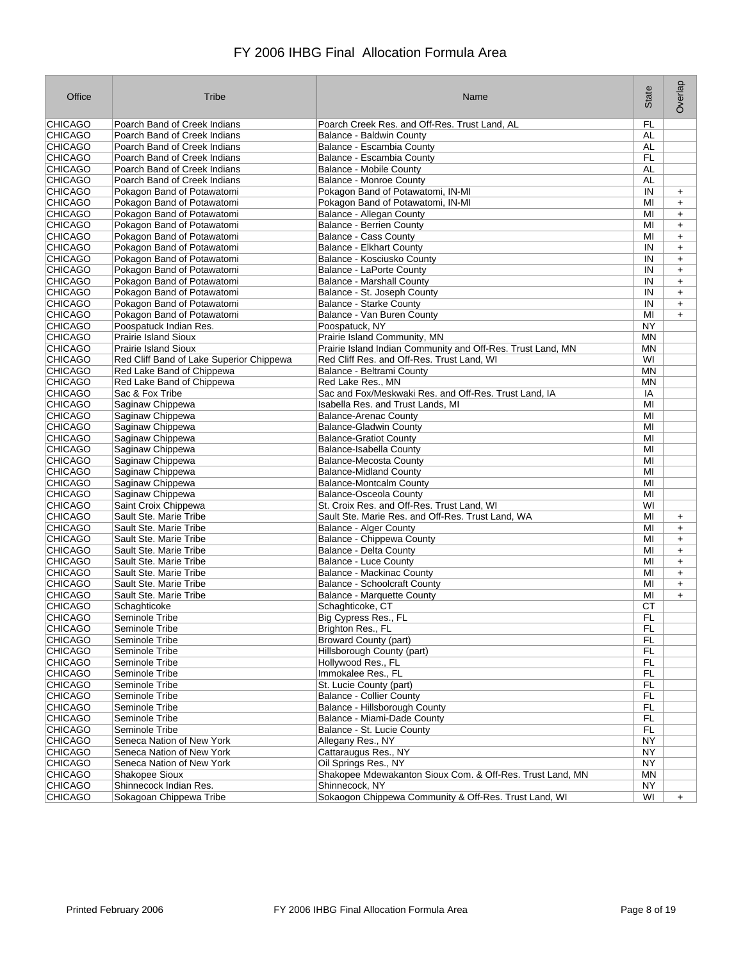| Office                           | Tribe                                                  | Name                                                        | State           | Overlap   |
|----------------------------------|--------------------------------------------------------|-------------------------------------------------------------|-----------------|-----------|
| CHICAGO                          | Poarch Band of Creek Indians                           | Poarch Creek Res. and Off-Res. Trust Land, AL               | FL              |           |
| <b>CHICAGO</b>                   | Poarch Band of Creek Indians                           | Balance - Baldwin County                                    | AL              |           |
| <b>CHICAGO</b>                   | Poarch Band of Creek Indians                           | Balance - Escambia County                                   | AL              |           |
| <b>CHICAGO</b>                   | Poarch Band of Creek Indians                           | Balance - Escambia County                                   | FL              |           |
| <b>CHICAGO</b>                   | Poarch Band of Creek Indians                           | <b>Balance - Mobile County</b>                              | AL              |           |
| <b>CHICAGO</b>                   | Poarch Band of Creek Indians                           | <b>Balance - Monroe County</b>                              | AL              |           |
| <b>CHICAGO</b>                   | Pokagon Band of Potawatomi                             | Pokagon Band of Potawatomi, IN-MI                           | IN              | $\ddot{}$ |
| <b>CHICAGO</b>                   | Pokagon Band of Potawatomi                             | Pokagon Band of Potawatomi, IN-MI                           | MI              | $\ddot{}$ |
| <b>CHICAGO</b>                   | Pokagon Band of Potawatomi                             | Balance - Allegan County                                    | MI              | $\ddot{}$ |
| <b>CHICAGO</b>                   | Pokagon Band of Potawatomi                             | <b>Balance - Berrien County</b>                             | MI              | $\ddot{}$ |
| <b>CHICAGO</b>                   | Pokagon Band of Potawatomi                             | <b>Balance - Cass County</b>                                | ΜI              | $\ddot{}$ |
| <b>CHICAGO</b>                   | Pokagon Band of Potawatomi                             | <b>Balance - Elkhart County</b>                             | IN              | $\ddot{}$ |
| <b>CHICAGO</b>                   | Pokagon Band of Potawatomi                             | Balance - Kosciusko County                                  | IN              | $\ddot{}$ |
| <b>CHICAGO</b>                   | Pokagon Band of Potawatomi                             | <b>Balance - LaPorte County</b>                             | IN              | $+$       |
| <b>CHICAGO</b>                   | Pokagon Band of Potawatomi                             | <b>Balance - Marshall County</b>                            | IN              | $\ddot{}$ |
| <b>CHICAGO</b>                   | Pokagon Band of Potawatomi                             | Balance - St. Joseph County                                 | IN              | $\ddot{}$ |
| <b>CHICAGO</b>                   | Pokagon Band of Potawatomi                             | <b>Balance - Starke County</b>                              | IN              | $\ddot{}$ |
| <b>CHICAGO</b>                   | Pokagon Band of Potawatomi                             | Balance - Van Buren County                                  | MI              | $+$       |
| <b>CHICAGO</b>                   | Poospatuck Indian Res.                                 | Poospatuck, NY                                              | <b>NY</b>       |           |
| <b>CHICAGO</b>                   | <b>Prairie Island Sioux</b>                            | Prairie Island Community, MN                                | MN              |           |
| <b>CHICAGO</b>                   | <b>Prairie Island Sioux</b>                            | Prairie Island Indian Community and Off-Res. Trust Land, MN | ΜN              |           |
| <b>CHICAGO</b>                   | Red Cliff Band of Lake Superior Chippewa               | Red Cliff Res. and Off-Res. Trust Land, WI                  | WI              |           |
| <b>CHICAGO</b>                   | Red Lake Band of Chippewa                              | Balance - Beltrami County                                   | <b>MN</b>       |           |
| <b>CHICAGO</b>                   | Red Lake Band of Chippewa                              | Red Lake Res., MN                                           | ΜN              |           |
| <b>CHICAGO</b>                   | Sac & Fox Tribe                                        | Sac and Fox/Meskwaki Res. and Off-Res. Trust Land, IA       | ΙA              |           |
| <b>CHICAGO</b>                   | Saginaw Chippewa                                       | Isabella Res. and Trust Lands. MI                           | ΜI              |           |
| <b>CHICAGO</b>                   | Saginaw Chippewa                                       | <b>Balance-Arenac County</b>                                | MI              |           |
| <b>CHICAGO</b>                   | Saginaw Chippewa                                       | <b>Balance-Gladwin County</b>                               | MI              |           |
| <b>CHICAGO</b>                   | Saginaw Chippewa                                       | <b>Balance-Gratiot County</b>                               | MI              |           |
| <b>CHICAGO</b>                   | Saginaw Chippewa                                       | Balance-Isabella County                                     | MI              |           |
| <b>CHICAGO</b>                   | Saginaw Chippewa                                       | <b>Balance-Mecosta County</b>                               | MI              |           |
| <b>CHICAGO</b>                   | Saginaw Chippewa                                       | <b>Balance-Midland County</b>                               | MI              |           |
| <b>CHICAGO</b>                   | Saginaw Chippewa                                       | <b>Balance-Montcalm County</b>                              | MI              |           |
| <b>CHICAGO</b>                   | Saginaw Chippewa                                       | <b>Balance-Osceola County</b>                               | MI              |           |
| <b>CHICAGO</b>                   | Saint Croix Chippewa                                   | St. Croix Res. and Off-Res. Trust Land, WI                  | WI              |           |
| <b>CHICAGO</b>                   | Sault Ste. Marie Tribe                                 | Sault Ste. Marie Res. and Off-Res. Trust Land, WA           | MI              | $\ddot{}$ |
| <b>CHICAGO</b>                   | Sault Ste. Marie Tribe                                 | <b>Balance - Alger County</b>                               | МI              | $+$       |
| <b>CHICAGO</b>                   | Sault Ste. Marie Tribe                                 | Balance - Chippewa County                                   | MI              | $+$       |
| <b>CHICAGO</b>                   | Sault Ste. Marie Tribe                                 | Balance - Delta County                                      | MI              | $\ddot{}$ |
| <b>CHICAGO</b>                   | Sault Ste. Marie Tribe                                 | <b>Balance - Luce County</b>                                | MI              | $\ddot{}$ |
| <b>CHICAGO</b>                   | Sault Ste. Marie Tribe                                 | <b>Balance - Mackinac County</b>                            | MI              | $\ddot{}$ |
| <b>CHICAGO</b>                   | Sault Ste. Marie Tribe                                 | <b>Balance - Schoolcraft County</b>                         | MI              | $\ddot{}$ |
| <b>CHICAGO</b>                   | Sault Ste. Marie Tribe                                 | <b>Balance - Marquette County</b>                           | MI              |           |
| <b>CHICAGO</b>                   | Schaghticoke                                           | Schaghticoke, CT                                            | CТ              | $\ddot{}$ |
| <b>CHICAGO</b>                   | Seminole Tribe                                         |                                                             | FL              |           |
| <b>CHICAGO</b>                   | Seminole Tribe                                         | Big Cypress Res., FL<br>Brighton Res., FL                   | FL              |           |
| <b>CHICAGO</b>                   | Seminole Tribe                                         | <b>Broward County (part)</b>                                | FL.             |           |
| <b>CHICAGO</b>                   | Seminole Tribe                                         | Hillsborough County (part)                                  | FL.             |           |
| <b>CHICAGO</b>                   | Seminole Tribe                                         | Hollywood Res., FL                                          | FL.             |           |
|                                  | Seminole Tribe                                         | Immokalee Res., FL                                          | FL.             |           |
| <b>CHICAGO</b><br><b>CHICAGO</b> |                                                        | St. Lucie County (part)                                     |                 |           |
| <b>CHICAGO</b>                   | Seminole Tribe<br>Seminole Tribe                       | <b>Balance - Collier County</b>                             | FL<br>FL.       |           |
| <b>CHICAGO</b>                   | Seminole Tribe                                         | Balance - Hillsborough County                               | <b>FL</b>       |           |
|                                  | Seminole Tribe                                         | Balance - Miami-Dade County                                 |                 |           |
| <b>CHICAGO</b><br><b>CHICAGO</b> | Seminole Tribe                                         | Balance - St. Lucie County                                  | FL.<br>FL       |           |
|                                  |                                                        |                                                             |                 |           |
| <b>CHICAGO</b><br><b>CHICAGO</b> | Seneca Nation of New York<br>Seneca Nation of New York | Allegany Res., NY                                           | NY<br>NY        |           |
| <b>CHICAGO</b>                   | Seneca Nation of New York                              | Cattaraugus Res., NY<br>Oil Springs Res., NY                | <b>NY</b>       |           |
| <b>CHICAGO</b>                   | Shakopee Sioux                                         | Shakopee Mdewakanton Sioux Com. & Off-Res. Trust Land, MN   |                 |           |
| <b>CHICAGO</b>                   | Shinnecock Indian Res.                                 | Shinnecock, NY                                              | MN<br><b>NY</b> |           |
|                                  |                                                        |                                                             |                 |           |
| <b>CHICAGO</b>                   | Sokagoan Chippewa Tribe                                | Sokaogon Chippewa Community & Off-Res. Trust Land, WI       | WI              | $+$       |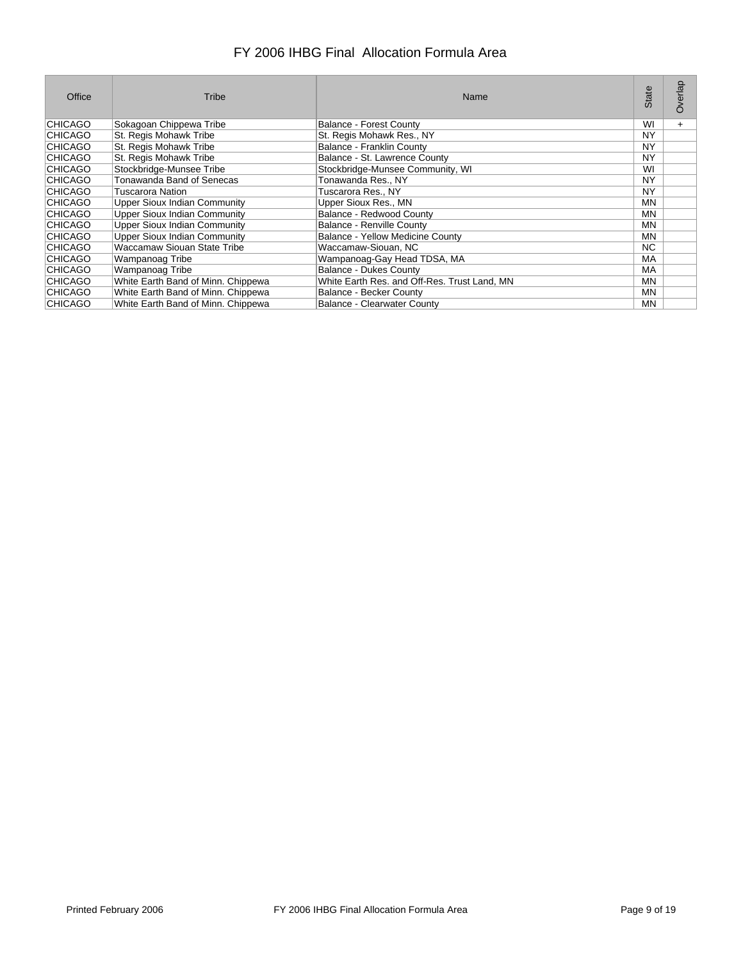| Office         | Tribe                               | Name                                         | State     | verlap<br>O |
|----------------|-------------------------------------|----------------------------------------------|-----------|-------------|
| <b>CHICAGO</b> | Sokagoan Chippewa Tribe             | Balance - Forest County                      | WI        | $+$         |
| <b>CHICAGO</b> | St. Regis Mohawk Tribe              | St. Regis Mohawk Res., NY                    | NY        |             |
| <b>CHICAGO</b> | St. Regis Mohawk Tribe              | Balance - Franklin County                    | NY        |             |
| <b>CHICAGO</b> | St. Regis Mohawk Tribe              | Balance - St. Lawrence County                | NY        |             |
| CHICAGO        | Stockbridge-Munsee Tribe            | Stockbridge-Munsee Community, WI             | WI        |             |
| <b>CHICAGO</b> | Tonawanda Band of Senecas           | Tonawanda Res., NY                           | NY        |             |
| <b>CHICAGO</b> | Tuscarora Nation                    | Tuscarora Res., NY                           | NY        |             |
| <b>CHICAGO</b> | Upper Sioux Indian Community        | Upper Sioux Res., MN                         | <b>MN</b> |             |
| <b>CHICAGO</b> | <b>Upper Sioux Indian Community</b> | Balance - Redwood County                     | MN.       |             |
| <b>CHICAGO</b> | <b>Upper Sioux Indian Community</b> | <b>Balance - Renville County</b>             | <b>MN</b> |             |
| <b>CHICAGO</b> | <b>Upper Sioux Indian Community</b> | Balance - Yellow Medicine County             | MN.       |             |
| <b>CHICAGO</b> | Waccamaw Siouan State Tribe         | Waccamaw-Siouan, NC                          | NC.       |             |
| <b>CHICAGO</b> | Wampanoag Tribe                     | Wampanoag-Gay Head TDSA, MA                  | MA        |             |
| <b>CHICAGO</b> | Wampanoag Tribe                     | <b>Balance - Dukes County</b>                | МA        |             |
| CHICAGO        | White Earth Band of Minn. Chippewa  | White Earth Res. and Off-Res. Trust Land, MN | MN.       |             |
| <b>CHICAGO</b> | White Earth Band of Minn. Chippewa  | Balance - Becker County                      | ΜN        |             |
| <b>CHICAGO</b> | White Earth Band of Minn. Chippewa  | <b>Balance - Clearwater County</b>           | <b>MN</b> |             |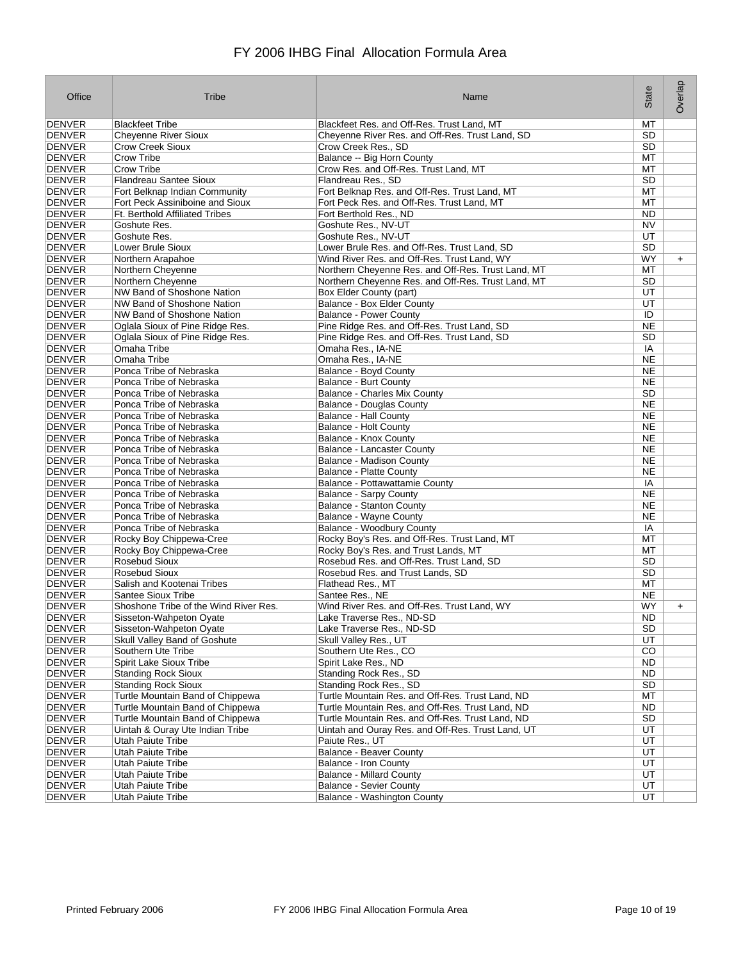| Office                         | Tribe                                                       | Name                                                                                                     | State                  | Overlap   |
|--------------------------------|-------------------------------------------------------------|----------------------------------------------------------------------------------------------------------|------------------------|-----------|
| DENVER                         | <b>Blackfeet Tribe</b>                                      | Blackfeet Res. and Off-Res. Trust Land, MT                                                               | МT                     |           |
| <b>DENVER</b>                  | <b>Cheyenne River Sioux</b>                                 | Cheyenne River Res. and Off-Res. Trust Land, SD                                                          | <b>SD</b>              |           |
| DENVER                         | <b>Crow Creek Sioux</b>                                     | Crow Creek Res., SD                                                                                      | <b>SD</b>              |           |
| DENVER                         | <b>Crow Tribe</b>                                           | Balance -- Big Horn County                                                                               | МT                     |           |
| <b>DENVER</b>                  | <b>Crow Tribe</b>                                           | Crow Res. and Off-Res. Trust Land, MT                                                                    | МT                     |           |
| DENVER                         | <b>Flandreau Santee Sioux</b>                               | Flandreau Res., SD                                                                                       | <b>SD</b>              |           |
| <b>DENVER</b>                  | Fort Belknap Indian Community                               | Fort Belknap Res. and Off-Res. Trust Land, MT                                                            | MT                     |           |
| DENVER                         | Fort Peck Assiniboine and Sioux                             | Fort Peck Res. and Off-Res. Trust Land, MT                                                               | МT                     |           |
| DENVER                         | Ft. Berthold Affiliated Tribes                              | Fort Berthold Res., ND                                                                                   | ND                     |           |
| <b>DENVER</b>                  | Goshute Res.                                                | Goshute Res., NV-UT                                                                                      | N <sub>V</sub>         |           |
| <b>DENVER</b>                  | Goshute Res.                                                | Goshute Res., NV-UT                                                                                      | UT                     |           |
| DENVER                         | Lower Brule Sioux                                           | Lower Brule Res. and Off-Res. Trust Land, SD                                                             | <b>SD</b>              |           |
| <b>DENVER</b><br>DENVER        | Northern Arapahoe                                           | Wind River Res. and Off-Res. Trust Land, WY                                                              | WY                     | $+$       |
| DENVER                         | Northern Cheyenne<br>Northern Cheyenne                      | Northern Cheyenne Res. and Off-Res. Trust Land, MT<br>Northern Cheyenne Res. and Off-Res. Trust Land, MT | MT<br>SD               |           |
| <b>DENVER</b>                  | NW Band of Shoshone Nation                                  | Box Elder County (part)                                                                                  | UT                     |           |
| <b>DENVER</b>                  | NW Band of Shoshone Nation                                  | Balance - Box Elder County                                                                               | UT                     |           |
| DENVER                         | NW Band of Shoshone Nation                                  | <b>Balance - Power County</b>                                                                            | ID                     |           |
| <b>DENVER</b>                  | Oglala Sioux of Pine Ridge Res.                             | Pine Ridge Res. and Off-Res. Trust Land, SD                                                              | <b>NE</b>              |           |
| DENVER                         | Oglala Sioux of Pine Ridge Res.                             | Pine Ridge Res. and Off-Res. Trust Land, SD                                                              | <b>SD</b>              |           |
| <b>DENVER</b>                  | Omaha Tribe                                                 | Omaha Res., IA-NE                                                                                        | ΙA                     |           |
| DENVER                         | Omaha Tribe                                                 | Omaha Res., IA-NE                                                                                        | ΝE                     |           |
| DENVER                         | Ponca Tribe of Nebraska                                     | Balance - Boyd County                                                                                    | NE                     |           |
| <b>DENVER</b>                  | Ponca Tribe of Nebraska                                     | Balance - Burt County                                                                                    | NE                     |           |
| DENVER                         | Ponca Tribe of Nebraska                                     | <b>Balance - Charles Mix County</b>                                                                      | <b>SD</b>              |           |
| DENVER                         | Ponca Tribe of Nebraska                                     | <b>Balance - Douglas County</b>                                                                          | <b>NE</b>              |           |
| <b>DENVER</b>                  | Ponca Tribe of Nebraska                                     | <b>Balance - Hall County</b>                                                                             | <b>NE</b>              |           |
| <b>DENVER</b>                  | Ponca Tribe of Nebraska                                     | <b>Balance - Holt County</b>                                                                             | <b>NE</b>              |           |
| <b>DENVER</b>                  | Ponca Tribe of Nebraska                                     | Balance - Knox County                                                                                    | <b>NE</b>              |           |
| <b>DENVER</b>                  | Ponca Tribe of Nebraska                                     | <b>Balance - Lancaster County</b>                                                                        | NE                     |           |
| DENVER                         | Ponca Tribe of Nebraska                                     | <b>Balance - Madison County</b>                                                                          | <b>NE</b>              |           |
| <b>DENVER</b>                  | Ponca Tribe of Nebraska                                     | <b>Balance - Platte County</b>                                                                           | <b>NE</b>              |           |
| DENVER                         | Ponca Tribe of Nebraska                                     | Balance - Pottawattamie County                                                                           | IA                     |           |
| DENVER                         | Ponca Tribe of Nebraska                                     | <b>Balance - Sarpy County</b>                                                                            | <b>NE</b>              |           |
| <b>DENVER</b>                  | Ponca Tribe of Nebraska                                     | <b>Balance - Stanton County</b>                                                                          | NE                     |           |
| DENVER                         | Ponca Tribe of Nebraska                                     | <b>Balance - Wayne County</b>                                                                            | NE                     |           |
| <b>DENVER</b>                  | Ponca Tribe of Nebraska                                     | Balance - Woodbury County                                                                                | IA                     |           |
| <b>DENVER</b>                  | Rocky Boy Chippewa-Cree                                     | Rocky Boy's Res. and Off-Res. Trust Land, MT                                                             | МT                     |           |
| <b>DENVER</b>                  | Rocky Boy Chippewa-Cree                                     | Rocky Boy's Res. and Trust Lands, MT                                                                     | MT                     |           |
| DENVER                         | Rosebud Sioux                                               | Rosebud Res. and Off-Res. Trust Land, SD                                                                 | <b>SD</b>              |           |
| <b>DENVER</b>                  | <b>Rosebud Sioux</b>                                        | Rosebud Res. and Trust Lands, SD                                                                         | SD                     |           |
| <b>DENVER</b>                  | Salish and Kootenai Tribes                                  | Flathead Res., MT                                                                                        | МT                     |           |
| <b>DENVER</b>                  | Santee Sioux Tribe<br>Shoshone Tribe of the Wind River Res. | Santee Res., NE<br>Wind River Res. and Off-Res. Trust Land, WY                                           | <b>NE</b><br><b>WY</b> |           |
| <b>DENVER</b><br><b>DENVER</b> |                                                             | Lake Traverse Res., ND-SD                                                                                | <b>ND</b>              | $\ddot{}$ |
| <b>DENVER</b>                  | Sisseton-Wahpeton Oyate<br>Sisseton-Wahpeton Oyate          | Lake Traverse Res., ND-SD                                                                                | <b>SD</b>              |           |
| <b>DENVER</b>                  | Skull Valley Band of Goshute                                | Skull Valley Res., UT                                                                                    | UT                     |           |
| DENVER                         | Southern Ute Tribe                                          | Southern Ute Res., CO                                                                                    | CO                     |           |
| <b>DENVER</b>                  | Spirit Lake Sioux Tribe                                     | Spirit Lake Res., ND                                                                                     | ND.                    |           |
| <b>DENVER</b>                  | <b>Standing Rock Sioux</b>                                  | Standing Rock Res., SD                                                                                   | ND.                    |           |
| <b>DENVER</b>                  | <b>Standing Rock Sioux</b>                                  | Standing Rock Res., SD                                                                                   | <b>SD</b>              |           |
| <b>DENVER</b>                  | Turtle Mountain Band of Chippewa                            | Turtle Mountain Res. and Off-Res. Trust Land, ND                                                         | MT                     |           |
| DENVER                         | Turtle Mountain Band of Chippewa                            | Turtle Mountain Res. and Off-Res. Trust Land, ND                                                         | ND                     |           |
| <b>DENVER</b>                  | Turtle Mountain Band of Chippewa                            | Turtle Mountain Res. and Off-Res. Trust Land, ND                                                         | <b>SD</b>              |           |
| <b>DENVER</b>                  | Uintah & Ouray Ute Indian Tribe                             | Uintah and Ouray Res. and Off-Res. Trust Land, UT                                                        | UT                     |           |
| <b>DENVER</b>                  | Utah Paiute Tribe                                           | Paiute Res., UT                                                                                          | UT                     |           |
| <b>DENVER</b>                  | <b>Utah Paiute Tribe</b>                                    | Balance - Beaver County                                                                                  | UT                     |           |
| <b>DENVER</b>                  | <b>Utah Paiute Tribe</b>                                    | <b>Balance - Iron County</b>                                                                             | UT                     |           |
| DENVER                         | <b>Utah Paiute Tribe</b>                                    | <b>Balance - Millard County</b>                                                                          | UT                     |           |
| <b>DENVER</b>                  | <b>Utah Paiute Tribe</b>                                    | <b>Balance - Sevier County</b>                                                                           | UT                     |           |
| <b>DENVER</b>                  | Utah Paiute Tribe                                           | Balance - Washington County                                                                              | UT                     |           |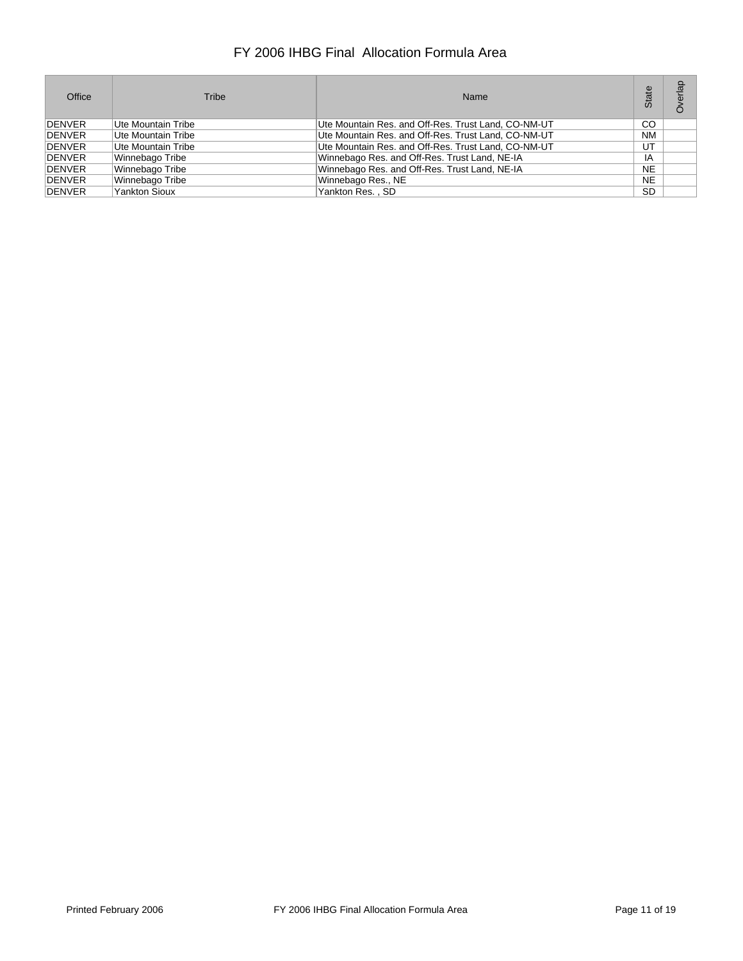| Office        | Tribe                | Name                                                | State         | lap<br>Ò |
|---------------|----------------------|-----------------------------------------------------|---------------|----------|
| DENVER        | Ute Mountain Tribe   | Ute Mountain Res. and Off-Res. Trust Land, CO-NM-UT | <sub>CO</sub> |          |
| <b>DENVER</b> | Ute Mountain Tribe   | Ute Mountain Res. and Off-Res. Trust Land, CO-NM-UT | <b>NM</b>     |          |
| <b>DENVER</b> | Ute Mountain Tribe   | Ute Mountain Res. and Off-Res. Trust Land, CO-NM-UT | UT            |          |
| <b>DENVER</b> | Winnebago Tribe      | Winnebago Res. and Off-Res. Trust Land, NE-IA       | ΙA            |          |
| <b>DENVER</b> | Winnebago Tribe      | Winnebago Res. and Off-Res. Trust Land, NE-IA       | <b>NE</b>     |          |
| <b>DENVER</b> | Winnebago Tribe      | Winnebago Res., NE                                  | <b>NE</b>     |          |
| <b>DENVER</b> | <b>Yankton Sioux</b> | Yankton Res., SD                                    | SD            |          |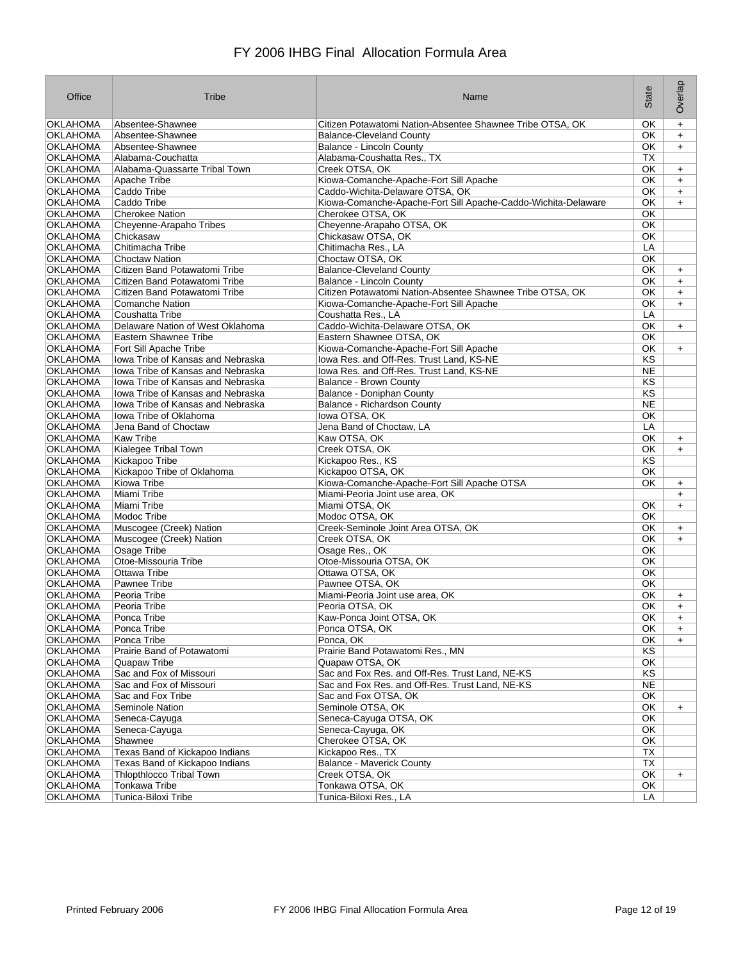| Office                             | Tribe                                    | Name                                                          | State           | Overlap   |
|------------------------------------|------------------------------------------|---------------------------------------------------------------|-----------------|-----------|
| <b>OKLAHOMA</b>                    | Absentee-Shawnee                         | Citizen Potawatomi Nation-Absentee Shawnee Tribe OTSA, OK     | OK              | $+$       |
| OKLAHOMA                           | Absentee-Shawnee                         | <b>Balance-Cleveland County</b>                               | OK              | $+$       |
| <b>OKLAHOMA</b>                    | Absentee-Shawnee                         | Balance - Lincoln County                                      | ОΚ              | $+$       |
| OKLAHOMA                           | Alabama-Couchatta                        | Alabama-Coushatta Res., TX                                    | ТX              |           |
| OKLAHOMA                           | Alabama-Quassarte Tribal Town            | Creek OTSA, OK                                                | ОΚ              | $+$       |
| OKLAHOMA                           | Apache Tribe                             | Kiowa-Comanche-Apache-Fort Sill Apache                        | <b>OK</b>       | $+$       |
| OKLAHOMA                           | Caddo Tribe                              | Caddo-Wichita-Delaware OTSA, OK                               | ОK              | $+$       |
| OKLAHOMA                           | Caddo Tribe                              | Kiowa-Comanche-Apache-Fort Sill Apache-Caddo-Wichita-Delaware | ОK              | $+$       |
| <b>OKLAHOMA</b>                    | <b>Cherokee Nation</b>                   | Cherokee OTSA, OK                                             | OK              |           |
| OKLAHOMA                           | Cheyenne-Arapaho Tribes                  | Cheyenne-Arapaho OTSA, OK                                     | ОΚ              |           |
| OKLAHOMA                           | Chickasaw                                | Chickasaw OTSA, OK                                            | OK              |           |
| <b>OKLAHOMA</b>                    | Chitimacha Tribe                         | Chitimacha Res., LA                                           | LA              |           |
| OKLAHOMA                           | <b>Choctaw Nation</b>                    | Choctaw OTSA, OK                                              | ОK              |           |
| <b>OKLAHOMA</b>                    | Citizen Band Potawatomi Tribe            | <b>Balance-Cleveland County</b>                               | OK              | $+$       |
| <b>OKLAHOMA</b>                    | Citizen Band Potawatomi Tribe            | <b>Balance - Lincoln County</b>                               | OK              | $+$       |
| OKLAHOMA                           | Citizen Band Potawatomi Tribe            | Citizen Potawatomi Nation-Absentee Shawnee Tribe OTSA, OK     | ОΚ              | $\ddot{}$ |
| OKLAHOMA                           | <b>Comanche Nation</b>                   | Kiowa-Comanche-Apache-Fort Sill Apache                        | OK              | $+$       |
| <b>OKLAHOMA</b>                    | Coushatta Tribe                          | Coushatta Res., LA                                            | LA              |           |
| OKLAHOMA                           | Delaware Nation of West Oklahoma         | Caddo-Wichita-Delaware OTSA, OK                               | ОK              | $+$       |
|                                    | Eastern Shawnee Tribe                    | Eastern Shawnee OTSA, OK                                      |                 |           |
| <b>OKLAHOMA</b><br><b>OKLAHOMA</b> | Fort Sill Apache Tribe                   |                                                               | ОΚ              |           |
|                                    |                                          | Kiowa-Comanche-Apache-Fort Sill Apache                        | ОΚ              | $+$       |
| <b>OKLAHOMA</b>                    | Iowa Tribe of Kansas and Nebraska        | lowa Res. and Off-Res. Trust Land. KS-NE                      | KS              |           |
| <b>OKLAHOMA</b>                    | <b>Iowa Tribe of Kansas and Nebraska</b> | lowa Res. and Off-Res. Trust Land, KS-NE                      | <b>NE</b>       |           |
| <b>OKLAHOMA</b>                    | Iowa Tribe of Kansas and Nebraska        | Balance - Brown County                                        | KS              |           |
| <b>OKLAHOMA</b>                    | Iowa Tribe of Kansas and Nebraska        | Balance - Doniphan County                                     | KS              |           |
| <b>OKLAHOMA</b>                    | Iowa Tribe of Kansas and Nebraska        | Balance - Richardson County                                   | <b>NE</b>       |           |
| <b>OKLAHOMA</b>                    | Iowa Tribe of Oklahoma                   | lowa OTSA, OK                                                 | OK              |           |
| <b>OKLAHOMA</b>                    | Jena Band of Choctaw                     | Jena Band of Choctaw, LA                                      | LA              |           |
| OKLAHOMA                           | <b>Kaw Tribe</b>                         | Kaw OTSA, OK                                                  | OK              | $+$       |
| OKLAHOMA                           | Kialegee Tribal Town                     | Creek OTSA, OK                                                | ОK              | $+$       |
| OKLAHOMA                           | Kickapoo Tribe                           | Kickapoo Res., KS                                             | KS              |           |
| OKLAHOMA                           | Kickapoo Tribe of Oklahoma               | Kickapoo OTSA, OK                                             | ОK              |           |
| <b>OKLAHOMA</b>                    | Kiowa Tribe                              | Kiowa-Comanche-Apache-Fort Sill Apache OTSA                   | OK              | $+$       |
| <b>OKLAHOMA</b>                    | Miami Tribe                              | Miami-Peoria Joint use area, OK                               |                 | $+$       |
| <b>OKLAHOMA</b>                    | Miami Tribe                              | Miami OTSA, OK                                                | ОК              | $+$       |
| <b>OKLAHOMA</b>                    | Modoc Tribe                              | Modoc OTSA, OK                                                | ОK              |           |
| OKLAHOMA                           | Muscogee (Creek) Nation                  | Creek-Seminole Joint Area OTSA, OK                            | ОK              | $+$       |
| OKLAHOMA                           | Muscogee (Creek) Nation                  | Creek OTSA, OK                                                | 0K              | $+$       |
| <b>OKLAHOMA</b>                    | Osage Tribe                              | Osage Res., OK                                                | OK              |           |
| <b>OKLAHOMA</b>                    | Otoe-Missouria Tribe                     | Otoe-Missouria OTSA, OK                                       | OK              |           |
| <b>OKLAHOMA</b>                    | Ottawa Tribe                             | Ottawa OTSA, OK                                               | OK              |           |
| OKLAHOMA                           | Pawnee Tribe                             | Pawnee OTSA, OK                                               | OK              |           |
| <b>OKLAHOMA</b>                    | Peoria Tribe                             | Miami-Peoria Joint use area. OK                               | <b>OK</b>       | $+$       |
| <b>OKLAHOMA</b>                    | Peoria Tribe                             | Peoria OTSA, OK                                               | ОK              | $+$       |
| <b>OKLAHOMA</b>                    | Ponca Tribe                              | Kaw-Ponca Joint OTSA, OK                                      | OK              | $\ddot{}$ |
| <b>OKLAHOMA</b>                    | Ponca Tribe                              | Ponca OTSA, OK                                                | OK              | $\ddot{}$ |
| <b>OKLAHOMA</b>                    | Ponca Tribe                              | Ponca, OK                                                     | OK              | $+$       |
| <b>OKLAHOMA</b>                    | Prairie Band of Potawatomi               | Prairie Band Potawatomi Res., MN                              | KS              |           |
| <b>OKLAHOMA</b>                    | Quapaw Tribe                             | Quapaw OTSA, OK                                               | $\overline{OK}$ |           |
| <b>OKLAHOMA</b>                    | Sac and Fox of Missouri                  | Sac and Fox Res. and Off-Res. Trust Land, NE-KS               | KS              |           |
| <b>OKLAHOMA</b>                    | Sac and Fox of Missouri                  | Sac and Fox Res. and Off-Res. Trust Land, NE-KS               | <b>NE</b>       |           |
| <b>OKLAHOMA</b>                    | Sac and Fox Tribe                        | Sac and Fox OTSA, OK                                          | OK              |           |
| <b>OKLAHOMA</b>                    | Seminole Nation                          | Seminole OTSA, OK                                             | OK              | $+$       |
| <b>OKLAHOMA</b>                    | Seneca-Cayuga                            | Seneca-Cayuga OTSA, OK                                        | OK              |           |
| <b>OKLAHOMA</b>                    | Seneca-Cayuga                            | Seneca-Cayuga, OK                                             | OK              |           |
| OKLAHOMA                           | Shawnee                                  | Cherokee OTSA, OK                                             | OK              |           |
| <b>OKLAHOMA</b>                    | Texas Band of Kickapoo Indians           | Kickapoo Res., TX                                             | ТX              |           |
| <b>OKLAHOMA</b>                    | Texas Band of Kickapoo Indians           | <b>Balance - Maverick County</b>                              | TX              |           |
| <b>OKLAHOMA</b>                    | Thlopthlocco Tribal Town                 | Creek OTSA, OK                                                | OK              |           |
| <b>OKLAHOMA</b>                    | Tonkawa Tribe                            | Tonkawa OTSA, OK                                              | OK              | $\ddot{}$ |
|                                    | Tunica-Biloxi Tribe                      | Tunica-Biloxi Res., LA                                        |                 |           |
| <b>OKLAHOMA</b>                    |                                          |                                                               | LA              |           |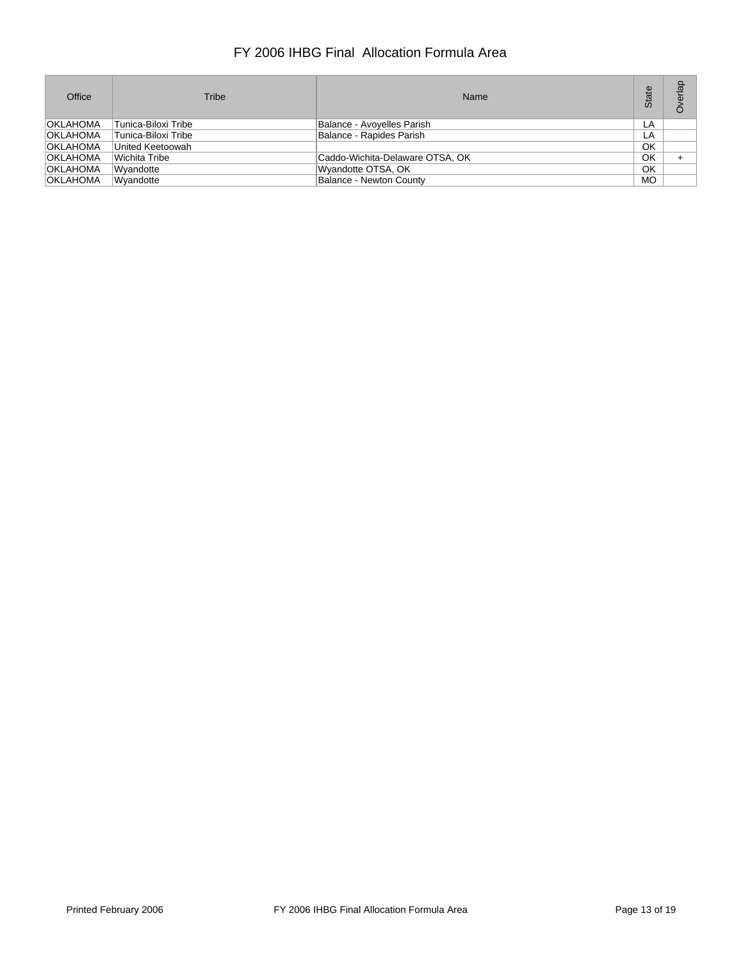| Office          | Tribe                   | Name                            | മ<br>State | erlap |
|-----------------|-------------------------|---------------------------------|------------|-------|
| <b>OKLAHOMA</b> | Tunica-Biloxi Tribe     | Balance - Avoyelles Parish      | LA         |       |
| <b>OKLAHOMA</b> | Tunica-Biloxi Tribe     | Balance - Rapides Parish        | LA         |       |
| <b>OKLAHOMA</b> | United Keetoowah        |                                 | OK         |       |
| <b>OKLAHOMA</b> | Wichita Tribe           | Caddo-Wichita-Delaware OTSA, OK | OK         |       |
| <b>OKLAHOMA</b> | <i><b>Wvandotte</b></i> | Wyandotte OTSA, OK              | OK         |       |
| <b>OKLAHOMA</b> | Wyandotte               | <b>Balance - Newton County</b>  | <b>MO</b>  |       |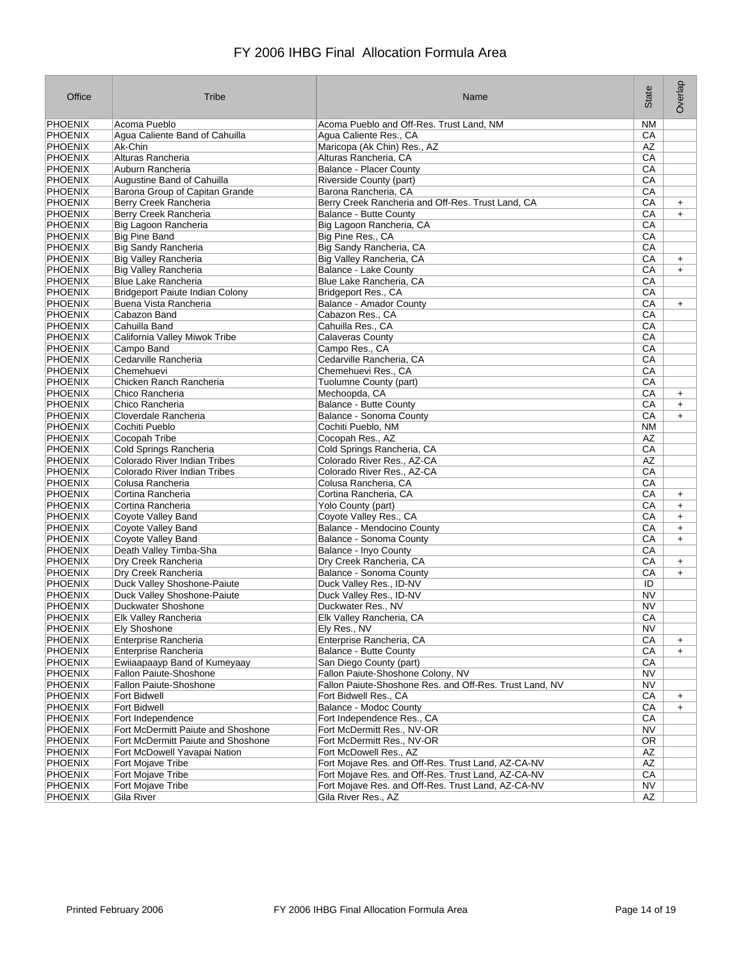| Office         | Tribe                                  | Name                                                                                                     | State     | Overlap   |
|----------------|----------------------------------------|----------------------------------------------------------------------------------------------------------|-----------|-----------|
| PHOENIX        | Acoma Pueblo                           | Acoma Pueblo and Off-Res. Trust Land, NM                                                                 | NM        |           |
| <b>PHOENIX</b> | Agua Caliente Band of Cahuilla         | Agua Caliente Res., CA                                                                                   | CA        |           |
| <b>PHOENIX</b> | Ak-Chin                                | Maricopa (Ak Chin) Res., AZ                                                                              | AZ        |           |
| PHOENIX        | Alturas Rancheria                      | Alturas Rancheria, CA                                                                                    | СA        |           |
| PHOENIX        | Auburn Rancheria                       | <b>Balance - Placer County</b>                                                                           | СA        |           |
| PHOENIX        | Augustine Band of Cahuilla             | Riverside County (part)                                                                                  | СA        |           |
| PHOENIX        | Barona Group of Capitan Grande         | Barona Rancheria, CA                                                                                     | СA        |           |
| PHOENIX        | Berry Creek Rancheria                  | Berry Creek Rancheria and Off-Res. Trust Land, CA                                                        | CA        | $\ddot{}$ |
| PHOENIX        | Berry Creek Rancheria                  | Balance - Butte County                                                                                   | СA        | $+$       |
| <b>PHOENIX</b> | Big Lagoon Rancheria                   | Big Lagoon Rancheria, CA                                                                                 | СA        |           |
| PHOENIX        | <b>Big Pine Band</b>                   | Big Pine Res., CA                                                                                        | СA        |           |
| PHOENIX        | <b>Big Sandy Rancheria</b>             | Big Sandy Rancheria, CA                                                                                  | CA        |           |
| PHOENIX        | <b>Big Valley Rancheria</b>            | Big Valley Rancheria, CA                                                                                 | СA        | $\ddot{}$ |
| PHOENIX        | <b>Big Valley Rancheria</b>            | Balance - Lake County                                                                                    | CA        | $+$       |
| PHOENIX        | <b>Blue Lake Rancheria</b>             | Blue Lake Rancheria, CA                                                                                  | СA        |           |
| <b>PHOENIX</b> | <b>Bridgeport Paiute Indian Colony</b> | Bridgeport Res., CA                                                                                      | СA        |           |
| PHOENIX        | Buena Vista Rancheria                  | <b>Balance - Amador County</b>                                                                           | СA        | $+$       |
| PHOENIX        | Cabazon Band                           | Cabazon Res., CA                                                                                         | CA        |           |
| PHOENIX        | Cahuilla Band                          | Cahuilla Res., CA                                                                                        | СA        |           |
| PHOENIX        | California Valley Miwok Tribe          | <b>Calaveras County</b>                                                                                  | СA        |           |
| <b>PHOENIX</b> | Campo Band                             | Campo Res., CA                                                                                           | СA        |           |
| PHOENIX        | Cedarville Rancheria                   | Cedarville Rancheria, CA                                                                                 | СA        |           |
| PHOENIX        | Chemehuevi                             | Chemehuevi Res., CA                                                                                      | CA        |           |
| <b>PHOENIX</b> | Chicken Ranch Rancheria                | Tuolumne County (part)                                                                                   | СA        |           |
| PHOENIX        | Chico Rancheria                        | Mechoopda, CA                                                                                            | СA        | $\ddot{}$ |
| PHOENIX        | Chico Rancheria                        | <b>Balance - Butte County</b>                                                                            | СA        | $\ddot{}$ |
| PHOENIX        | Cloverdale Rancheria                   | Balance - Sonoma County                                                                                  | СA        | $+$       |
| PHOENIX        | Cochiti Pueblo                         | Cochiti Pueblo, NM                                                                                       | <b>NM</b> |           |
| <b>PHOENIX</b> | Cocopah Tribe                          | Cocopah Res., AZ                                                                                         | ΑZ        |           |
| PHOENIX        | Cold Springs Rancheria                 | Cold Springs Rancheria, CA                                                                               | CA        |           |
| PHOENIX        | Colorado River Indian Tribes           | Colorado River Res., AZ-CA                                                                               | AZ        |           |
| <b>PHOENIX</b> | Colorado River Indian Tribes           | Colorado River Res., AZ-CA                                                                               | СA        |           |
| PHOENIX        | Colusa Rancheria                       | Colusa Rancheria, CA                                                                                     | СA        |           |
| PHOENIX        | Cortina Rancheria                      | Cortina Rancheria, CA                                                                                    | СA        | $\ddot{}$ |
| PHOENIX        | Cortina Rancheria                      | Yolo County (part)                                                                                       | СA        | $+$       |
| PHOENIX        | Coyote Valley Band                     | Coyote Valley Res., CA                                                                                   | СA        | $+$       |
| PHOENIX        | Coyote Valley Band                     | Balance - Mendocino County                                                                               | СA        | $\ddot{}$ |
| PHOENIX        | <b>Coyote Valley Band</b>              | Balance - Sonoma County                                                                                  | СA        | $\ddot{}$ |
| PHOENIX        | Death Valley Timba-Sha                 | Balance - Inyo County                                                                                    | СA        |           |
| PHOENIX        | Dry Creek Rancheria                    | Dry Creek Rancheria, CA                                                                                  | СA        | $\ddot{}$ |
| <b>PHOENIX</b> | Dry Creek Rancheria                    | Balance - Sonoma County                                                                                  | СA        | $\ddot{}$ |
| PHOENIX        | Duck Valley Shoshone-Paiute            | Duck Valley Res., ID-NV                                                                                  | ID        |           |
| PHOENIX        | Duck Valley Shoshone-Paiute            | Duck Valley Res., ID-NV                                                                                  | <b>NV</b> |           |
| <b>PHOENIX</b> | Duckwater Shoshone                     | Duckwater Res., NV                                                                                       | ΝV        |           |
| <b>PHOENIX</b> | Elk Valley Rancheria                   | Elk Valley Rancheria, CA                                                                                 | CA        |           |
| PHOENIX        | Ely Shoshone                           | Ely Res., NV                                                                                             | NV        |           |
| PHOENIX        | Enterprise Rancheria                   | Enterprise Rancheria, CA                                                                                 | CA        | $\ddot{}$ |
| PHOENIX        | <b>Enterprise Rancheria</b>            | <b>Balance - Butte County</b>                                                                            | CA        | $+$       |
| PHOENIX        | Ewiiaapaayp Band of Kumeyaay           | San Diego County (part)                                                                                  | CA        |           |
| PHOENIX        | Fallon Paiute-Shoshone                 | Fallon Paiute-Shoshone Colony, NV                                                                        | NV        |           |
| <b>PHOENIX</b> | Fallon Paiute-Shoshone                 | Fallon Paiute-Shoshone Res. and Off-Res. Trust Land, NV                                                  | <b>NV</b> |           |
| PHOENIX        | <b>Fort Bidwell</b>                    | Fort Bidwell Res., CA                                                                                    | CA        | $\ddot{}$ |
| PHOENIX        | <b>Fort Bidwell</b>                    | Balance - Modoc County                                                                                   | CA        | $\ddot{}$ |
| PHOENIX        | Fort Independence                      | Fort Independence Res., CA                                                                               | CA        |           |
| PHOENIX        | Fort McDermitt Paiute and Shoshone     | Fort McDermitt Res., NV-OR                                                                               | NV        |           |
| PHOENIX        | Fort McDermitt Paiute and Shoshone     | Fort McDermitt Res., NV-OR                                                                               | OR        |           |
| PHOENIX        | Fort McDowell Yavapai Nation           | Fort McDowell Res., AZ                                                                                   | AZ        |           |
| PHOENIX        | Fort Mojave Tribe                      |                                                                                                          | AZ        |           |
|                |                                        | Fort Mojave Res. and Off-Res. Trust Land, AZ-CA-NV<br>Fort Mojave Res. and Off-Res. Trust Land, AZ-CA-NV |           |           |
| PHOENIX        | Fort Mojave Tribe                      |                                                                                                          | CA        |           |
| <b>PHOENIX</b> | Fort Mojave Tribe                      | Fort Mojave Res. and Off-Res. Trust Land, AZ-CA-NV                                                       | NV        |           |
| PHOENIX        | Gila River                             | Gila River Res., AZ                                                                                      | AZ        |           |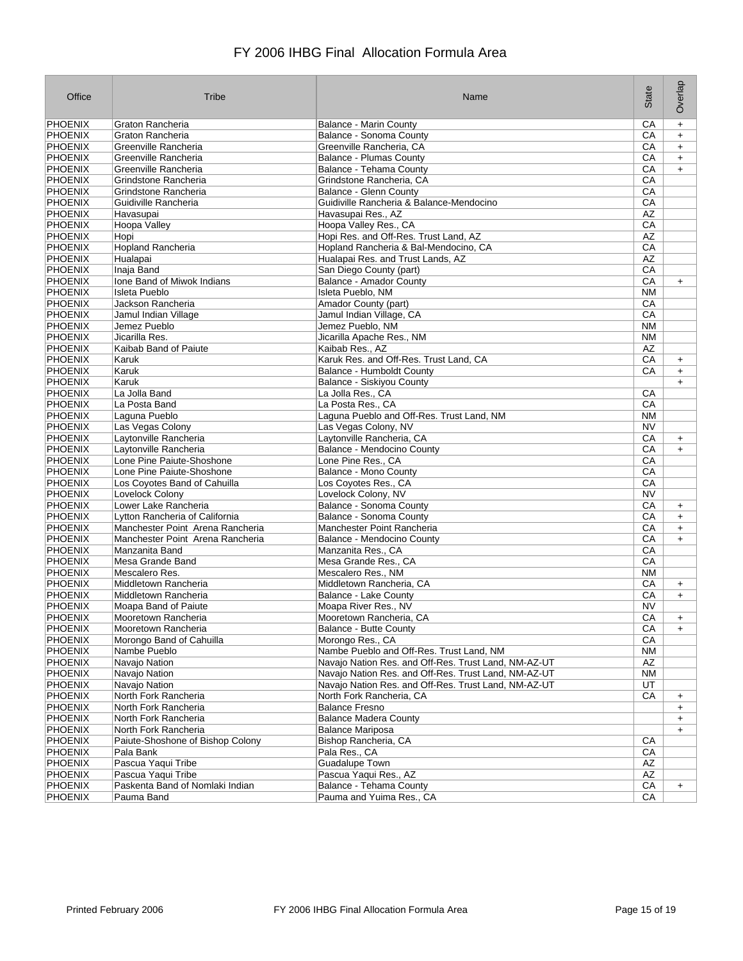| Office                    | Tribe                                        | Name                                                                             | State           | Overlap                |
|---------------------------|----------------------------------------------|----------------------------------------------------------------------------------|-----------------|------------------------|
| PHOENIX                   | Graton Rancheria                             | <b>Balance - Marin County</b>                                                    | CA              | $\ddot{}$              |
| PHOENIX                   | Graton Rancheria                             | Balance - Sonoma County                                                          | СA              | $\ddot{}$              |
| PHOENIX                   | Greenville Rancheria                         | Greenville Rancheria, CA                                                         | СA              | $\ddot{}$              |
| PHOENIX                   | Greenville Rancheria                         | <b>Balance - Plumas County</b>                                                   | СA              | $\ddot{}$              |
| <b>PHOENIX</b>            | Greenville Rancheria                         | Balance - Tehama County                                                          | СA              | $\ddot{}$              |
| PHOENIX                   | Grindstone Rancheria                         | Grindstone Rancheria, CA                                                         | СA              |                        |
| <b>PHOENIX</b>            | Grindstone Rancheria                         | Balance - Glenn County                                                           | СA              |                        |
| PHOENIX                   | Guidiville Rancheria                         | Guidiville Rancheria & Balance-Mendocino                                         | CA              |                        |
| PHOENIX                   | Havasupai                                    | Havasupai Res., AZ                                                               | AZ              |                        |
| <b>PHOENIX</b>            | Hoopa Valley                                 | Hoopa Valley Res., CA                                                            | CA              |                        |
| PHOENIX                   | Hopi                                         | Hopi Res. and Off-Res. Trust Land, AZ                                            | AΖ              |                        |
| PHOENIX                   | Hopland Rancheria                            | Hopland Rancheria & Bal-Mendocino, CA                                            | CA              |                        |
| PHOENIX                   | Hualapai                                     | Hualapai Res. and Trust Lands, AZ                                                | AΖ              |                        |
| PHOENIX                   | Inaja Band                                   | San Diego County (part)                                                          | CA              |                        |
| PHOENIX                   | Ione Band of Miwok Indians                   | Balance - Amador County                                                          | CA              | $\ddot{}$              |
| <b>PHOENIX</b>            | <b>Isleta Pueblo</b>                         | Isleta Pueblo, NM                                                                | ΝM              |                        |
| PHOENIX                   | Jackson Rancheria                            | Amador County (part)                                                             | CA              |                        |
| PHOENIX                   | Jamul Indian Village                         | Jamul Indian Village, CA                                                         | CA              |                        |
| PHOENIX                   | Jemez Pueblo                                 | Jemez Pueblo, NM                                                                 | <b>NM</b>       |                        |
| PHOENIX<br><b>PHOENIX</b> | Jicarilla Res.                               | Jicarilla Apache Res., NM                                                        | NM              |                        |
| PHOENIX                   | Kaibab Band of Paiute<br>Karuk               | Kaibab Res., AZ<br>Karuk Res. and Off-Res. Trust Land, CA                        | AΖ<br>CA        |                        |
| PHOENIX                   | Karuk                                        | <b>Balance - Humboldt County</b>                                                 | CA              | $\ddot{}$              |
| <b>PHOENIX</b>            | Karuk                                        | Balance - Siskiyou County                                                        |                 | $+$<br>$\ddot{}$       |
| PHOENIX                   | La Jolla Band                                | La Jolla Res., CA                                                                | CA              |                        |
| PHOENIX                   | La Posta Band                                | La Posta Res., CA                                                                | CA              |                        |
| PHOENIX                   | Laguna Pueblo                                | Laguna Pueblo and Off-Res. Trust Land, NM                                        | ΝM              |                        |
| PHOENIX                   | Las Vegas Colony                             | Las Vegas Colony, NV                                                             | <b>NV</b>       |                        |
| PHOENIX                   | Laytonville Rancheria                        | Laytonville Rancheria, CA                                                        | CA              | $\ddot{}$              |
| PHOENIX                   | Laytonville Rancheria                        | Balance - Mendocino County                                                       | СA              | $\ddot{}$              |
| PHOENIX                   | Lone Pine Paiute-Shoshone                    | Lone Pine Res., CA                                                               | CA              |                        |
| <b>PHOENIX</b>            | Lone Pine Paiute-Shoshone                    | Balance - Mono County                                                            | СA              |                        |
| PHOENIX                   | Los Coyotes Band of Cahuilla                 | Los Coyotes Res., CA                                                             | СA              |                        |
| <b>PHOENIX</b>            | Lovelock Colony                              | Lovelock Colony, NV                                                              | <b>NV</b>       |                        |
| <b>PHOENIX</b>            | Lower Lake Rancheria                         | Balance - Sonoma County                                                          | CA              | $\ddot{}$              |
| PHOENIX                   | Lytton Rancheria of California               | Balance - Sonoma County                                                          | СA              | $+$                    |
| PHOENIX                   | Manchester Point Arena Rancheria             | Manchester Point Rancheria                                                       | СA              | $\ddot{}$              |
| PHOENIX                   | Manchester Point Arena Rancheria             | <b>Balance - Mendocino County</b>                                                | СA              | $\ddot{}$              |
| PHOENIX                   | Manzanita Band                               | Manzanita Res., CA                                                               | СA              |                        |
| <b>PHOENIX</b>            | Mesa Grande Band                             | Mesa Grande Res., CA                                                             | CA              |                        |
| PHOENIX                   | Mescalero Res.                               | Mescalero Res., NM                                                               | <b>NM</b>       |                        |
| PHOENIX                   | Middletown Rancheria                         | Middletown Rancheria, CA                                                         | СA              | $\ddot{}$              |
| PHOENIX                   | Middletown Rancheria                         | Balance - Lake County                                                            | СA              | $\ddot{}$              |
| <b>PHOENIX</b>            | Moapa Band of Paiute                         | Moapa River Res., NV                                                             | ΝV              |                        |
| <b>PHOENIX</b>            | Mooretown Rancheria                          | Mooretown Rancheria, CA                                                          | $\overline{CA}$ | $\ddot{}$              |
| <b>PHOENIX</b>            | Mooretown Rancheria                          | <b>Balance - Butte County</b>                                                    | CA              | $\ddot{}$              |
| PHOENIX                   | Morongo Band of Cahuilla                     | Morongo Res., CA                                                                 | CA              |                        |
| PHOENIX                   | Nambe Pueblo                                 | Nambe Pueblo and Off-Res. Trust Land, NM                                         | <b>NM</b>       |                        |
| <b>PHOENIX</b>            | Navajo Nation                                | Navajo Nation Res. and Off-Res. Trust Land, NM-AZ-UT                             | AZ              |                        |
| PHOENIX                   | Navajo Nation                                | Navajo Nation Res. and Off-Res. Trust Land, NM-AZ-UT                             | ΝM              |                        |
| <b>PHOENIX</b><br>PHOENIX | Navajo Nation                                | Navajo Nation Res. and Off-Res. Trust Land, NM-AZ-UT<br>North Fork Rancheria, CA | UT<br>CA        |                        |
| PHOENIX                   | North Fork Rancheria<br>North Fork Rancheria | <b>Balance Fresno</b>                                                            |                 | $\ddot{}$              |
| PHOENIX                   | North Fork Rancheria                         | <b>Balance Madera County</b>                                                     |                 | $\ddot{}$              |
| PHOENIX                   | North Fork Rancheria                         | <b>Balance Mariposa</b>                                                          |                 | $\ddot{}$<br>$\ddot{}$ |
| PHOENIX                   | Paiute-Shoshone of Bishop Colony             | Bishop Rancheria, CA                                                             | CA              |                        |
| PHOENIX                   | Pala Bank                                    | Pala Res., CA                                                                    | CA              |                        |
| PHOENIX                   | Pascua Yaqui Tribe                           | Guadalupe Town                                                                   | AZ              |                        |
| PHOENIX                   | Pascua Yaqui Tribe                           | Pascua Yaqui Res., AZ                                                            | AZ              |                        |
| <b>PHOENIX</b>            | Paskenta Band of Nomlaki Indian              | Balance - Tehama County                                                          | CA              | $+$                    |
| PHOENIX                   | Pauma Band                                   | Pauma and Yuima Res., CA                                                         | CA              |                        |
|                           |                                              |                                                                                  |                 |                        |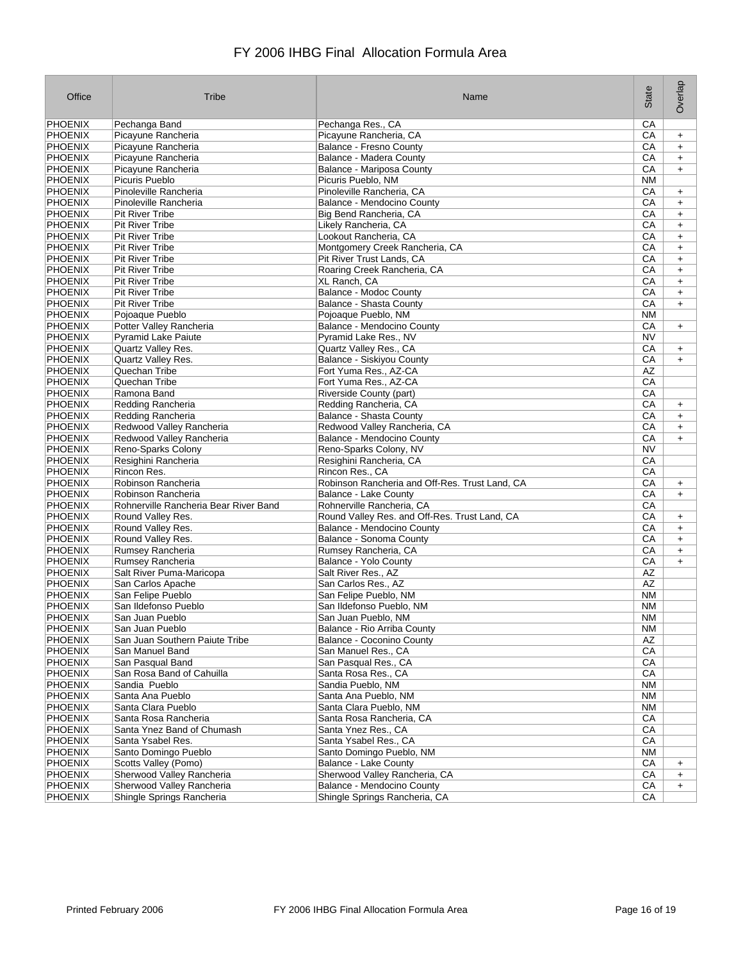| Office                    | Tribe                                                       | Name                                                     | State     | Overlap                |
|---------------------------|-------------------------------------------------------------|----------------------------------------------------------|-----------|------------------------|
| PHOENIX                   | Pechanga Band                                               | Pechanga Res., CA                                        | CA        |                        |
| <b>PHOENIX</b>            | Picayune Rancheria                                          | Picayune Rancheria, CA                                   | СA        | $\ddot{}$              |
| PHOENIX                   | Picayune Rancheria                                          | <b>Balance - Fresno County</b>                           | СA        | $\ddot{}$              |
| PHOENIX                   | Picayune Rancheria                                          | Balance - Madera County                                  | СA        | $\ddot{}$              |
| <b>PHOENIX</b>            | Picayune Rancheria                                          | Balance - Mariposa County                                | СA        | $+$                    |
| PHOENIX                   | Picuris Pueblo                                              | Picuris Pueblo, NM                                       | <b>NM</b> |                        |
| PHOENIX                   | Pinoleville Rancheria                                       | Pinoleville Rancheria, CA                                | СA        | $\ddot{}$              |
| PHOENIX                   | Pinoleville Rancheria                                       | Balance - Mendocino County                               | СA        | $+$                    |
| PHOENIX                   | <b>Pit River Tribe</b>                                      | Big Bend Rancheria, CA                                   | СA        | $\ddot{}$              |
| <b>PHOENIX</b>            | <b>Pit River Tribe</b>                                      | Likely Rancheria, CA                                     | СA        | $+$                    |
| PHOENIX<br>PHOENIX        | <b>Pit River Tribe</b><br><b>Pit River Tribe</b>            | Lookout Rancheria, CA<br>Montgomery Creek Rancheria, CA  | СA<br>СA  | $\ddot{}$              |
| PHOENIX                   | <b>Pit River Tribe</b>                                      | Pit River Trust Lands, CA                                | СA        | $\ddot{}$<br>$\ddot{}$ |
| PHOENIX                   | Pit River Tribe                                             | Roaring Creek Rancheria, CA                              | СA        | $\ddot{}$              |
| PHOENIX                   | <b>Pit River Tribe</b>                                      | XL Ranch, CA                                             | СA        | $\ddot{}$              |
| <b>PHOENIX</b>            | <b>Pit River Tribe</b>                                      | Balance - Modoc County                                   | СA        | $\ddot{}$              |
| PHOENIX                   | <b>Pit River Tribe</b>                                      | Balance - Shasta County                                  | СA        | $+$                    |
| PHOENIX                   | Pojoaque Pueblo                                             | Pojoaque Pueblo, NM                                      | <b>NM</b> |                        |
| PHOENIX                   | Potter Valley Rancheria                                     | Balance - Mendocino County                               | СA        | $\ddot{}$              |
| PHOENIX                   | <b>Pyramid Lake Paiute</b>                                  | Pyramid Lake Res., NV                                    | ΝV        |                        |
| <b>PHOENIX</b>            | Quartz Valley Res.                                          | Quartz Valley Res., CA                                   | СA        | $\ddot{}$              |
| PHOENIX                   | Quartz Valley Res.                                          | Balance - Siskiyou County                                | CA        | $+$                    |
| PHOENIX                   | Quechan Tribe                                               | Fort Yuma Res., AZ-CA                                    | AΖ        |                        |
| <b>PHOENIX</b>            | Quechan Tribe                                               | Fort Yuma Res., AZ-CA                                    | СA        |                        |
| PHOENIX                   | Ramona Band                                                 | Riverside County (part)                                  | СA        |                        |
| PHOENIX                   | Redding Rancheria                                           | Redding Rancheria, CA                                    | СA        | $\ddot{}$              |
| PHOENIX                   | Redding Rancheria                                           | Balance - Shasta County                                  | СA        | $\ddot{}$              |
| PHOENIX                   | Redwood Valley Rancheria                                    | Redwood Valley Rancheria, CA                             | СA        | $\ddot{}$              |
| PHOENIX                   | Redwood Valley Rancheria                                    | Balance - Mendocino County                               | СA        | $\ddot{}$              |
| PHOENIX                   | Reno-Sparks Colony                                          | Reno-Sparks Colony, NV                                   | NV        |                        |
| PHOENIX                   | Resighini Rancheria                                         | Resighini Rancheria, CA                                  | CA        |                        |
| <b>PHOENIX</b>            | Rincon Res.                                                 | Rincon Res., CA                                          | СA        |                        |
| PHOENIX<br><b>PHOENIX</b> | Robinson Rancheria                                          | Robinson Rancheria and Off-Res. Trust Land, CA           | СA        | $\ddot{}$              |
| <b>PHOENIX</b>            | Robinson Rancheria<br>Rohnerville Rancheria Bear River Band | Balance - Lake County<br>Rohnerville Rancheria, CA       | СA<br>СA  | $+$                    |
| PHOENIX                   | Round Valley Res.                                           | Round Valley Res. and Off-Res. Trust Land, CA            | СA        |                        |
| PHOENIX                   | Round Valley Res.                                           | Balance - Mendocino County                               | СA        | $\ddot{}$<br>$\ddot{}$ |
| PHOENIX                   | Round Valley Res.                                           | Balance - Sonoma County                                  | СA        | $\ddot{}$              |
| PHOENIX                   | Rumsey Rancheria                                            | Rumsey Rancheria, CA                                     | СA        | $\ddot{}$              |
| <b>PHOENIX</b>            | Rumsey Rancheria                                            | Balance - Yolo County                                    | СA        | $+$                    |
| PHOENIX                   | Salt River Puma-Maricopa                                    | Salt River Res., AZ                                      | AZ        |                        |
| PHOENIX                   | San Carlos Apache                                           | San Carlos Res., AZ                                      | AZ        |                        |
| PHOENIX                   | San Felipe Pueblo                                           | San Felipe Pueblo, NM                                    | <b>NM</b> |                        |
| <b>PHOENIX</b>            | San Ildefonso Pueblo                                        | San Ildefonso Pueblo, NM                                 | <b>NM</b> |                        |
| <b>PHOENIX</b>            | San Juan Pueblo                                             | San Juan Pueblo, NM                                      | <b>NM</b> |                        |
| PHOENIX                   | San Juan Pueblo                                             | Balance - Rio Arriba County                              | NM        |                        |
| PHOENIX                   | San Juan Southern Paiute Tribe                              | Balance - Coconino County                                | AZ        |                        |
| PHOENIX                   | San Manuel Band                                             | San Manuel Res., CA                                      | CA        |                        |
| <b>PHOENIX</b>            | San Pasqual Band                                            | San Pasqual Res., CA                                     | CA        |                        |
| PHOENIX                   | San Rosa Band of Cahuilla                                   | Santa Rosa Res., CA                                      | CA        |                        |
| <b>PHOENIX</b>            | Sandia Pueblo                                               | Sandia Pueblo, NM                                        | ΝM        |                        |
| PHOENIX                   | Santa Ana Pueblo                                            | Santa Ana Pueblo, NM                                     | NM        |                        |
| PHOENIX                   | Santa Clara Pueblo                                          | Santa Clara Pueblo, NM                                   | ΝM        |                        |
| PHOENIX                   | Santa Rosa Rancheria                                        | Santa Rosa Rancheria, CA                                 | CA        |                        |
| PHOENIX                   | Santa Ynez Band of Chumash                                  | Santa Ynez Res., CA                                      | CA        |                        |
| PHOENIX                   | Santa Ysabel Res.                                           | Santa Ysabel Res., CA                                    | CA        |                        |
| PHOENIX<br>PHOENIX        | Santo Domingo Pueblo<br>Scotts Valley (Pomo)                | Santo Domingo Pueblo, NM<br><b>Balance - Lake County</b> | NM<br>CA  |                        |
| PHOENIX                   | Sherwood Valley Rancheria                                   | Sherwood Valley Rancheria, CA                            | CA        | $\ddot{}$              |
| <b>PHOENIX</b>            | Sherwood Valley Rancheria                                   | Balance - Mendocino County                               | CA        | $+$<br>$+$             |
| PHOENIX                   | Shingle Springs Rancheria                                   | Shingle Springs Rancheria, CA                            | CA        |                        |
|                           |                                                             |                                                          |           |                        |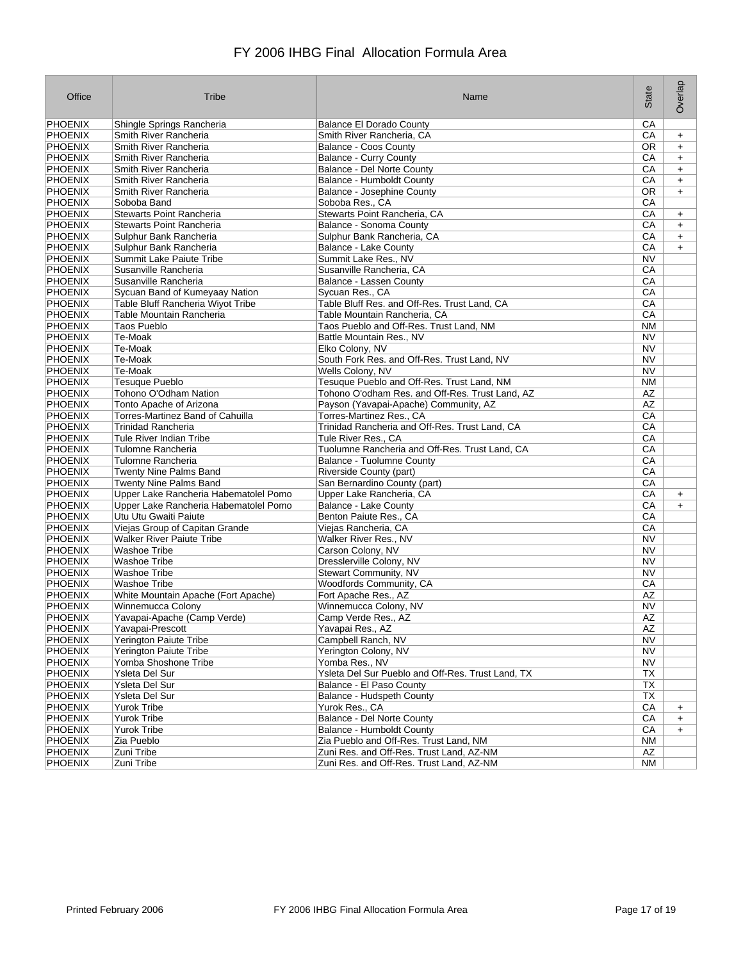| Office         | Tribe                                 | Name                                              | State          | Overlap   |
|----------------|---------------------------------------|---------------------------------------------------|----------------|-----------|
| PHOENIX        | Shingle Springs Rancheria             | <b>Balance El Dorado County</b>                   | CA             |           |
| <b>PHOENIX</b> | Smith River Rancheria                 | Smith River Rancheria, CA                         | СA             | $\ddot{}$ |
| PHOENIX        | Smith River Rancheria                 | <b>Balance - Coos County</b>                      | 0R             | $+$       |
| PHOENIX        | Smith River Rancheria                 | <b>Balance - Curry County</b>                     | СA             | $+$       |
| PHOENIX        | Smith River Rancheria                 | Balance - Del Norte County                        | СA             | $\ddot{}$ |
| PHOENIX        | Smith River Rancheria                 | <b>Balance - Humboldt County</b>                  | CA             | $+$       |
| <b>PHOENIX</b> | Smith River Rancheria                 | Balance - Josephine County                        | OR             | $+$       |
| PHOENIX        | Soboba Band                           | Soboba Res., CA                                   | СA             |           |
| PHOENIX        | Stewarts Point Rancheria              | Stewarts Point Rancheria, CA                      | СA             | $+$       |
| <b>PHOENIX</b> | Stewarts Point Rancheria              | Balance - Sonoma County                           | СA             | $+$       |
| PHOENIX        | Sulphur Bank Rancheria                | Sulphur Bank Rancheria, CA                        | СA             | $+$       |
| PHOENIX        | Sulphur Bank Rancheria                | Balance - Lake County                             | CA             | $+$       |
| PHOENIX        | Summit Lake Paiute Tribe              | Summit Lake Res., NV                              | NV             |           |
| <b>PHOENIX</b> | Susanville Rancheria                  | Susanville Rancheria, CA                          | СA             |           |
| PHOENIX        | Susanville Rancheria                  | Balance - Lassen County                           | СA             |           |
| <b>PHOENIX</b> | Sycuan Band of Kumeyaay Nation        | Sycuan Res., CA                                   | СA             |           |
| PHOENIX        | Table Bluff Rancheria Wiyot Tribe     | Table Bluff Res. and Off-Res. Trust Land, CA      | CA             |           |
| <b>PHOENIX</b> | Table Mountain Rancheria              | Table Mountain Rancheria, CA                      | CA             |           |
| <b>PHOENIX</b> | <b>Taos Pueblo</b>                    | Taos Pueblo and Off-Res. Trust Land. NM           | ΝM             |           |
| PHOENIX        | Te-Moak                               | Battle Mountain Res., NV                          | <b>NV</b>      |           |
| <b>PHOENIX</b> | Te-Moak                               | Elko Colony, NV                                   | <b>NV</b>      |           |
| PHOENIX        | Te-Moak                               | South Fork Res. and Off-Res. Trust Land, NV       | <b>NV</b>      |           |
| PHOENIX        | Te-Moak                               | Wells Colony, NV                                  | <b>NV</b>      |           |
| <b>PHOENIX</b> | <b>Tesuque Pueblo</b>                 | Tesuque Pueblo and Off-Res. Trust Land, NM        | ΝM             |           |
| PHOENIX        | Tohono O'Odham Nation                 | Tohono O'odham Res. and Off-Res. Trust Land. AZ   | AΖ             |           |
| PHOENIX        | Tonto Apache of Arizona               | Payson (Yavapai-Apache) Community, AZ             | AZ             |           |
| <b>PHOENIX</b> | Torres-Martinez Band of Cahuilla      | Torres-Martinez Res., CA                          | СA             |           |
| PHOENIX        | <b>Trinidad Rancheria</b>             | Trinidad Rancheria and Off-Res. Trust Land, CA    | СA             |           |
| PHOENIX        | Tule River Indian Tribe               | Tule River Res., CA                               | CA             |           |
| PHOENIX        | Tulomne Rancheria                     | Tuolumne Rancheria and Off-Res. Trust Land, CA    | СA             |           |
| PHOENIX        | Tulomne Rancheria                     | <b>Balance - Tuolumne County</b>                  | CA             |           |
| <b>PHOENIX</b> | Twenty Nine Palms Band                | Riverside County (part)                           | СA             |           |
| PHOENIX        | Twenty Nine Palms Band                | San Bernardino County (part)                      | СA             |           |
| <b>PHOENIX</b> | Upper Lake Rancheria Habematolel Pomo | Upper Lake Rancheria, CA                          | CA             | $\ddot{}$ |
| <b>PHOENIX</b> | Upper Lake Rancheria Habematolel Pomo | <b>Balance - Lake County</b>                      | СA             | $+$       |
| PHOENIX        | Utu Utu Gwaiti Paiute                 | Benton Paiute Res., CA                            | CA             |           |
| PHOENIX        | Viejas Group of Capitan Grande        | Viejas Rancheria, CA                              | СA             |           |
| <b>PHOENIX</b> | <b>Walker River Paiute Tribe</b>      | Walker River Res., NV                             | NV             |           |
| PHOENIX        | Washoe Tribe                          | Carson Colony, NV                                 | <b>NV</b>      |           |
| PHOENIX        | <b>Washoe Tribe</b>                   | Dresslerville Colony, NV                          | <b>NV</b>      |           |
| PHOENIX        | <b>Washoe Tribe</b>                   | <b>Stewart Community, NV</b>                      | <b>NV</b>      |           |
| PHOENIX        | <b>Washoe Tribe</b>                   | Woodfords Community, CA                           | CA             |           |
| PHOENIX        | White Mountain Apache (Fort Apache)   | Fort Apache Res., AZ                              | AΖ             |           |
| <b>PHOENIX</b> | Winnemucca Colony                     | Winnemucca Colony, NV                             | NV             |           |
| <b>PHOENIX</b> | Yavapai-Apache (Camp Verde)           | Camp Verde Res., AZ                               | AZ             |           |
| PHOENIX        | Yavapai-Prescott                      | Yavapai Res., AZ                                  | AZ             |           |
| PHOENIX        | Yerington Paiute Tribe                | Campbell Ranch, NV                                | <b>NV</b>      |           |
| PHOENIX        | Yerington Paiute Tribe                | Yerington Colony, NV                              | NV             |           |
| PHOENIX        | Yomba Shoshone Tribe                  | Yomba Res., NV                                    | N <sub>V</sub> |           |
| PHOENIX        | Ysleta Del Sur                        | Ysleta Del Sur Pueblo and Off-Res. Trust Land, TX | <b>TX</b>      |           |
| <b>PHOENIX</b> | Ysleta Del Sur                        | Balance - El Paso County                          | <b>TX</b>      |           |
| PHOENIX        | Ysleta Del Sur                        | Balance - Hudspeth County                         | ТX             |           |
| PHOENIX        | Yurok Tribe                           | Yurok Res., CA                                    | CA             | $\ddot{}$ |
| PHOENIX        | Yurok Tribe                           | Balance - Del Norte County                        | CA             | $\ddot{}$ |
| PHOENIX        | Yurok Tribe                           | Balance - Humboldt County                         | CA             | $\ddot{}$ |
| PHOENIX        | Zia Pueblo                            | Zia Pueblo and Off-Res. Trust Land. NM            | ΝM             |           |
| PHOENIX        | Zuni Tribe                            | Zuni Res. and Off-Res. Trust Land, AZ-NM          | AZ             |           |
| PHOENIX        | Zuni Tribe                            | Zuni Res. and Off-Res. Trust Land. AZ-NM          | ΝM             |           |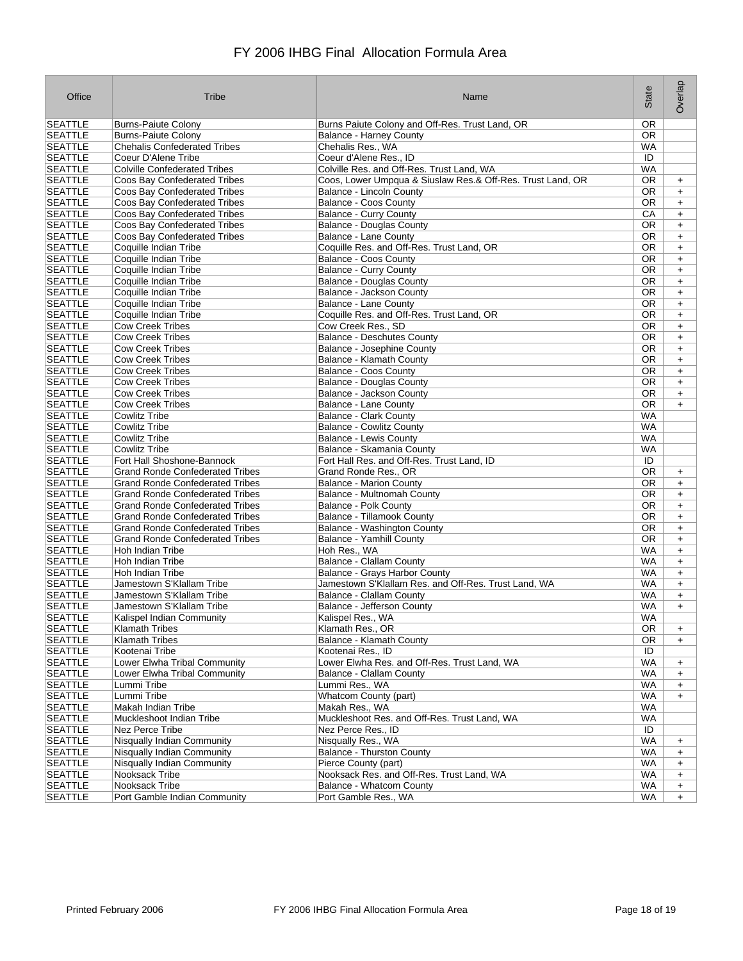| Office                           | Tribe                                          | Name                                                             | State           | Overlap          |
|----------------------------------|------------------------------------------------|------------------------------------------------------------------|-----------------|------------------|
| <b>SEATTLE</b>                   | <b>Burns-Paiute Colony</b>                     | Burns Paiute Colony and Off-Res. Trust Land, OR                  | <b>OR</b>       |                  |
| <b>SEATTLE</b>                   | <b>Burns-Paiute Colony</b>                     | <b>Balance - Harney County</b>                                   | OR.             |                  |
| <b>SEATTLE</b>                   | <b>Chehalis Confederated Tribes</b>            | Chehalis Res., WA                                                | WA              |                  |
| <b>SEATTLE</b>                   | Coeur D'Alene Tribe                            | Coeur d'Alene Res., ID                                           | ID              |                  |
| <b>SEATTLE</b>                   | <b>Colville Confederated Tribes</b>            | Colville Res. and Off-Res. Trust Land, WA                        | <b>WA</b>       |                  |
| <b>SEATTLE</b>                   | Coos Bay Confederated Tribes                   | Coos, Lower Umpqua & Siuslaw Res.& Off-Res. Trust Land, OR       | <b>OR</b>       | $\ddot{}$        |
| <b>SEATTLE</b>                   | Coos Bay Confederated Tribes                   | Balance - Lincoln County                                         | 0R              | $\ddot{}$        |
| <b>SEATTLE</b>                   | Coos Bay Confederated Tribes                   | Balance - Coos County                                            | OR.             | $\ddot{}$        |
| <b>SEATTLE</b>                   | Coos Bay Confederated Tribes                   | <b>Balance - Curry County</b>                                    | CA              | $\ddot{}$        |
| <b>SEATTLE</b>                   | Coos Bay Confederated Tribes                   | <b>Balance - Douglas County</b>                                  | OR              | +                |
| <b>SEATTLE</b>                   | Coos Bay Confederated Tribes                   | <b>Balance - Lane County</b>                                     | 0R              | $\ddot{}$        |
| <b>SEATTLE</b>                   | Coquille Indian Tribe                          | Coquille Res. and Off-Res. Trust Land, OR                        | 0R              | $\ddot{}$        |
| <b>SEATTLE</b>                   | Coquille Indian Tribe                          | <b>Balance - Coos County</b>                                     | 0R<br><b>OR</b> | $\ddot{}$        |
| <b>SEATTLE</b><br><b>SEATTLE</b> | Coquille Indian Tribe<br>Coquille Indian Tribe | <b>Balance - Curry County</b><br><b>Balance - Douglas County</b> | 0R              | $+$              |
| <b>SEATTLE</b>                   | Coquille Indian Tribe                          | Balance - Jackson County                                         | <b>OR</b>       | $+$<br>$\ddot{}$ |
| <b>SEATTLE</b>                   | Coquille Indian Tribe                          | Balance - Lane County                                            | 0R              | $+$              |
| <b>SEATTLE</b>                   | Coquille Indian Tribe                          | Coquille Res. and Off-Res. Trust Land, OR                        | <b>OR</b>       | $\ddot{}$        |
| <b>SEATTLE</b>                   | <b>Cow Creek Tribes</b>                        | Cow Creek Res., SD                                               | 0R              | $\ddot{}$        |
| <b>SEATTLE</b>                   | <b>Cow Creek Tribes</b>                        | <b>Balance - Deschutes County</b>                                | OR.             | $\ddot{}$        |
| <b>SEATTLE</b>                   | <b>Cow Creek Tribes</b>                        | Balance - Josephine County                                       | OR.             | $\ddot{}$        |
| <b>SEATTLE</b>                   | <b>Cow Creek Tribes</b>                        | Balance - Klamath County                                         | 0R              | $\ddot{}$        |
| <b>SEATTLE</b>                   | <b>Cow Creek Tribes</b>                        | Balance - Coos County                                            | 0R              | $\ddot{}$        |
| <b>SEATTLE</b>                   | <b>Cow Creek Tribes</b>                        | <b>Balance - Douglas County</b>                                  | 0R              | $\ddot{}$        |
| <b>SEATTLE</b>                   | <b>Cow Creek Tribes</b>                        | Balance - Jackson County                                         | 0R              | $+$              |
| <b>SEATTLE</b>                   | <b>Cow Creek Tribes</b>                        | Balance - Lane County                                            | 0R              | $+$              |
| <b>SEATTLE</b>                   | Cowlitz Tribe                                  | <b>Balance - Clark County</b>                                    | WA              |                  |
| <b>SEATTLE</b>                   | <b>Cowlitz Tribe</b>                           | <b>Balance - Cowlitz County</b>                                  | WA              |                  |
| <b>SEATTLE</b>                   | <b>Cowlitz Tribe</b>                           | <b>Balance - Lewis County</b>                                    | <b>WA</b>       |                  |
| <b>SEATTLE</b>                   | <b>Cowlitz Tribe</b>                           | Balance - Skamania County                                        | WA              |                  |
| <b>SEATTLE</b>                   | Fort Hall Shoshone-Bannock                     | Fort Hall Res. and Off-Res. Trust Land, ID                       | ID              |                  |
| <b>SEATTLE</b>                   | <b>Grand Ronde Confederated Tribes</b>         | Grand Ronde Res., OR                                             | 0R              | $\ddot{}$        |
| <b>SEATTLE</b>                   | <b>Grand Ronde Confederated Tribes</b>         | <b>Balance - Marion County</b>                                   | <b>OR</b>       | $\ddot{}$        |
| <b>SEATTLE</b>                   | <b>Grand Ronde Confederated Tribes</b>         | Balance - Multnomah County                                       | 0R              | $\ddot{}$        |
| <b>SEATTLE</b>                   | <b>Grand Ronde Confederated Tribes</b>         | <b>Balance - Polk County</b>                                     | 0R              | $\ddot{}$        |
| <b>SEATTLE</b>                   | <b>Grand Ronde Confederated Tribes</b>         | <b>Balance - Tillamook County</b>                                | 0R              | $\ddot{}$        |
| <b>SEATTLE</b>                   | <b>Grand Ronde Confederated Tribes</b>         | Balance - Washington County                                      | 0R              | $\ddot{}$        |
| <b>SEATTLE</b>                   | <b>Grand Ronde Confederated Tribes</b>         | <b>Balance - Yamhill County</b>                                  | 0R              | $\ddot{}$        |
| <b>SEATTLE</b>                   | Hoh Indian Tribe                               | Hoh Res., WA                                                     | WA              | $+$              |
| <b>SEATTLE</b>                   | Hoh Indian Tribe                               | <b>Balance - Clallam County</b>                                  | <b>WA</b>       | $\ddot{}$        |
| <b>SEATTLE</b>                   | Hoh Indian Tribe                               | Balance - Grays Harbor County                                    | WA              | $\ddot{}$        |
| <b>SEATTLE</b>                   | Jamestown S'Klallam Tribe                      | Jamestown S'Klallam Res. and Off-Res. Trust Land, WA             | WA              | $+$              |
| <b>SEATTLE</b>                   | Jamestown S'Klallam Tribe                      | Balance - Clallam County                                         | <b>WA</b>       | $\ddot{}$        |
| <b>SEATTLE</b>                   | Jamestown S'Klallam Tribe                      | Balance - Jefferson County                                       | <b>WA</b>       | $\ddot{}$        |
| <b>SEATTLE</b>                   | Kalispel Indian Community                      | Kalispel Res., WA                                                | <b>WA</b>       |                  |
| <b>SEATTLE</b>                   | <b>Klamath Tribes</b>                          | Klamath Res., OR                                                 | 0R              | $\ddot{}$        |
| <b>SEATTLE</b>                   | Klamath Tribes                                 | Balance - Klamath County                                         | 0R              | $\ddot{}$        |
| <b>SEATTLE</b>                   | Kootenai Tribe                                 | Kootenai Res., ID                                                | ID              |                  |
| <b>SEATTLE</b>                   | Lower Elwha Tribal Community                   | Lower Elwha Res. and Off-Res. Trust Land, WA                     | <b>WA</b>       | $\ddot{}$        |
| <b>SEATTLE</b>                   | Lower Elwha Tribal Community                   | Balance - Clallam County                                         | WA              | $\ddot{}$        |
| <b>SEATTLE</b>                   | Lummi Tribe                                    | Lummi Res., WA                                                   | <b>WA</b>       | $\ddot{}$        |
| <b>SEATTLE</b>                   | Lummi Tribe                                    | Whatcom County (part)                                            | WA              | $\ddot{}$        |
| <b>SEATTLE</b>                   | Makah Indian Tribe                             | Makah Res., WA                                                   | <b>WA</b>       |                  |
| <b>SEATTLE</b>                   | Muckleshoot Indian Tribe                       | Muckleshoot Res. and Off-Res. Trust Land, WA                     | WA              |                  |
| <b>SEATTLE</b>                   | Nez Perce Tribe                                | Nez Perce Res., ID                                               | ID              |                  |
| <b>SEATTLE</b>                   | Nisqually Indian Community                     | Nisqually Res., WA                                               | <b>WA</b>       | $\ddot{}$        |
| <b>SEATTLE</b>                   | <b>Nisqually Indian Community</b>              | <b>Balance - Thurston County</b>                                 | WA              | $\ddot{}$        |
| <b>SEATTLE</b>                   | Nisqually Indian Community                     | Pierce County (part)                                             | WA              | $\ddot{}$        |
| <b>SEATTLE</b>                   | Nooksack Tribe                                 | Nooksack Res. and Off-Res. Trust Land, WA                        | WA              | $\ddot{}$        |
| <b>SEATTLE</b>                   | Nooksack Tribe                                 | Balance - Whatcom County                                         | WA              | $\ddot{}$        |
| <b>SEATTLE</b>                   | Port Gamble Indian Community                   | Port Gamble Res., WA                                             | WA              | $\ddot{}$        |